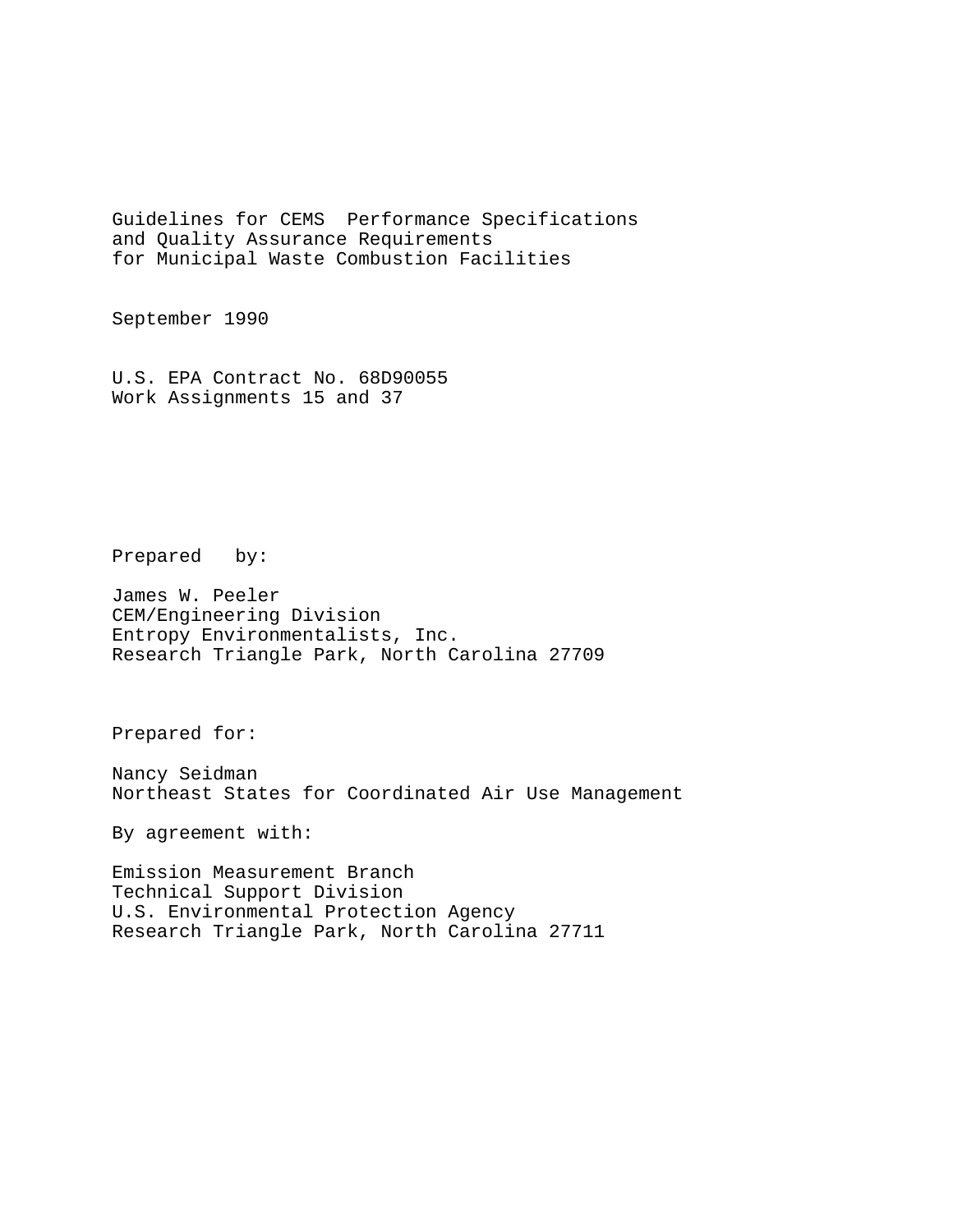Guidelines for CEMS Performance Specifications and Quality Assurance Requirements for Municipal Waste Combustion Facilities

September 1990

U.S. EPA Contract No. 68D90055 Work Assignments 15 and 37

Prepared by:

James W. Peeler CEM/Engineering Division Entropy Environmentalists, Inc. Research Triangle Park, North Carolina 27709

Prepared for:

Nancy Seidman Northeast States for Coordinated Air Use Management

By agreement with:

Emission Measurement Branch Technical Support Division U.S. Environmental Protection Agency Research Triangle Park, North Carolina 27711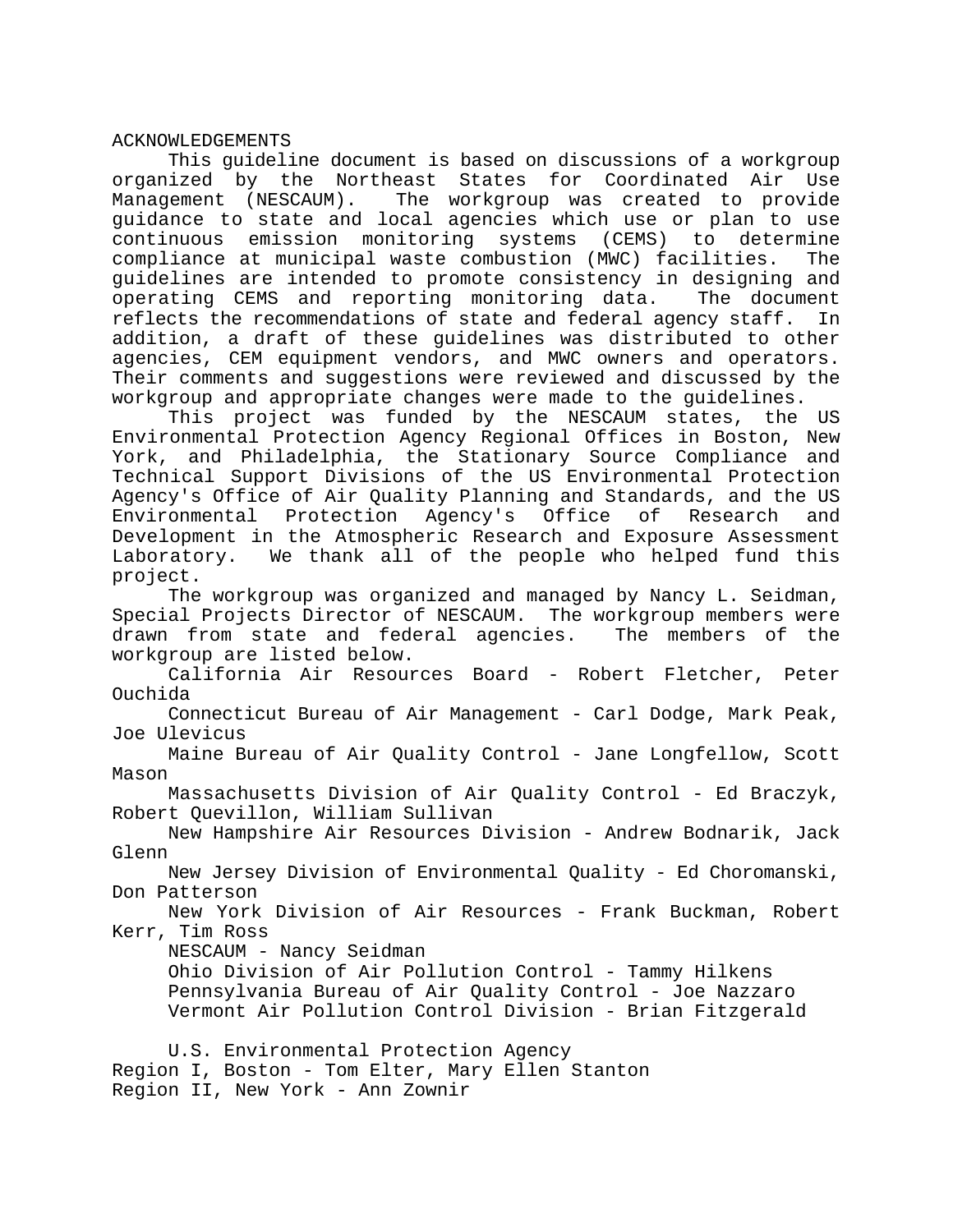#### ACKNOWLEDGEMENTS

This guideline document is based on discussions of a workgroup organized by the Northeast States for Coordinated Air Use Management (NESCAUM). The workgroup was created to provide guidance to state and local agencies which use or plan to use continuous emission monitoring systems (CEMS) to determine compliance at municipal waste combustion (MWC) facilities. The guidelines are intended to promote consistency in designing and operating CEMS and reporting monitoring data. The document reflects the recommendations of state and federal agency staff. In addition, a draft of these guidelines was distributed to other agencies, CEM equipment vendors, and MWC owners and operators. Their comments and suggestions were reviewed and discussed by the workgroup and appropriate changes were made to the guidelines.

This project was funded by the NESCAUM states, the US Environmental Protection Agency Regional Offices in Boston, New York, and Philadelphia, the Stationary Source Compliance and Technical Support Divisions of the US Environmental Protection Agency's Office of Air Quality Planning and Standards, and the US Environmental Protection Agency's Office of Research and Development in the Atmospheric Research and Exposure Assessment Laboratory. We thank all of the people who helped fund this project.

The workgroup was organized and managed by Nancy L. Seidman, Special Projects Director of NESCAUM. The workgroup members were drawn from state and federal agencies. The members of the workgroup are listed below.

California Air Resources Board - Robert Fletcher, Peter Ouchida

Connecticut Bureau of Air Management - Carl Dodge, Mark Peak, Joe Ulevicus

Maine Bureau of Air Quality Control - Jane Longfellow, Scott Mason

Massachusetts Division of Air Quality Control - Ed Braczyk, Robert Quevillon, William Sullivan

New Hampshire Air Resources Division - Andrew Bodnarik, Jack Glenn

New Jersey Division of Environmental Quality - Ed Choromanski, Don Patterson

New York Division of Air Resources - Frank Buckman, Robert Kerr, Tim Ross

NESCAUM - Nancy Seidman

Ohio Division of Air Pollution Control - Tammy Hilkens Pennsylvania Bureau of Air Quality Control - Joe Nazzaro Vermont Air Pollution Control Division - Brian Fitzgerald

U.S. Environmental Protection Agency

Region I, Boston - Tom Elter, Mary Ellen Stanton Region II, New York - Ann Zownir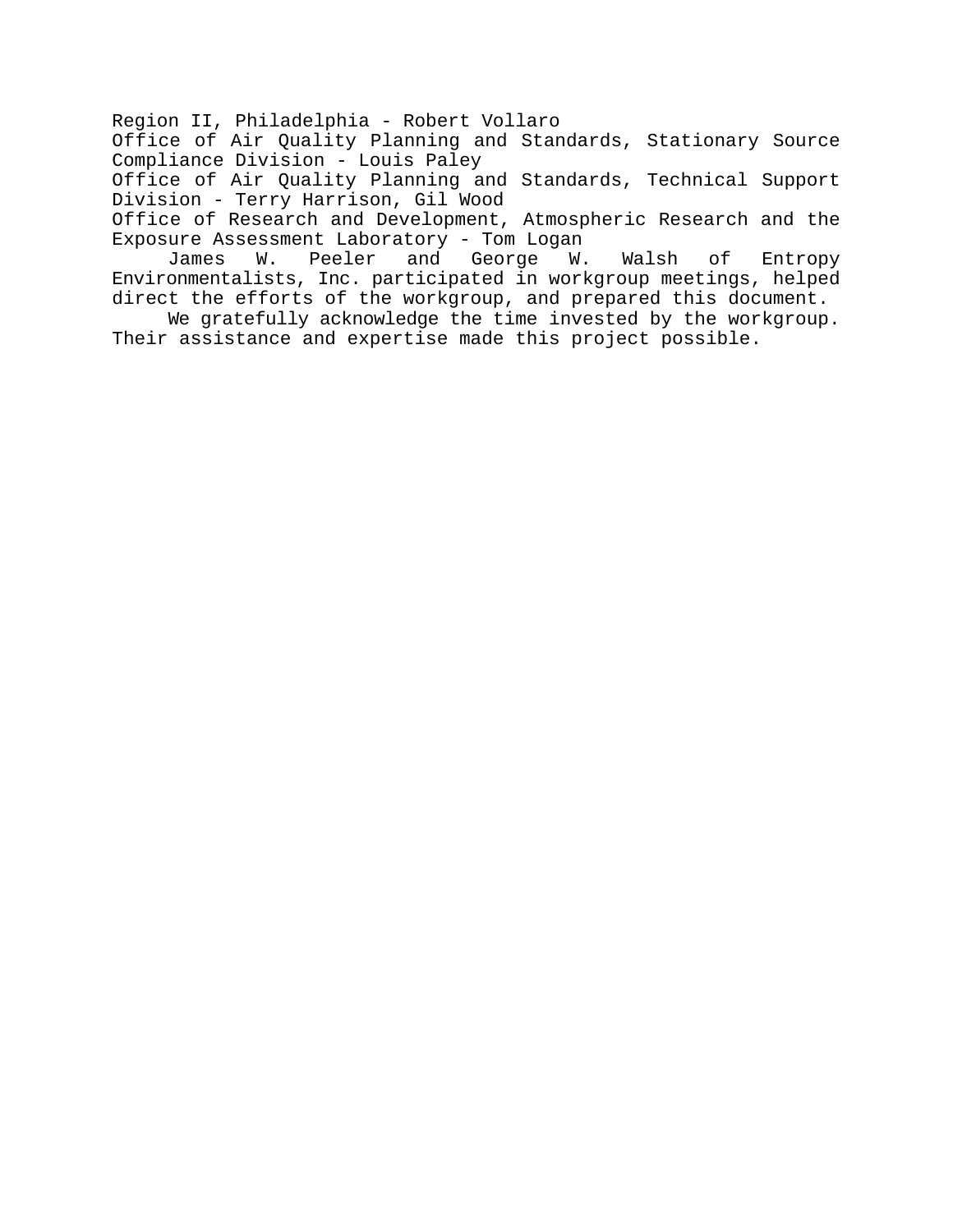Region II, Philadelphia - Robert Vollaro

Office of Air Quality Planning and Standards, Stationary Source Compliance Division - Louis Paley

Office of Air Quality Planning and Standards, Technical Support Division - Terry Harrison, Gil Wood

Office of Research and Development, Atmospheric Research and the Exposure Assessment Laboratory - Tom Logan

James W. Peeler and George W. Walsh of Entropy Environmentalists, Inc. participated in workgroup meetings, helped direct the efforts of the workgroup, and prepared this document.

We gratefully acknowledge the time invested by the workgroup. Their assistance and expertise made this project possible.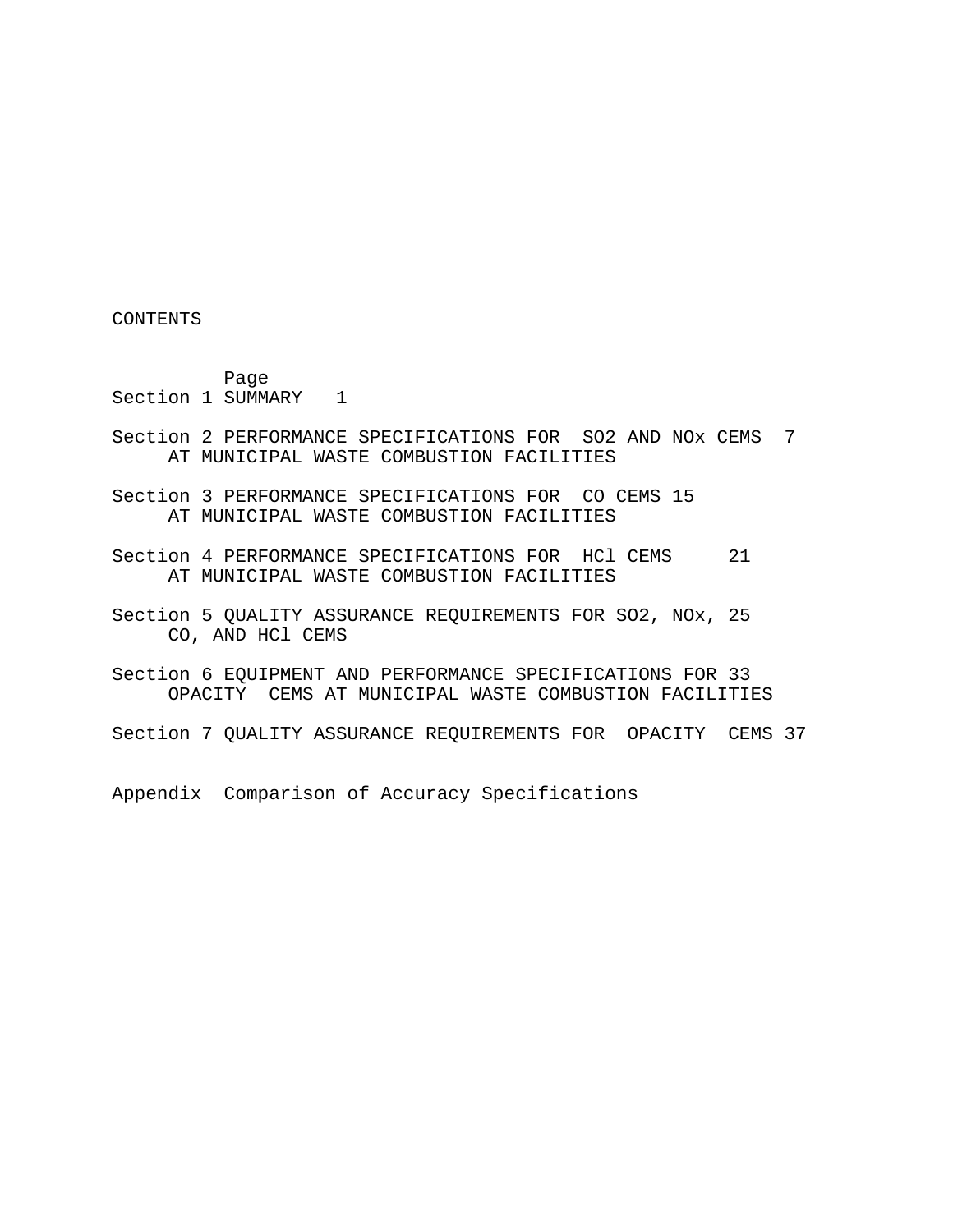CONTENTS

Page Section 1 SUMMARY 1

- Section 2 PERFORMANCE SPECIFICATIONS FOR SO2 AND NOx CEMS 7 AT MUNICIPAL WASTE COMBUSTION FACILITIES
- Section 3 PERFORMANCE SPECIFICATIONS FOR CO CEMS 15 AT MUNICIPAL WASTE COMBUSTION FACILITIES
- Section 4 PERFORMANCE SPECIFICATIONS FOR HCl CEMS 21 AT MUNICIPAL WASTE COMBUSTION FACILITIES
- Section 5 QUALITY ASSURANCE REQUIREMENTS FOR SO2, NOx, 25 CO, AND HCl CEMS
- Section 6 EQUIPMENT AND PERFORMANCE SPECIFICATIONS FOR 33 OPACITY CEMS AT MUNICIPAL WASTE COMBUSTION FACILITIES

Section 7 QUALITY ASSURANCE REQUIREMENTS FOR OPACITY CEMS 37

Appendix Comparison of Accuracy Specifications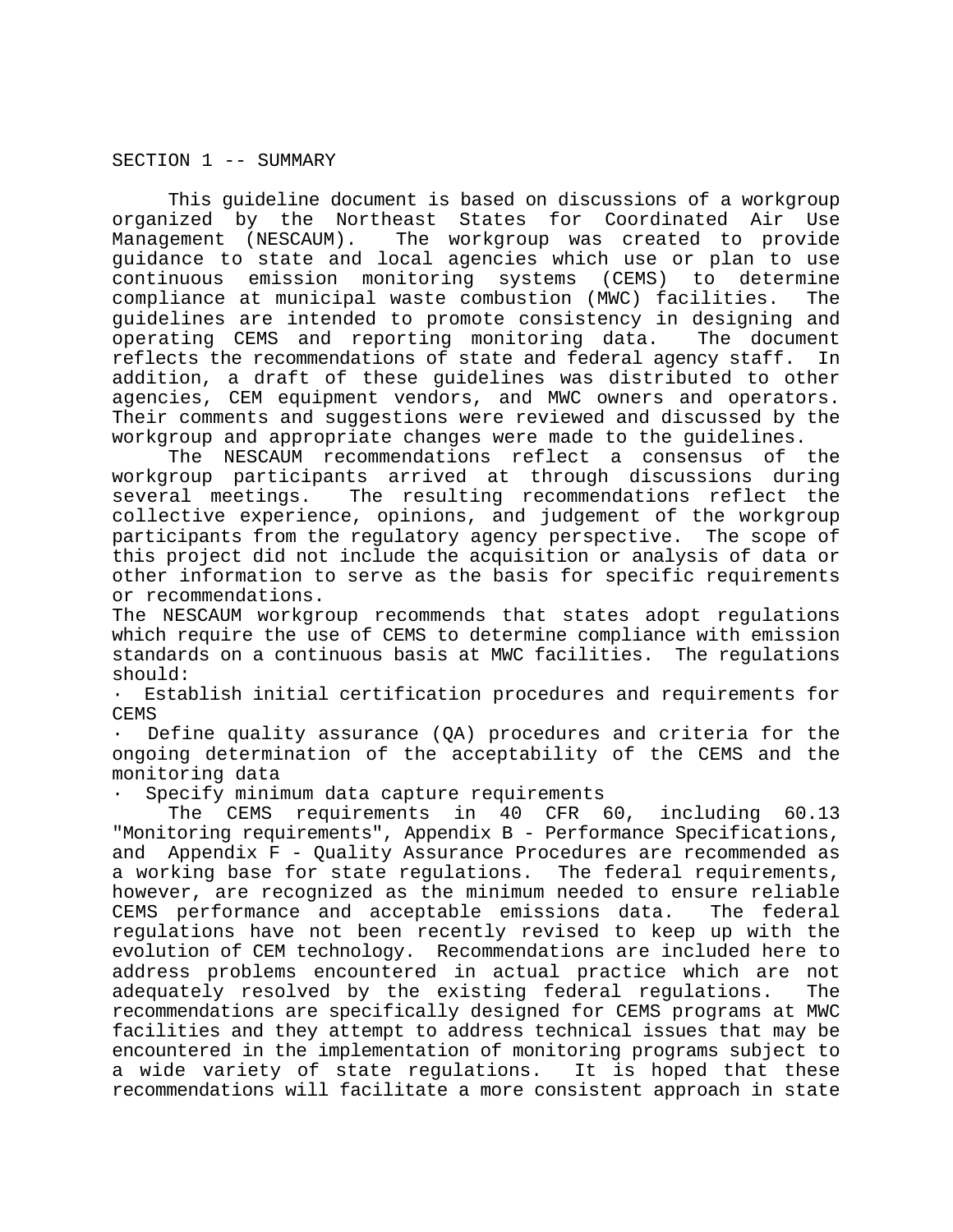SECTION 1 -- SUMMARY

This guideline document is based on discussions of a workgroup organized by the Northeast States for Coordinated Air Use Management (NESCAUM). The workgroup was created to provide guidance to state and local agencies which use or plan to use continuous emission monitoring systems (CEMS) to determine compliance at municipal waste combustion (MWC) facilities. The guidelines are intended to promote consistency in designing and operating CEMS and reporting monitoring data. The document reflects the recommendations of state and federal agency staff. In addition, a draft of these guidelines was distributed to other agencies, CEM equipment vendors, and MWC owners and operators. Their comments and suggestions were reviewed and discussed by the workgroup and appropriate changes were made to the guidelines.

The NESCAUM recommendations reflect a consensus of the workgroup participants arrived at through discussions during several meetings. The resulting recommendations reflect the collective experience, opinions, and judgement of the workgroup participants from the regulatory agency perspective. The scope of this project did not include the acquisition or analysis of data or other information to serve as the basis for specific requirements or recommendations.

The NESCAUM workgroup recommends that states adopt regulations which require the use of CEMS to determine compliance with emission standards on a continuous basis at MWC facilities. The regulations should:

· Establish initial certification procedures and requirements for CEMS

Define quality assurance  $(QA)$  procedures and criteria for the ongoing determination of the acceptability of the CEMS and the monitoring data

Specify minimum data capture requirements

The CEMS requirements in 40 CFR 60, including 60.13 "Monitoring requirements", Appendix B - Performance Specifications, and Appendix F - Quality Assurance Procedures are recommended as a working base for state regulations. The federal requirements, however, are recognized as the minimum needed to ensure reliable CEMS performance and acceptable emissions data. The federal regulations have not been recently revised to keep up with the evolution of CEM technology. Recommendations are included here to address problems encountered in actual practice which are not adequately resolved by the existing federal regulations. The recommendations are specifically designed for CEMS programs at MWC facilities and they attempt to address technical issues that may be encountered in the implementation of monitoring programs subject to a wide variety of state regulations. It is hoped that these recommendations will facilitate a more consistent approach in state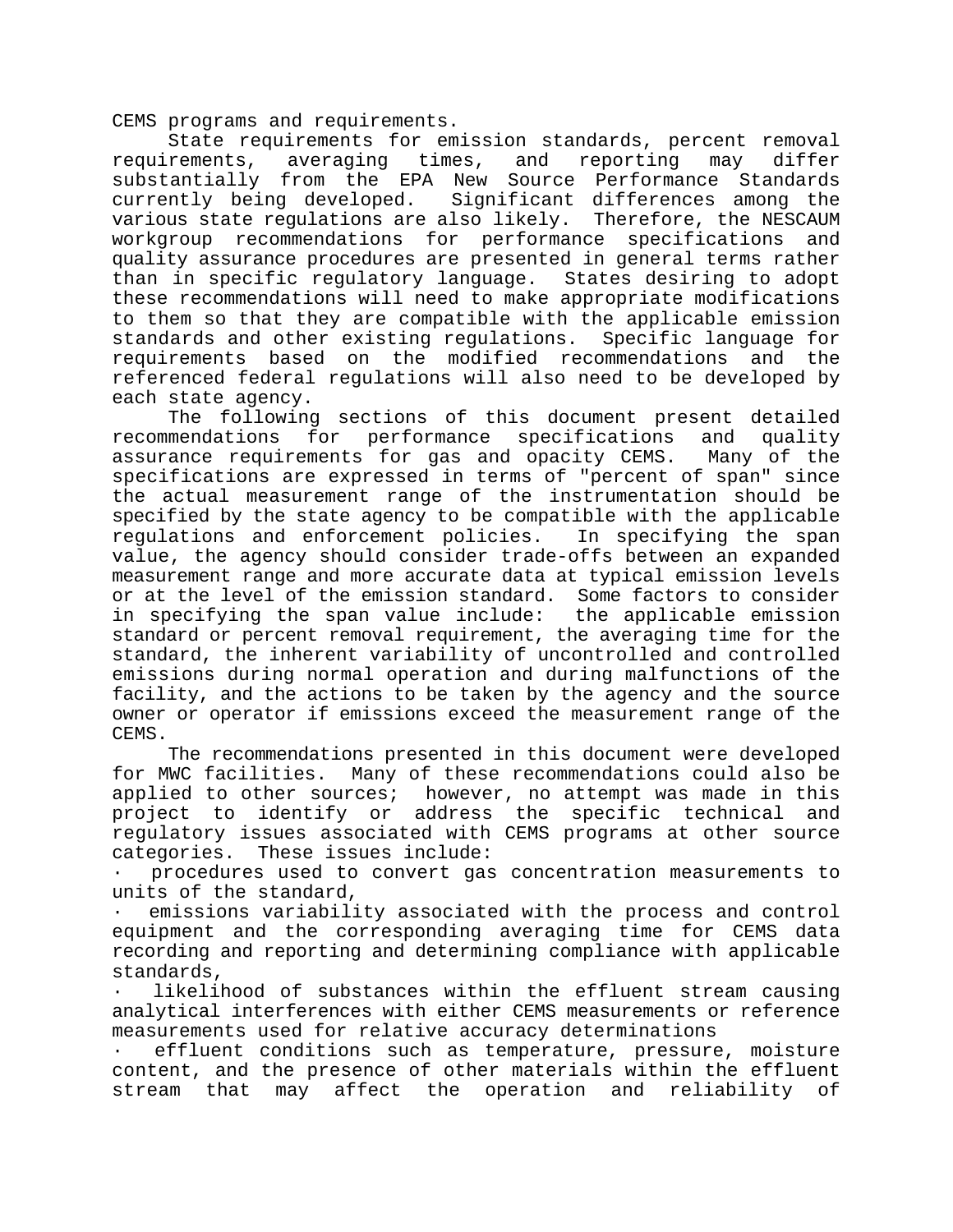CEMS programs and requirements.

State requirements for emission standards, percent removal requirements, averaging times, and reporting may differ substantially from the EPA New Source Performance Standards currently being developed. Significant differences among the various state regulations are also likely. Therefore, the NESCAUM workgroup recommendations for performance specifications and quality assurance procedures are presented in general terms rather than in specific regulatory language. States desiring to adopt these recommendations will need to make appropriate modifications to them so that they are compatible with the applicable emission standards and other existing regulations. Specific language for requirements based on the modified recommendations and the referenced federal regulations will also need to be developed by each state agency.

The following sections of this document present detailed recommendations for performance specifications and quality assurance requirements for gas and opacity CEMS. Many of the specifications are expressed in terms of "percent of span" since the actual measurement range of the instrumentation should be specified by the state agency to be compatible with the applicable regulations and enforcement policies. In specifying the span value, the agency should consider trade-offs between an expanded measurement range and more accurate data at typical emission levels or at the level of the emission standard. Some factors to consider in specifying the span value include: the applicable emission standard or percent removal requirement, the averaging time for the standard, the inherent variability of uncontrolled and controlled emissions during normal operation and during malfunctions of the facility, and the actions to be taken by the agency and the source owner or operator if emissions exceed the measurement range of the CEMS.

The recommendations presented in this document were developed for MWC facilities. Many of these recommendations could also be applied to other sources; however, no attempt was made in this project to identify or address the specific technical and regulatory issues associated with CEMS programs at other source categories. These issues include:

· procedures used to convert gas concentration measurements to units of the standard,

emissions variability associated with the process and control equipment and the corresponding averaging time for CEMS data recording and reporting and determining compliance with applicable standards,

likelihood of substances within the effluent stream causing analytical interferences with either CEMS measurements or reference measurements used for relative accuracy determinations

effluent conditions such as temperature, pressure, moisture content, and the presence of other materials within the effluent stream that may affect the operation and reliability of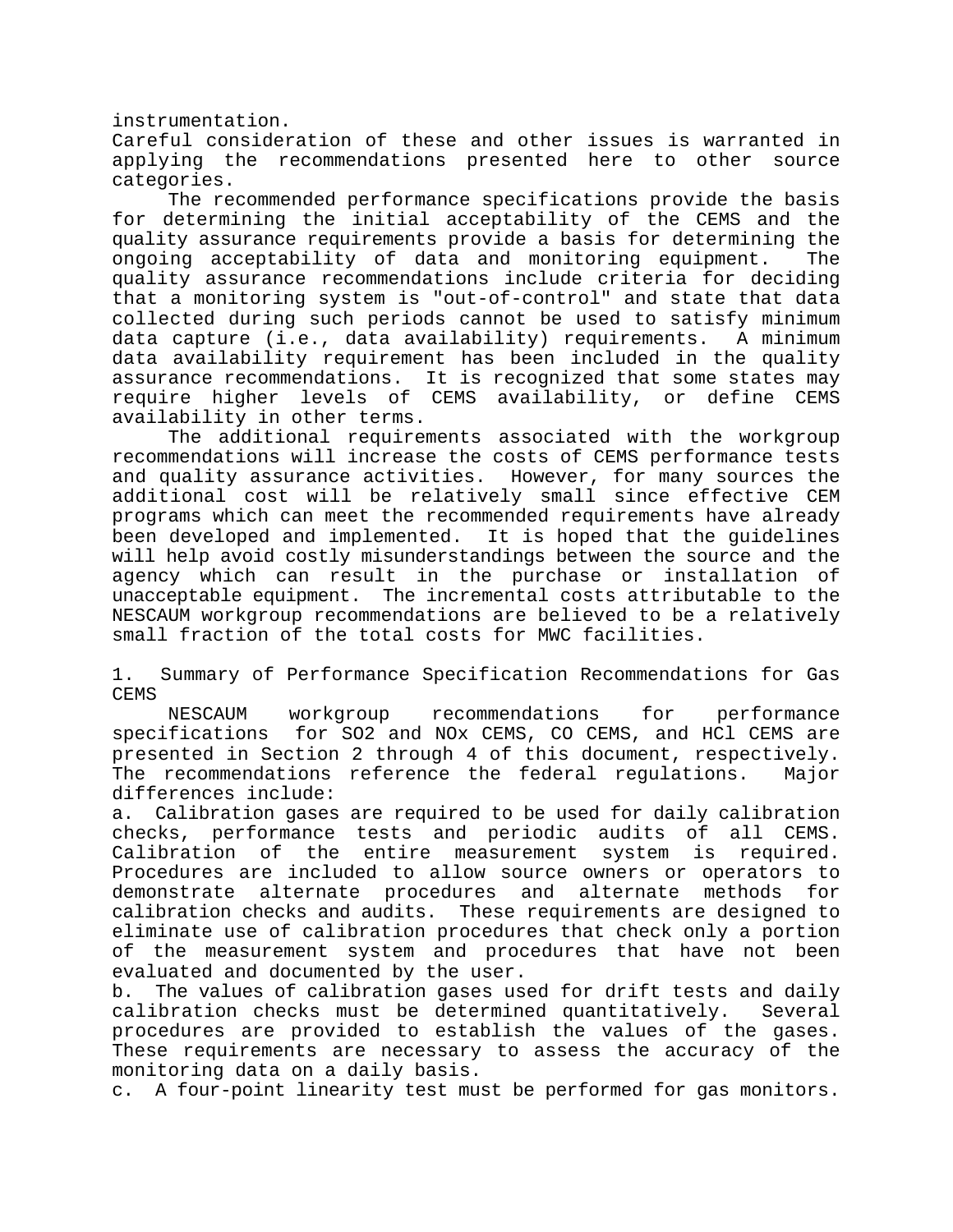instrumentation.

Careful consideration of these and other issues is warranted in applying the recommendations presented here to other source categories.

The recommended performance specifications provide the basis for determining the initial acceptability of the CEMS and the quality assurance requirements provide a basis for determining the ongoing acceptability of data and monitoring equipment. The quality assurance recommendations include criteria for deciding that a monitoring system is "out-of-control" and state that data collected during such periods cannot be used to satisfy minimum data capture (i.e., data availability) requirements. A minimum data availability requirement has been included in the quality assurance recommendations. It is recognized that some states may require higher levels of CEMS availability, or define CEMS availability in other terms.

The additional requirements associated with the workgroup recommendations will increase the costs of CEMS performance tests and quality assurance activities. However, for many sources the additional cost will be relatively small since effective CEM programs which can meet the recommended requirements have already been developed and implemented. It is hoped that the guidelines will help avoid costly misunderstandings between the source and the agency which can result in the purchase or installation of unacceptable equipment. The incremental costs attributable to the NESCAUM workgroup recommendations are believed to be a relatively small fraction of the total costs for MWC facilities.

1. Summary of Performance Specification Recommendations for Gas CEMS

NESCAUM workgroup recommendations for performance specifications for SO2 and NOx CEMS, CO CEMS, and HCl CEMS are presented in Section 2 through 4 of this document, respectively. The recommendations reference the federal regulations. Major differences include:

a. Calibration gases are required to be used for daily calibration checks, performance tests and periodic audits of all CEMS. Calibration of the entire measurement system is required. Procedures are included to allow source owners or operators to demonstrate alternate procedures and alternate methods for calibration checks and audits. These requirements are designed to eliminate use of calibration procedures that check only a portion of the measurement system and procedures that have not been evaluated and documented by the user.

b. The values of calibration gases used for drift tests and daily calibration checks must be determined quantitatively. Several procedures are provided to establish the values of the gases. These requirements are necessary to assess the accuracy of the monitoring data on a daily basis.

c. A four-point linearity test must be performed for gas monitors.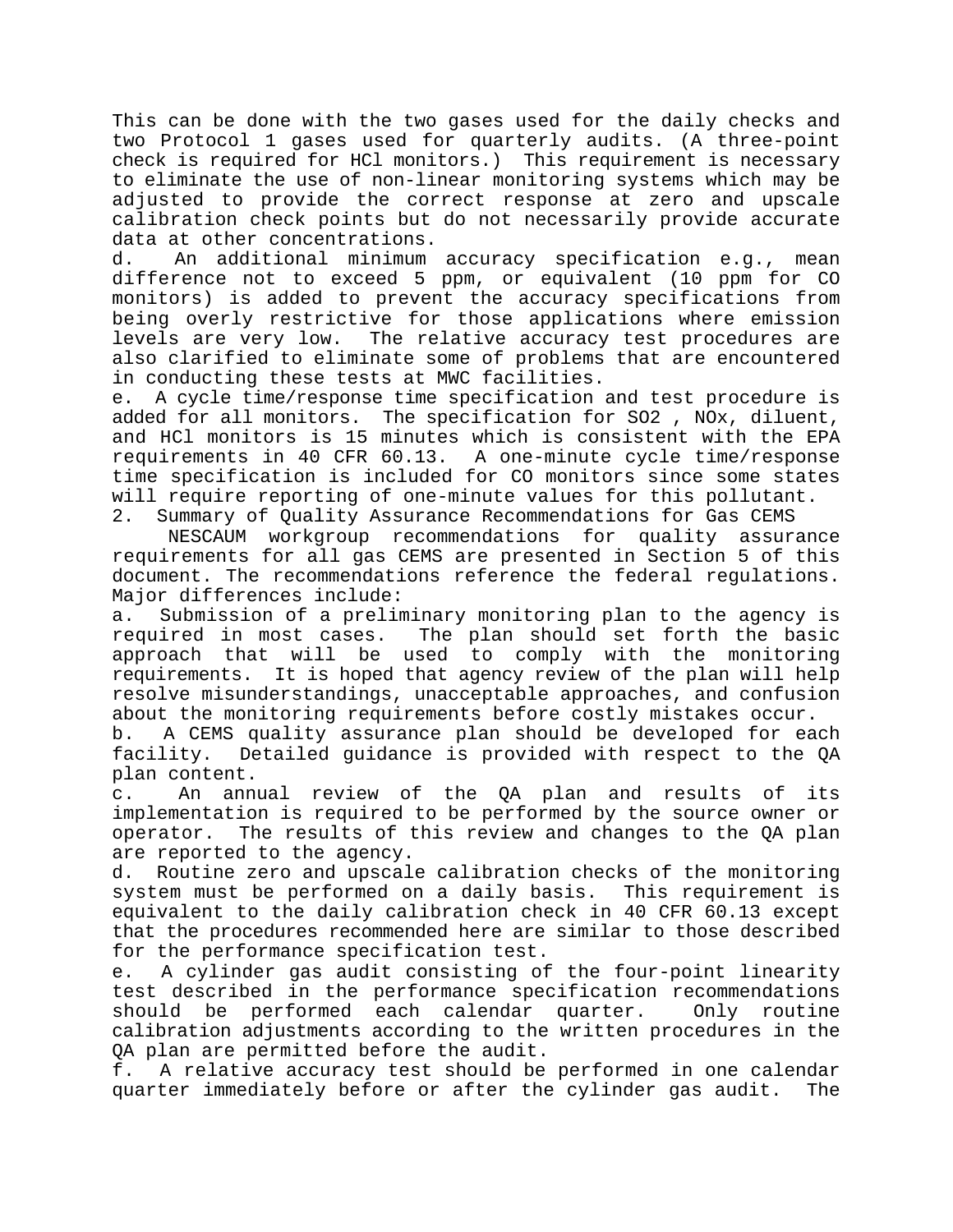This can be done with the two gases used for the daily checks and two Protocol 1 gases used for quarterly audits. (A three-point check is required for HCl monitors.) This requirement is necessary to eliminate the use of non-linear monitoring systems which may be adjusted to provide the correct response at zero and upscale calibration check points but do not necessarily provide accurate data at other concentrations.

d. An additional minimum accuracy specification e.g., mean difference not to exceed 5 ppm, or equivalent (10 ppm for CO monitors) is added to prevent the accuracy specifications from being overly restrictive for those applications where emission levels are very low. The relative accuracy test procedures are also clarified to eliminate some of problems that are encountered in conducting these tests at MWC facilities.

e. A cycle time/response time specification and test procedure is added for all monitors. The specification for SO2 , NOx, diluent, and HCl monitors is 15 minutes which is consistent with the EPA requirements in 40 CFR 60.13. A one-minute cycle time/response time specification is included for CO monitors since some states will require reporting of one-minute values for this pollutant. 2. Summary of Quality Assurance Recommendations for Gas CEMS

NESCAUM workgroup recommendations for quality assurance requirements for all gas CEMS are presented in Section 5 of this document. The recommendations reference the federal regulations. Major differences include:

a. Submission of a preliminary monitoring plan to the agency is required in most cases. The plan should set forth the basic approach that will be used to comply with the monitoring requirements. It is hoped that agency review of the plan will help resolve misunderstandings, unacceptable approaches, and confusion about the monitoring requirements before costly mistakes occur.

b. A CEMS quality assurance plan should be developed for each facility. Detailed guidance is provided with respect to the QA plan content.

c. An annual review of the QA plan and results of its implementation is required to be performed by the source owner or operator. The results of this review and changes to the QA plan are reported to the agency.

d. Routine zero and upscale calibration checks of the monitoring system must be performed on a daily basis. This requirement is equivalent to the daily calibration check in 40 CFR 60.13 except that the procedures recommended here are similar to those described for the performance specification test.

e. A cylinder gas audit consisting of the four-point linearity test described in the performance specification recommendations should be performed each calendar quarter. Only routine calibration adjustments according to the written procedures in the QA plan are permitted before the audit.

f. A relative accuracy test should be performed in one calendar quarter immediately before or after the cylinder gas audit. The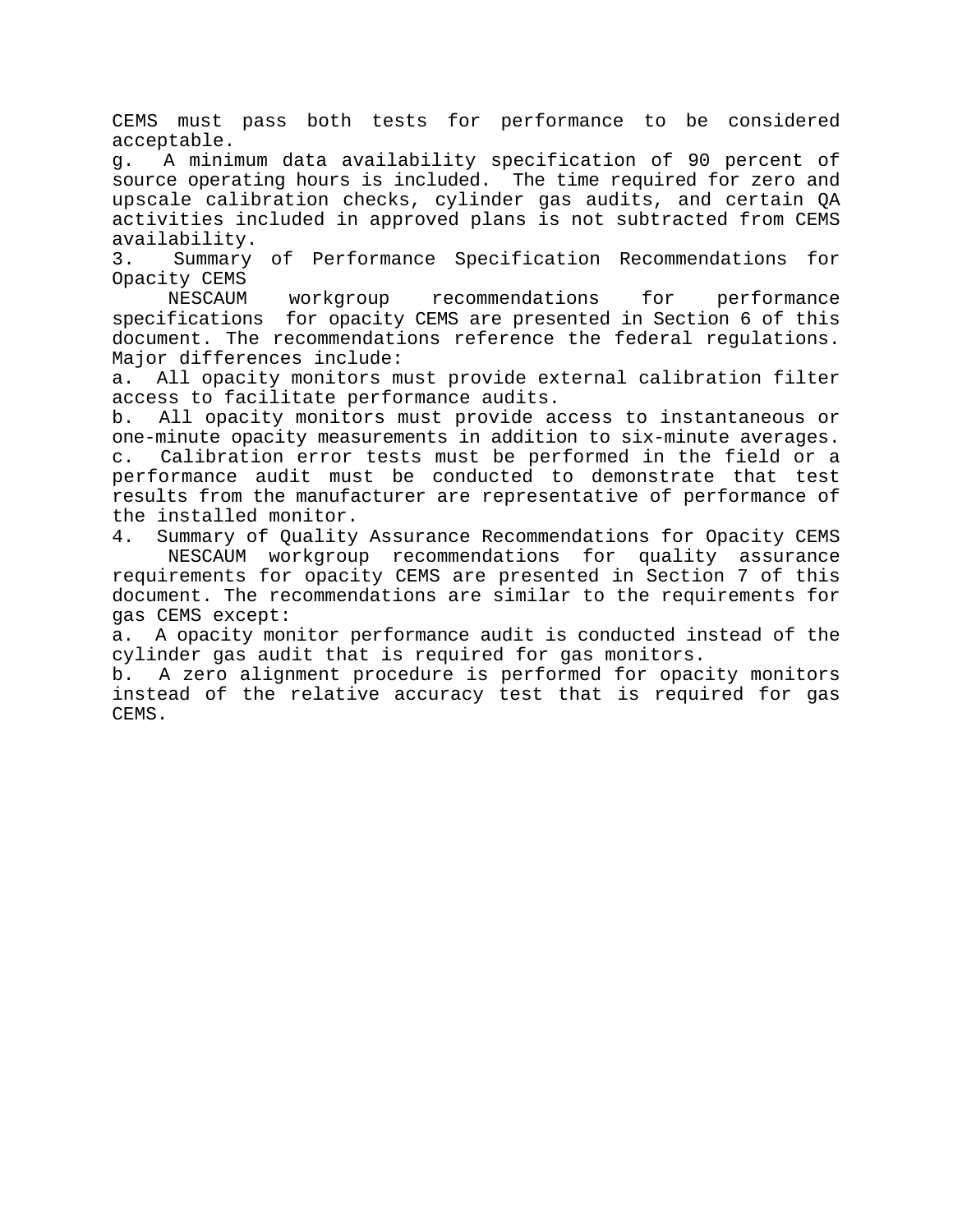CEMS must pass both tests for performance to be considered acceptable.

g. A minimum data availability specification of 90 percent of source operating hours is included. The time required for zero and upscale calibration checks, cylinder gas audits, and certain QA activities included in approved plans is not subtracted from CEMS availability.

3. Summary of Performance Specification Recommendations for Opacity CEMS

NESCAUM workgroup recommendations for performance specifications for opacity CEMS are presented in Section 6 of this document. The recommendations reference the federal regulations. Major differences include:

a. All opacity monitors must provide external calibration filter access to facilitate performance audits.

b. All opacity monitors must provide access to instantaneous or one-minute opacity measurements in addition to six-minute averages. c. Calibration error tests must be performed in the field or a performance audit must be conducted to demonstrate that test results from the manufacturer are representative of performance of the installed monitor.

4. Summary of Quality Assurance Recommendations for Opacity CEMS NESCAUM workgroup recommendations for quality assurance requirements for opacity CEMS are presented in Section 7 of this document. The recommendations are similar to the requirements for gas CEMS except:

a. A opacity monitor performance audit is conducted instead of the cylinder gas audit that is required for gas monitors.

b. A zero alignment procedure is performed for opacity monitors instead of the relative accuracy test that is required for gas CEMS.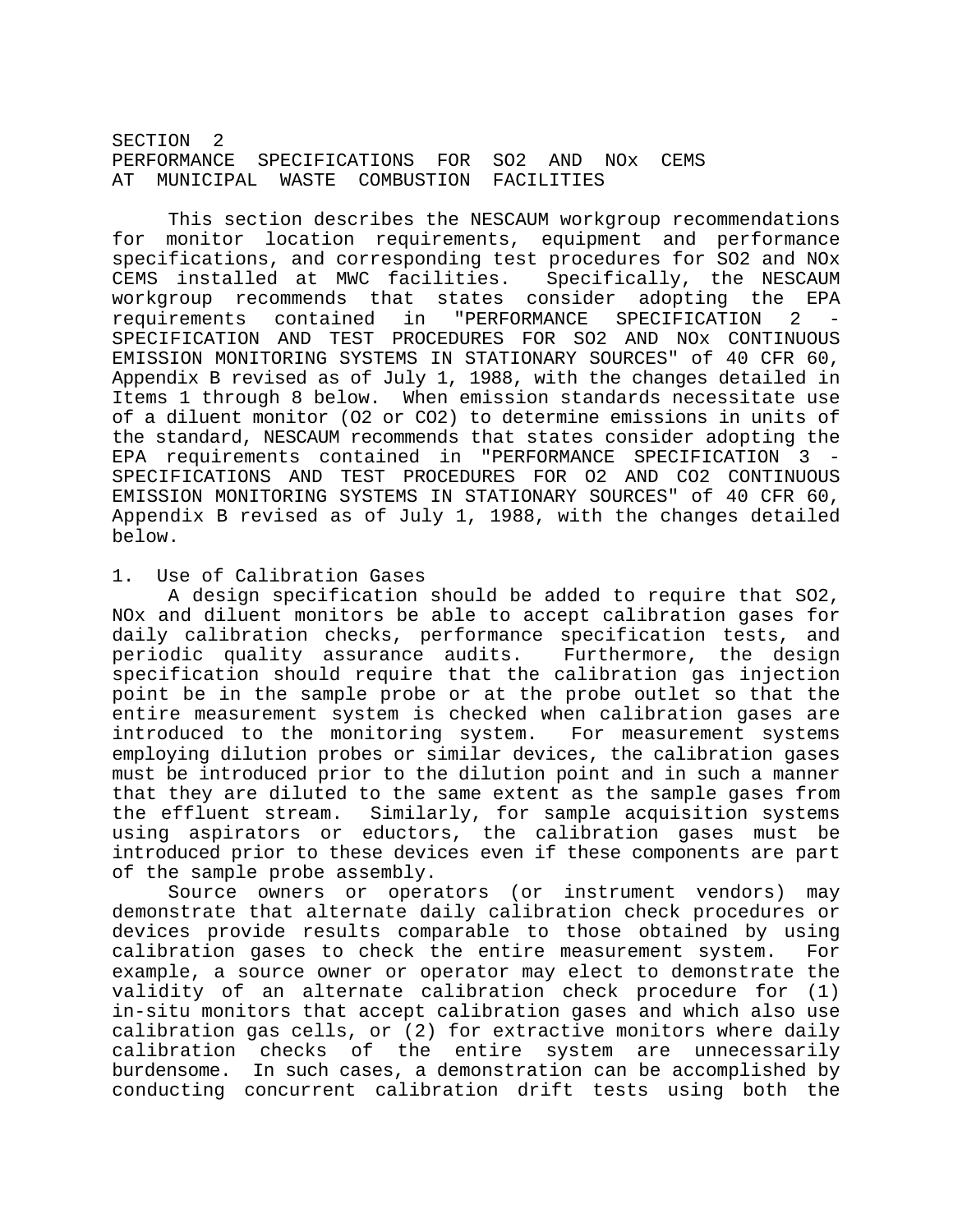SECTION<sub>2</sub> PERFORMANCE SPECIFICATIONS FOR SO2 AND NOx CEMS AT MUNICIPAL WASTE COMBUSTION FACILITIES

This section describes the NESCAUM workgroup recommendations for monitor location requirements, equipment and performance specifications, and corresponding test procedures for SO2 and NOx CEMS installed at MWC facilities. Specifically, the NESCAUM workgroup recommends that states consider adopting the EPA requirements contained in "PERFORMANCE SPECIFICATION 2 SPECIFICATION AND TEST PROCEDURES FOR SO2 AND NOx CONTINUOUS EMISSION MONITORING SYSTEMS IN STATIONARY SOURCES" of 40 CFR 60, Appendix B revised as of July 1, 1988, with the changes detailed in Items 1 through 8 below. When emission standards necessitate use of a diluent monitor (O2 or CO2) to determine emissions in units of the standard, NESCAUM recommends that states consider adopting the EPA requirements contained in "PERFORMANCE SPECIFICATION 3 - SPECIFICATIONS AND TEST PROCEDURES FOR O2 AND CO2 CONTINUOUS EMISSION MONITORING SYSTEMS IN STATIONARY SOURCES" of 40 CFR 60, Appendix B revised as of July 1, 1988, with the changes detailed below.

#### 1. Use of Calibration Gases

A design specification should be added to require that SO2, NOx and diluent monitors be able to accept calibration gases for daily calibration checks, performance specification tests, and periodic quality assurance audits. Furthermore, the design specification should require that the calibration gas injection point be in the sample probe or at the probe outlet so that the entire measurement system is checked when calibration gases are introduced to the monitoring system. For measurement systems employing dilution probes or similar devices, the calibration gases must be introduced prior to the dilution point and in such a manner that they are diluted to the same extent as the sample gases from the effluent stream. Similarly, for sample acquisition systems using aspirators or eductors, the calibration gases must be introduced prior to these devices even if these components are part of the sample probe assembly.

Source owners or operators (or instrument vendors) may demonstrate that alternate daily calibration check procedures or devices provide results comparable to those obtained by using calibration gases to check the entire measurement system. For example, a source owner or operator may elect to demonstrate the validity of an alternate calibration check procedure for (1) in-situ monitors that accept calibration gases and which also use calibration gas cells, or (2) for extractive monitors where daily calibration checks of the entire system are unnecessarily burdensome. In such cases, a demonstration can be accomplished by conducting concurrent calibration drift tests using both the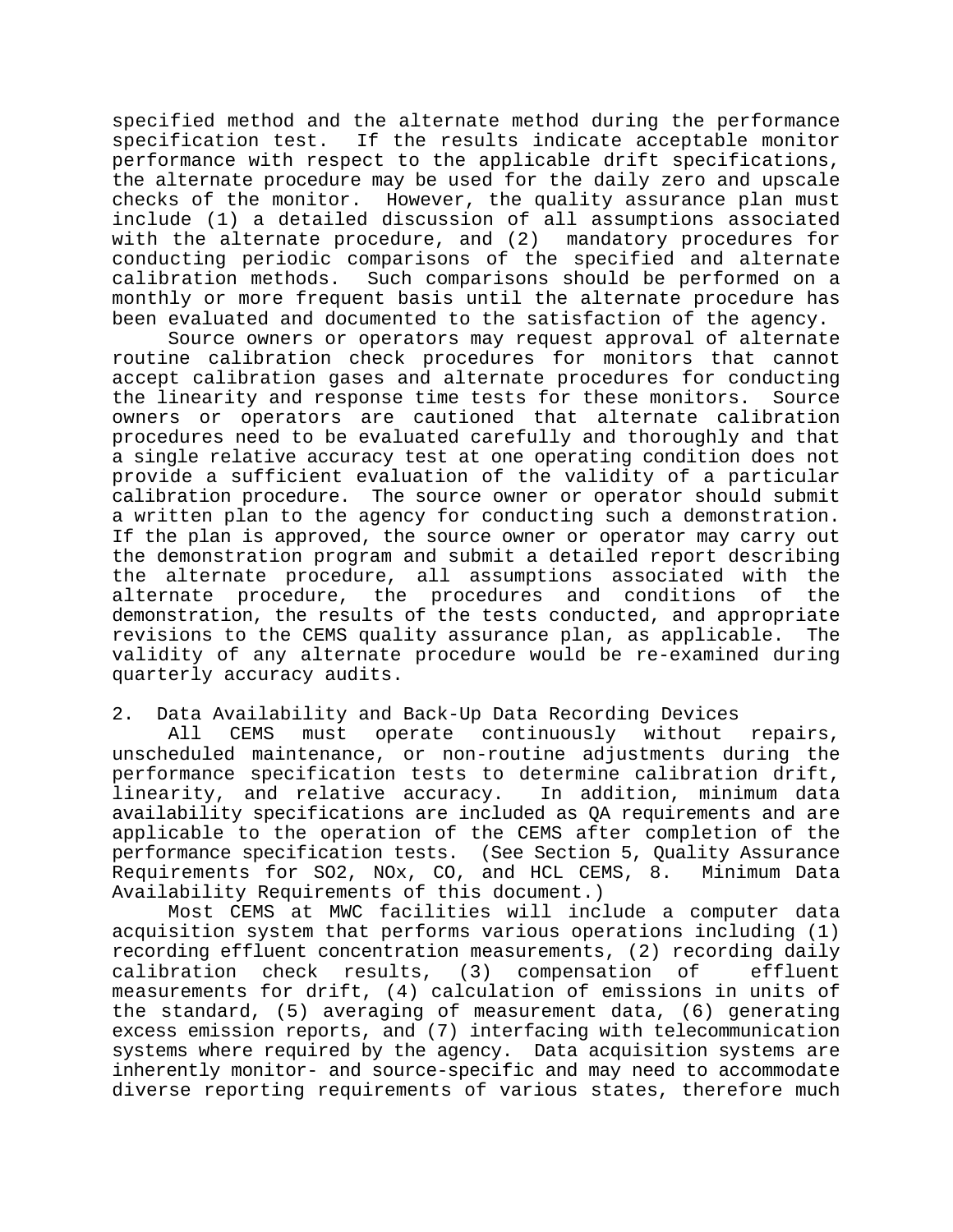specified method and the alternate method during the performance specification test. If the results indicate acceptable monitor performance with respect to the applicable drift specifications, the alternate procedure may be used for the daily zero and upscale checks of the monitor. However, the quality assurance plan must include (1) a detailed discussion of all assumptions associated with the alternate procedure, and (2) mandatory procedures for conducting periodic comparisons of the specified and alternate calibration methods. Such comparisons should be performed on a monthly or more frequent basis until the alternate procedure has been evaluated and documented to the satisfaction of the agency.

Source owners or operators may request approval of alternate routine calibration check procedures for monitors that cannot accept calibration gases and alternate procedures for conducting the linearity and response time tests for these monitors. Source owners or operators are cautioned that alternate calibration procedures need to be evaluated carefully and thoroughly and that a single relative accuracy test at one operating condition does not provide a sufficient evaluation of the validity of a particular calibration procedure. The source owner or operator should submit a written plan to the agency for conducting such a demonstration. If the plan is approved, the source owner or operator may carry out the demonstration program and submit a detailed report describing the alternate procedure, all assumptions associated with the alternate procedure, the procedures and conditions of the demonstration, the results of the tests conducted, and appropriate revisions to the CEMS quality assurance plan, as applicable. The validity of any alternate procedure would be re-examined during quarterly accuracy audits.

2. Data Availability and Back-Up Data Recording Devices

All CEMS must operate continuously without repairs, unscheduled maintenance, or non-routine adjustments during the performance specification tests to determine calibration drift, linearity, and relative accuracy. In addition, minimum data availability specifications are included as QA requirements and are applicable to the operation of the CEMS after completion of the performance specification tests. (See Section 5, Quality Assurance Requirements for SO2, NOx, CO, and HCL CEMS, 8. Minimum Data Availability Requirements of this document.)

Most CEMS at MWC facilities will include a computer data acquisition system that performs various operations including (1) recording effluent concentration measurements, (2) recording daily calibration check results, (3) compensation of effluent measurements for drift, (4) calculation of emissions in units of the standard, (5) averaging of measurement data, (6) generating excess emission reports, and (7) interfacing with telecommunication systems where required by the agency. Data acquisition systems are inherently monitor- and source-specific and may need to accommodate diverse reporting requirements of various states, therefore much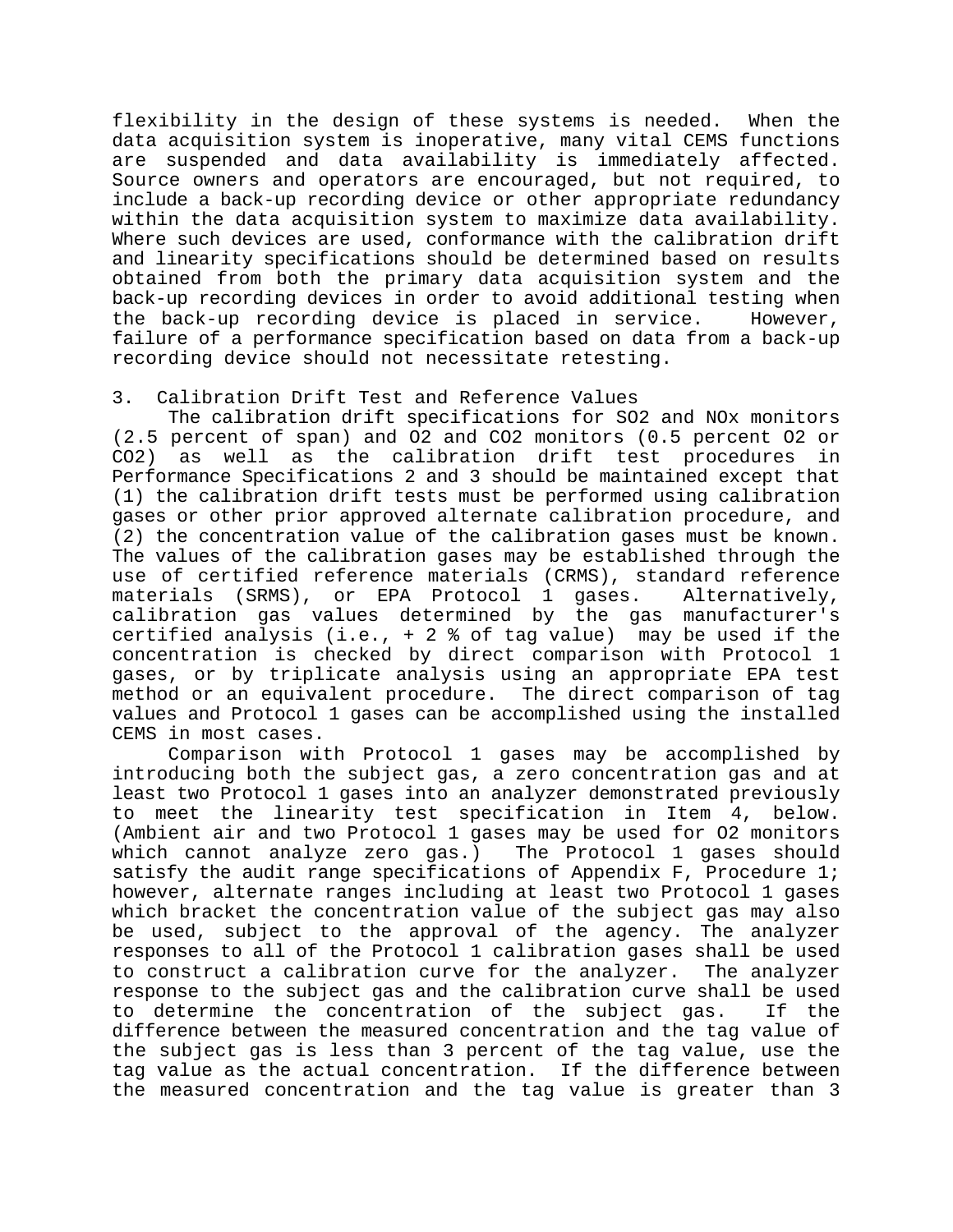flexibility in the design of these systems is needed. When the data acquisition system is inoperative, many vital CEMS functions are suspended and data availability is immediately affected. Source owners and operators are encouraged, but not required, to include a back-up recording device or other appropriate redundancy within the data acquisition system to maximize data availability. Where such devices are used, conformance with the calibration drift and linearity specifications should be determined based on results obtained from both the primary data acquisition system and the back-up recording devices in order to avoid additional testing when the back-up recording device is placed in service. However, failure of a performance specification based on data from a back-up recording device should not necessitate retesting.

## 3. Calibration Drift Test and Reference Values

The calibration drift specifications for SO2 and NOx monitors (2.5 percent of span) and O2 and CO2 monitors (0.5 percent O2 or CO2) as well as the calibration drift test procedures in Performance Specifications 2 and 3 should be maintained except that (1) the calibration drift tests must be performed using calibration gases or other prior approved alternate calibration procedure, and (2) the concentration value of the calibration gases must be known. The values of the calibration gases may be established through the use of certified reference materials (CRMS), standard reference materials (SRMS), or EPA Protocol 1 gases. Alternatively, calibration gas values determined by the gas manufacturer's certified analysis (i.e.,  $+2$  % of tag value) may be used if the concentration is checked by direct comparison with Protocol 1 gases, or by triplicate analysis using an appropriate EPA test method or an equivalent procedure. The direct comparison of tag values and Protocol 1 gases can be accomplished using the installed CEMS in most cases.

Comparison with Protocol 1 gases may be accomplished by introducing both the subject gas, a zero concentration gas and at least two Protocol 1 gases into an analyzer demonstrated previously to meet the linearity test specification in Item 4, below. (Ambient air and two Protocol 1 gases may be used for O2 monitors which cannot analyze zero gas.) The Protocol 1 gases should satisfy the audit range specifications of Appendix F, Procedure 1; however, alternate ranges including at least two Protocol 1 gases which bracket the concentration value of the subject gas may also be used, subject to the approval of the agency. The analyzer responses to all of the Protocol 1 calibration gases shall be used to construct a calibration curve for the analyzer. The analyzer response to the subject gas and the calibration curve shall be used to determine the concentration of the subject gas. If the difference between the measured concentration and the tag value of the subject gas is less than 3 percent of the tag value, use the tag value as the actual concentration. If the difference between the measured concentration and the tag value is greater than 3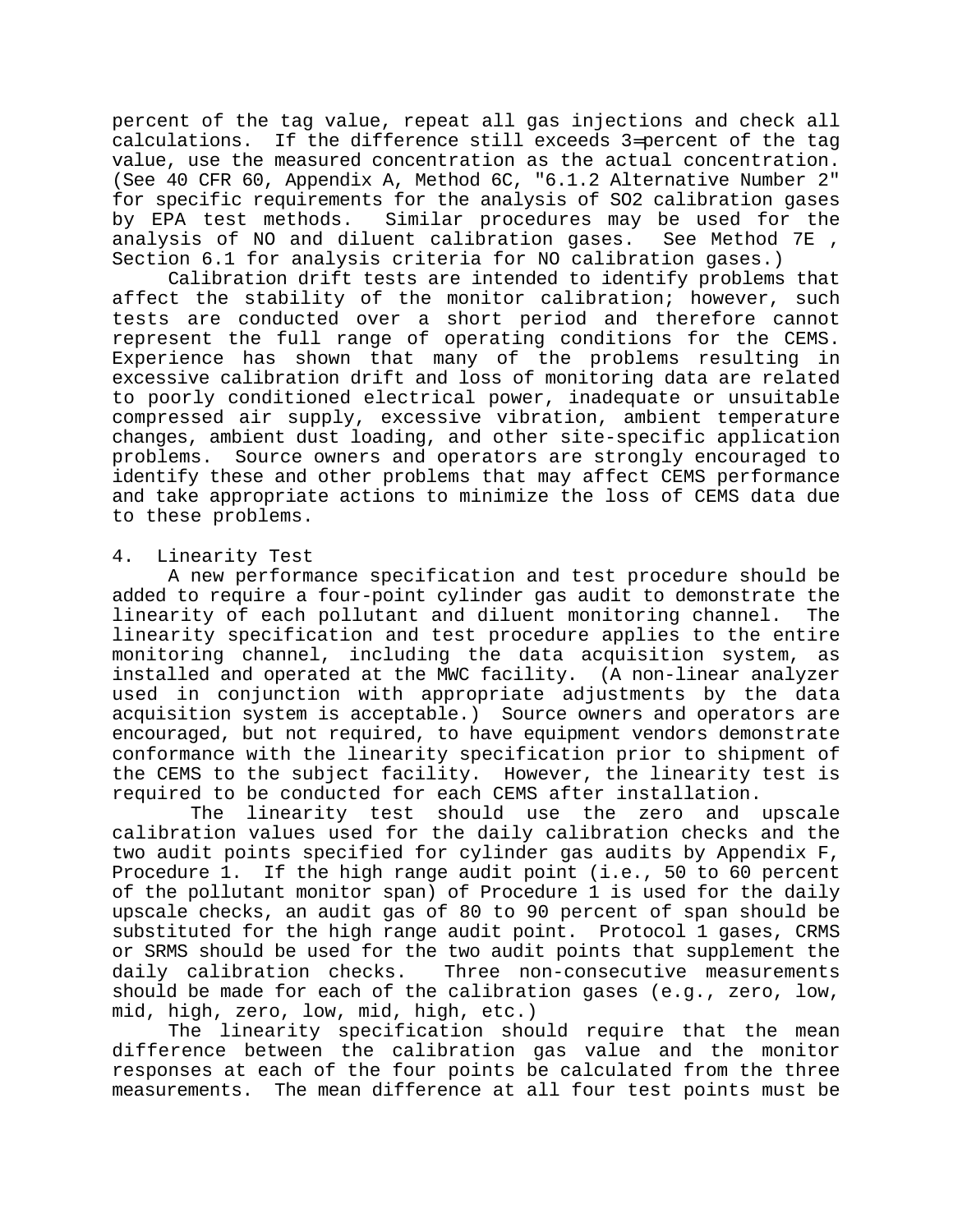percent of the tag value, repeat all gas injections and check all calculations. If the difference still exceeds 3=percent of the tag value, use the measured concentration as the actual concentration. (See 40 CFR 60, Appendix A, Method 6C, "6.1.2 Alternative Number 2" for specific requirements for the analysis of SO2 calibration gases by EPA test methods. Similar procedures may be used for the analysis of NO and diluent calibration gases. See Method 7E , Section 6.1 for analysis criteria for NO calibration gases.)

Calibration drift tests are intended to identify problems that affect the stability of the monitor calibration; however, such tests are conducted over a short period and therefore cannot represent the full range of operating conditions for the CEMS. Experience has shown that many of the problems resulting in excessive calibration drift and loss of monitoring data are related to poorly conditioned electrical power, inadequate or unsuitable compressed air supply, excessive vibration, ambient temperature changes, ambient dust loading, and other site-specific application problems. Source owners and operators are strongly encouraged to identify these and other problems that may affect CEMS performance and take appropriate actions to minimize the loss of CEMS data due to these problems.

## 4. Linearity Test

A new performance specification and test procedure should be added to require a four-point cylinder gas audit to demonstrate the linearity of each pollutant and diluent monitoring channel. The linearity specification and test procedure applies to the entire monitoring channel, including the data acquisition system, as installed and operated at the MWC facility. (A non-linear analyzer used in conjunction with appropriate adjustments by the data acquisition system is acceptable.) Source owners and operators are encouraged, but not required, to have equipment vendors demonstrate conformance with the linearity specification prior to shipment of the CEMS to the subject facility. However, the linearity test is required to be conducted for each CEMS after installation.

 The linearity test should use the zero and upscale calibration values used for the daily calibration checks and the two audit points specified for cylinder gas audits by Appendix F, Procedure 1. If the high range audit point (i.e., 50 to 60 percent of the pollutant monitor span) of Procedure 1 is used for the daily upscale checks, an audit gas of 80 to 90 percent of span should be substituted for the high range audit point. Protocol 1 gases, CRMS or SRMS should be used for the two audit points that supplement the daily calibration checks. Three non-consecutive measurements should be made for each of the calibration gases (e.g., zero, low, mid, high, zero, low, mid, high, etc.)

The linearity specification should require that the mean difference between the calibration gas value and the monitor responses at each of the four points be calculated from the three measurements. The mean difference at all four test points must be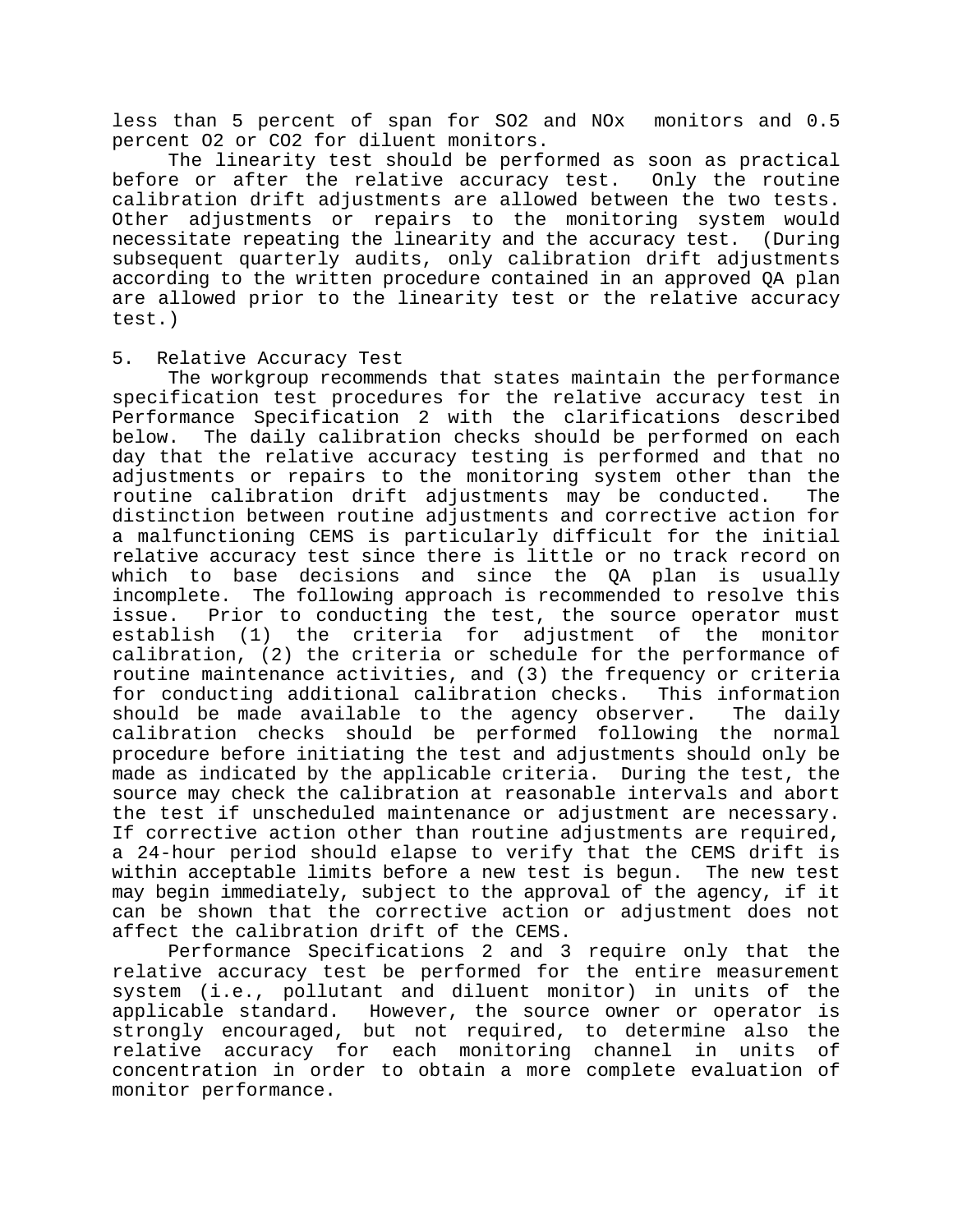less than 5 percent of span for SO2 and NOx monitors and 0.5 percent O2 or CO2 for diluent monitors.

The linearity test should be performed as soon as practical before or after the relative accuracy test. Only the routine calibration drift adjustments are allowed between the two tests. Other adjustments or repairs to the monitoring system would necessitate repeating the linearity and the accuracy test. (During subsequent quarterly audits, only calibration drift adjustments according to the written procedure contained in an approved QA plan are allowed prior to the linearity test or the relative accuracy test.)

# 5. Relative Accuracy Test

The workgroup recommends that states maintain the performance specification test procedures for the relative accuracy test in Performance Specification 2 with the clarifications described below. The daily calibration checks should be performed on each day that the relative accuracy testing is performed and that no adjustments or repairs to the monitoring system other than the routine calibration drift adjustments may be conducted. The distinction between routine adjustments and corrective action for a malfunctioning CEMS is particularly difficult for the initial relative accuracy test since there is little or no track record on which to base decisions and since the QA plan is usually incomplete. The following approach is recommended to resolve this issue. Prior to conducting the test, the source operator must establish (1) the criteria for adjustment of the monitor calibration, (2) the criteria or schedule for the performance of routine maintenance activities, and (3) the frequency or criteria for conducting additional calibration checks. This information should be made available to the agency observer. The daily calibration checks should be performed following the normal procedure before initiating the test and adjustments should only be made as indicated by the applicable criteria. During the test, the source may check the calibration at reasonable intervals and abort the test if unscheduled maintenance or adjustment are necessary. If corrective action other than routine adjustments are required, a 24-hour period should elapse to verify that the CEMS drift is within acceptable limits before a new test is begun. The new test may begin immediately, subject to the approval of the agency, if it can be shown that the corrective action or adjustment does not affect the calibration drift of the CEMS.

 Performance Specifications 2 and 3 require only that the relative accuracy test be performed for the entire measurement system (i.e., pollutant and diluent monitor) in units of the applicable standard. However, the source owner or operator is strongly encouraged, but not required, to determine also the relative accuracy for each monitoring channel in units of concentration in order to obtain a more complete evaluation of monitor performance.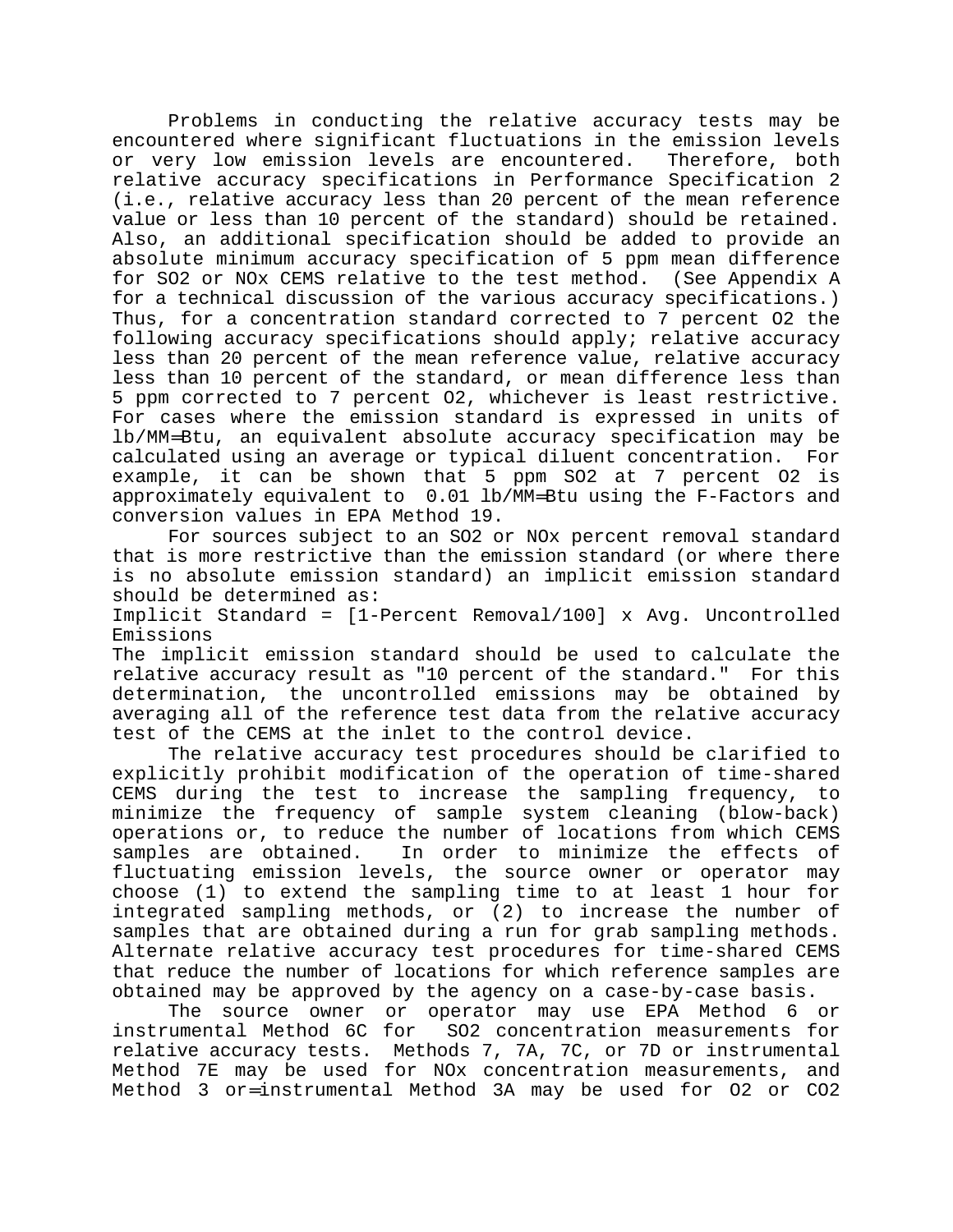Problems in conducting the relative accuracy tests may be encountered where significant fluctuations in the emission levels or very low emission levels are encountered. Therefore, both relative accuracy specifications in Performance Specification 2 (i.e., relative accuracy less than 20 percent of the mean reference value or less than 10 percent of the standard) should be retained. Also, an additional specification should be added to provide an absolute minimum accuracy specification of 5 ppm mean difference for SO2 or NOx CEMS relative to the test method. (See Appendix A for a technical discussion of the various accuracy specifications.) Thus, for a concentration standard corrected to 7 percent O2 the following accuracy specifications should apply; relative accuracy less than 20 percent of the mean reference value, relative accuracy less than 10 percent of the standard, or mean difference less than 5 ppm corrected to 7 percent O2, whichever is least restrictive. For cases where the emission standard is expressed in units of lb/MM=Btu, an equivalent absolute accuracy specification may be calculated using an average or typical diluent concentration. For example, it can be shown that 5 ppm SO2 at 7 percent O2 is approximately equivalent to 0.01 lb/MM=Btu using the F-Factors and conversion values in EPA Method 19.

For sources subject to an SO2 or NOx percent removal standard that is more restrictive than the emission standard (or where there is no absolute emission standard) an implicit emission standard should be determined as:

Implicit Standard = [1-Percent Removal/100] x Avg. Uncontrolled Emissions

The implicit emission standard should be used to calculate the relative accuracy result as "10 percent of the standard." For this determination, the uncontrolled emissions may be obtained by averaging all of the reference test data from the relative accuracy test of the CEMS at the inlet to the control device.

The relative accuracy test procedures should be clarified to explicitly prohibit modification of the operation of time-shared CEMS during the test to increase the sampling frequency, to minimize the frequency of sample system cleaning (blow-back) operations or, to reduce the number of locations from which CEMS samples are obtained. In order to minimize the effects of fluctuating emission levels, the source owner or operator may choose (1) to extend the sampling time to at least 1 hour for integrated sampling methods, or (2) to increase the number of samples that are obtained during a run for grab sampling methods. Alternate relative accuracy test procedures for time-shared CEMS that reduce the number of locations for which reference samples are obtained may be approved by the agency on a case-by-case basis.

The source owner or operator may use EPA Method 6 or instrumental Method 6C for SO2 concentration measurements for relative accuracy tests. Methods 7, 7A, 7C, or 7D or instrumental Method 7E may be used for NOx concentration measurements, and Method 3 or=instrumental Method 3A may be used for O2 or CO2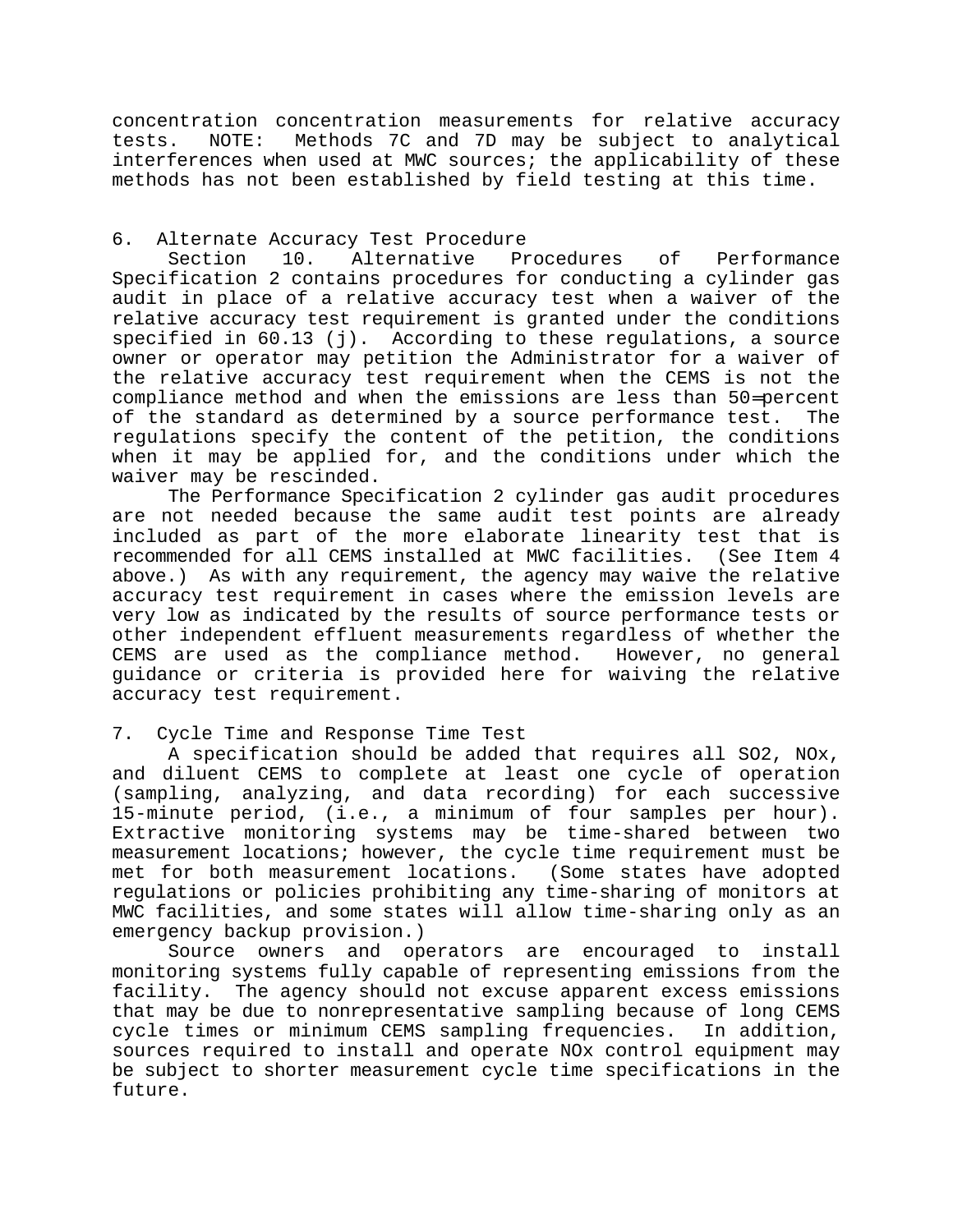concentration concentration measurements for relative accuracy tests. NOTE: Methods 7C and 7D may be subject to analytical interferences when used at MWC sources; the applicability of these methods has not been established by field testing at this time.

# 6. Alternate Accuracy Test Procedure

Section 10. Alternative Procedures of Performance Specification 2 contains procedures for conducting a cylinder gas audit in place of a relative accuracy test when a waiver of the relative accuracy test requirement is granted under the conditions specified in 60.13 (j). According to these regulations, a source owner or operator may petition the Administrator for a waiver of the relative accuracy test requirement when the CEMS is not the compliance method and when the emissions are less than 50=percent of the standard as determined by a source performance test. The regulations specify the content of the petition, the conditions when it may be applied for, and the conditions under which the waiver may be rescinded.

The Performance Specification 2 cylinder gas audit procedures are not needed because the same audit test points are already included as part of the more elaborate linearity test that is recommended for all CEMS installed at MWC facilities. (See Item 4 above.) As with any requirement, the agency may waive the relative accuracy test requirement in cases where the emission levels are very low as indicated by the results of source performance tests or other independent effluent measurements regardless of whether the CEMS are used as the compliance method. However, no general guidance or criteria is provided here for waiving the relative accuracy test requirement.

# 7. Cycle Time and Response Time Test

A specification should be added that requires all SO2, NOx, and diluent CEMS to complete at least one cycle of operation (sampling, analyzing, and data recording) for each successive 15-minute period, (i.e., a minimum of four samples per hour). Extractive monitoring systems may be time-shared between two measurement locations; however, the cycle time requirement must be met for both measurement locations. (Some states have adopted regulations or policies prohibiting any time-sharing of monitors at MWC facilities, and some states will allow time-sharing only as an emergency backup provision.)

Source owners and operators are encouraged to install monitoring systems fully capable of representing emissions from the facility. The agency should not excuse apparent excess emissions that may be due to nonrepresentative sampling because of long CEMS cycle times or minimum CEMS sampling frequencies. In addition, sources required to install and operate NOx control equipment may be subject to shorter measurement cycle time specifications in the future.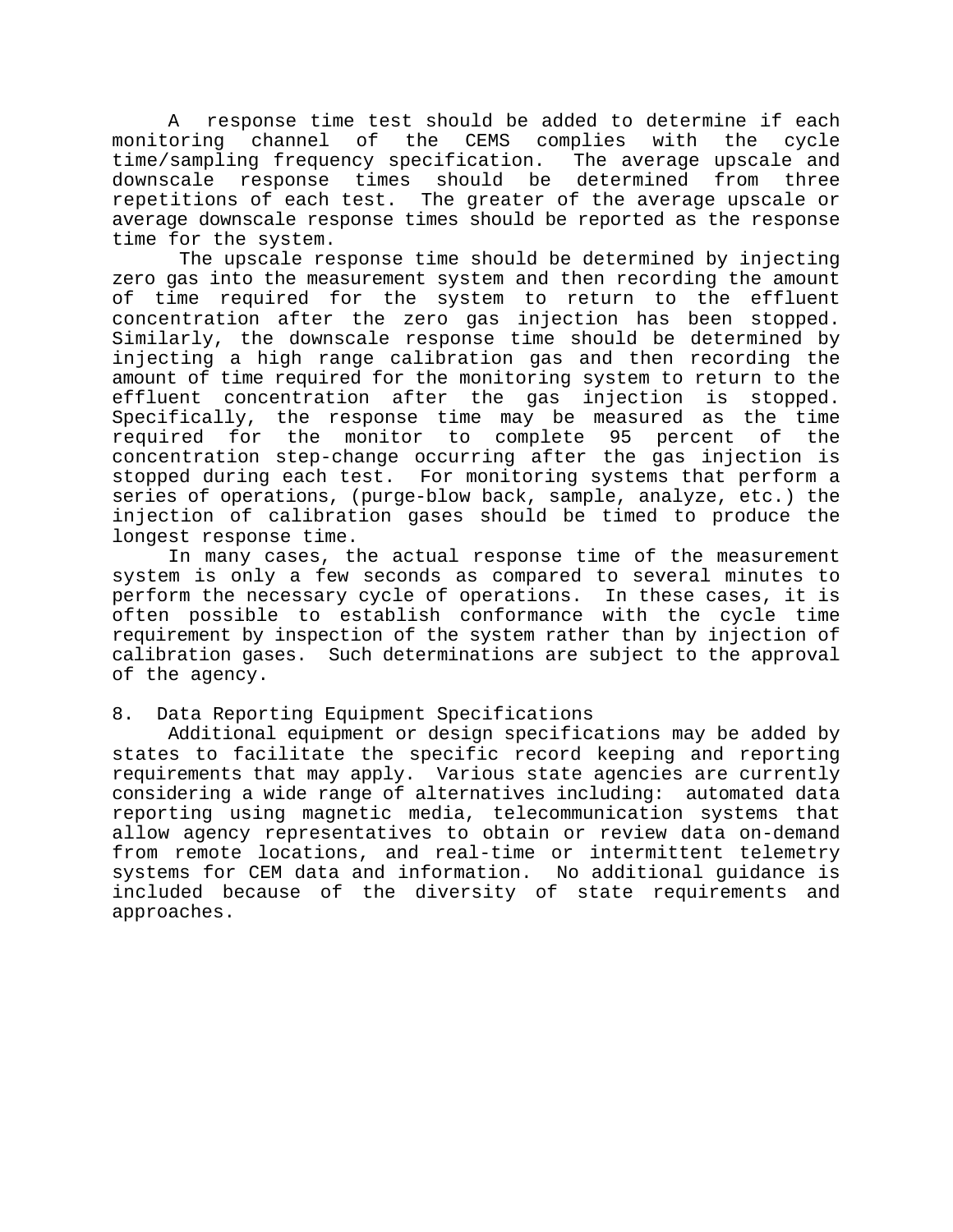A response time test should be added to determine if each monitoring channel of the CEMS complies with the cycle time/sampling frequency specification. The average upscale and downscale response times should be determined from three repetitions of each test. The greater of the average upscale or average downscale response times should be reported as the response time for the system.

 The upscale response time should be determined by injecting zero gas into the measurement system and then recording the amount of time required for the system to return to the effluent concentration after the zero gas injection has been stopped. Similarly, the downscale response time should be determined by injecting a high range calibration gas and then recording the amount of time required for the monitoring system to return to the effluent concentration after the gas injection is stopped. Specifically, the response time may be measured as the time required for the monitor to complete 95 percent of the concentration step-change occurring after the gas injection is stopped during each test. For monitoring systems that perform a series of operations, (purge-blow back, sample, analyze, etc.) the injection of calibration gases should be timed to produce the longest response time.

In many cases, the actual response time of the measurement system is only a few seconds as compared to several minutes to perform the necessary cycle of operations. In these cases, it is often possible to establish conformance with the cycle time requirement by inspection of the system rather than by injection of calibration gases. Such determinations are subject to the approval of the agency.

#### 8. Data Reporting Equipment Specifications

Additional equipment or design specifications may be added by states to facilitate the specific record keeping and reporting requirements that may apply. Various state agencies are currently considering a wide range of alternatives including: automated data reporting using magnetic media, telecommunication systems that allow agency representatives to obtain or review data on-demand from remote locations, and real-time or intermittent telemetry systems for CEM data and information. No additional guidance is included because of the diversity of state requirements and approaches.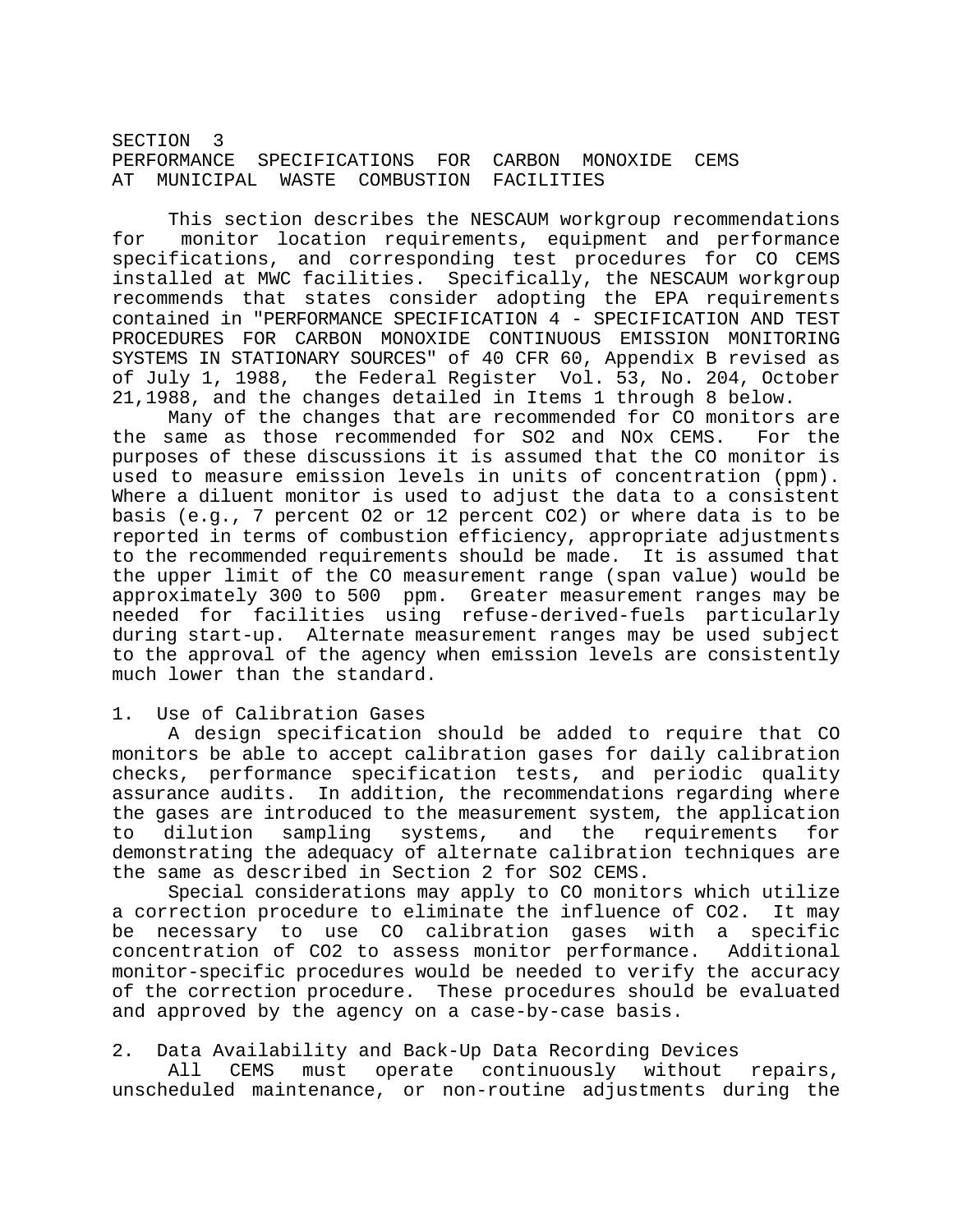SECTION 3 PERFORMANCE SPECIFICATIONS FOR CARBON MONOXIDE CEMS AT MUNICIPAL WASTE COMBUSTION FACILITIES

This section describes the NESCAUM workgroup recommendations for monitor location requirements, equipment and performance specifications, and corresponding test procedures for CO CEMS installed at MWC facilities. Specifically, the NESCAUM workgroup recommends that states consider adopting the EPA requirements contained in "PERFORMANCE SPECIFICATION 4 - SPECIFICATION AND TEST PROCEDURES FOR CARBON MONOXIDE CONTINUOUS EMISSION MONITORING SYSTEMS IN STATIONARY SOURCES" of 40 CFR 60, Appendix B revised as of July 1, 1988, the Federal Register Vol. 53, No. 204, October 21,1988, and the changes detailed in Items 1 through 8 below.

Many of the changes that are recommended for CO monitors are the same as those recommended for SO2 and NOx CEMS. For the purposes of these discussions it is assumed that the CO monitor is used to measure emission levels in units of concentration (ppm). Where a diluent monitor is used to adjust the data to a consistent basis (e.g., 7 percent O2 or 12 percent CO2) or where data is to be reported in terms of combustion efficiency, appropriate adjustments to the recommended requirements should be made. It is assumed that the upper limit of the CO measurement range (span value) would be approximately 300 to 500 ppm. Greater measurement ranges may be needed for facilities using refuse-derived-fuels particularly during start-up. Alternate measurement ranges may be used subject to the approval of the agency when emission levels are consistently much lower than the standard.

#### 1. Use of Calibration Gases

A design specification should be added to require that CO monitors be able to accept calibration gases for daily calibration checks, performance specification tests, and periodic quality assurance audits. In addition, the recommendations regarding where the gases are introduced to the measurement system, the application to dilution sampling systems, and the requirements for demonstrating the adequacy of alternate calibration techniques are the same as described in Section 2 for SO2 CEMS.

Special considerations may apply to CO monitors which utilize a correction procedure to eliminate the influence of CO2. It may be necessary to use CO calibration gases with a specific concentration of CO2 to assess monitor performance. Additional monitor-specific procedures would be needed to verify the accuracy of the correction procedure. These procedures should be evaluated and approved by the agency on a case-by-case basis.

#### 2. Data Availability and Back-Up Data Recording Devices

All CEMS must operate continuously without repairs, unscheduled maintenance, or non-routine adjustments during the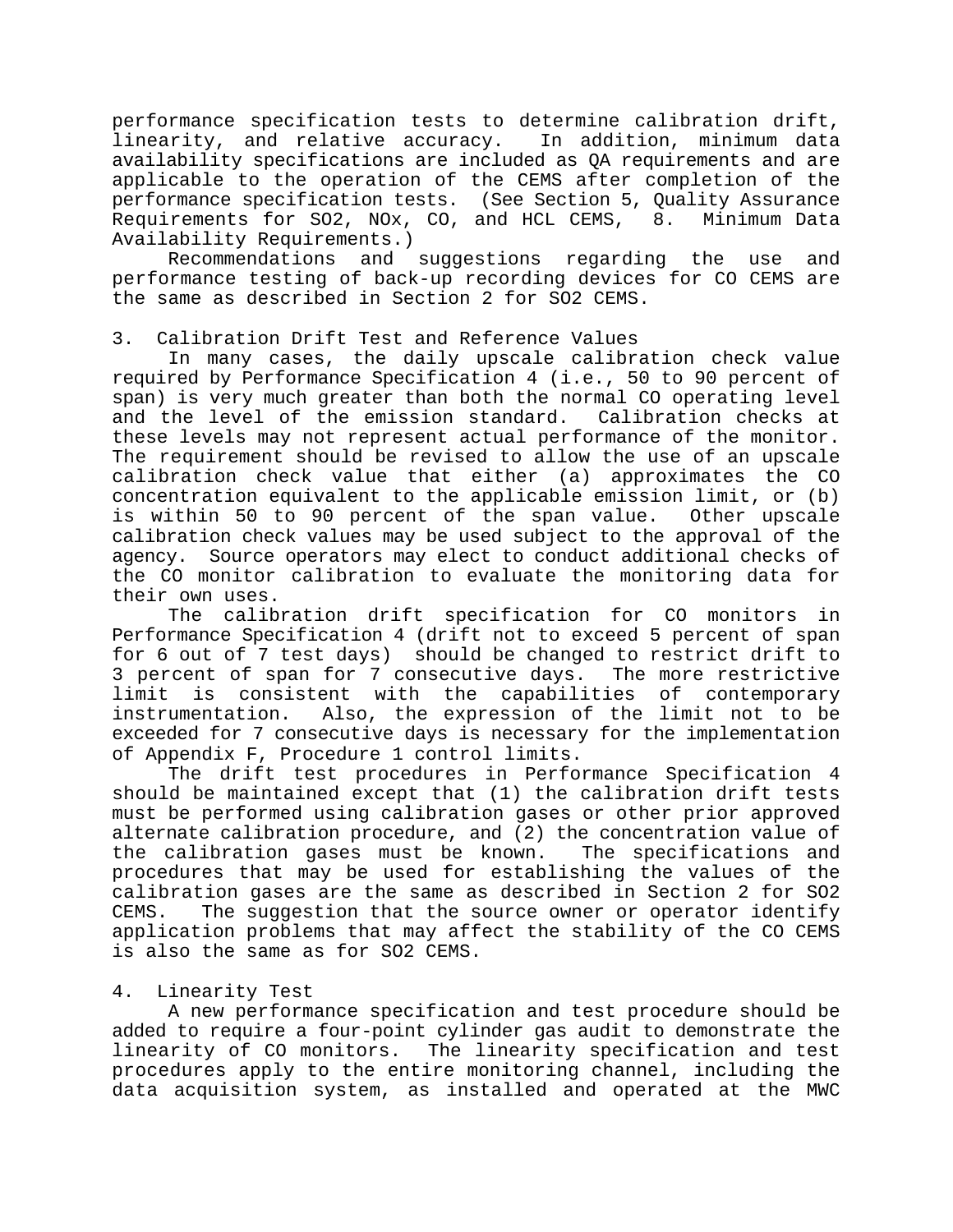performance specification tests to determine calibration drift, linearity, and relative accuracy. In addition, minimum data availability specifications are included as QA requirements and are applicable to the operation of the CEMS after completion of the performance specification tests. (See Section 5, Quality Assurance Requirements for SO2, NOx, CO, and HCL CEMS, 8. Minimum Data Availability Requirements.)

Recommendations and suggestions regarding the use and performance testing of back-up recording devices for CO CEMS are the same as described in Section 2 for SO2 CEMS.

## 3. Calibration Drift Test and Reference Values

In many cases, the daily upscale calibration check value required by Performance Specification 4 (i.e., 50 to 90 percent of span) is very much greater than both the normal CO operating level and the level of the emission standard. Calibration checks at these levels may not represent actual performance of the monitor. The requirement should be revised to allow the use of an upscale calibration check value that either (a) approximates the CO concentration equivalent to the applicable emission limit, or (b) is within 50 to 90 percent of the span value. Other upscale calibration check values may be used subject to the approval of the agency. Source operators may elect to conduct additional checks of the CO monitor calibration to evaluate the monitoring data for their own uses.

The calibration drift specification for CO monitors in Performance Specification 4 (drift not to exceed 5 percent of span for 6 out of 7 test days) should be changed to restrict drift to 3 percent of span for 7 consecutive days. The more restrictive limit is consistent with the capabilities of contemporary instrumentation. Also, the expression of the limit not to be exceeded for 7 consecutive days is necessary for the implementation of Appendix F, Procedure 1 control limits.

The drift test procedures in Performance Specification 4 should be maintained except that (1) the calibration drift tests must be performed using calibration gases or other prior approved alternate calibration procedure, and (2) the concentration value of the calibration gases must be known. The specifications and procedures that may be used for establishing the values of the calibration gases are the same as described in Section 2 for SO2 CEMS. The suggestion that the source owner or operator identify application problems that may affect the stability of the CO CEMS is also the same as for SO2 CEMS.

# 4. Linearity Test

A new performance specification and test procedure should be added to require a four-point cylinder gas audit to demonstrate the linearity of CO monitors. The linearity specification and test procedures apply to the entire monitoring channel, including the data acquisition system, as installed and operated at the MWC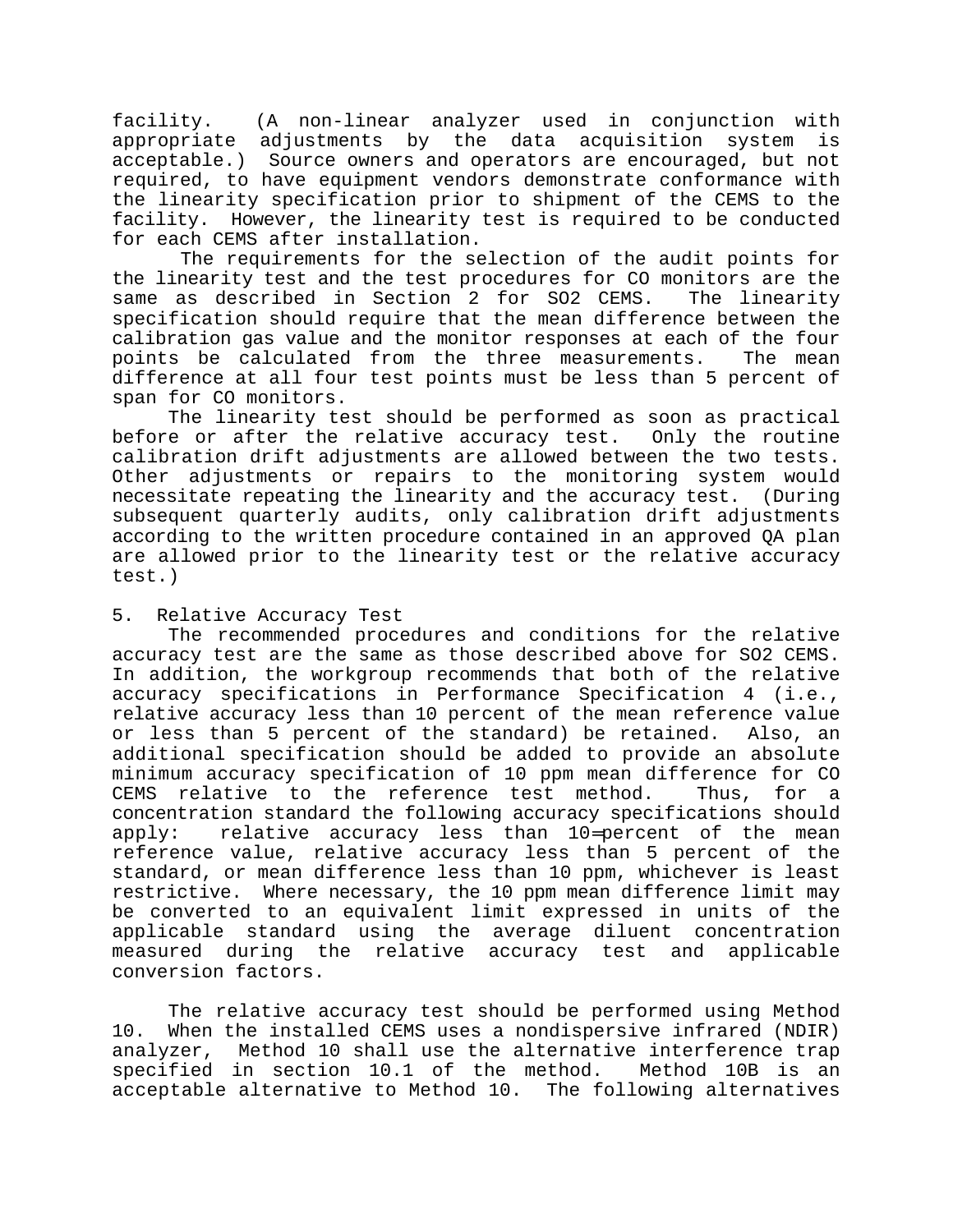facility. (A non-linear analyzer used in conjunction with appropriate adjustments by the data acquisition system is acceptable.) Source owners and operators are encouraged, but not required, to have equipment vendors demonstrate conformance with the linearity specification prior to shipment of the CEMS to the facility. However, the linearity test is required to be conducted for each CEMS after installation.

 The requirements for the selection of the audit points for the linearity test and the test procedures for CO monitors are the same as described in Section 2 for SO2 CEMS. The linearity specification should require that the mean difference between the calibration gas value and the monitor responses at each of the four points be calculated from the three measurements. The mean difference at all four test points must be less than 5 percent of span for CO monitors.

The linearity test should be performed as soon as practical before or after the relative accuracy test. Only the routine calibration drift adjustments are allowed between the two tests. Other adjustments or repairs to the monitoring system would necessitate repeating the linearity and the accuracy test. (During subsequent quarterly audits, only calibration drift adjustments according to the written procedure contained in an approved QA plan are allowed prior to the linearity test or the relative accuracy test.)

# 5. Relative Accuracy Test

The recommended procedures and conditions for the relative accuracy test are the same as those described above for SO2 CEMS. In addition, the workgroup recommends that both of the relative accuracy specifications in Performance Specification 4 (i.e., relative accuracy less than 10 percent of the mean reference value or less than 5 percent of the standard) be retained. Also, an additional specification should be added to provide an absolute minimum accuracy specification of 10 ppm mean difference for CO CEMS relative to the reference test method. Thus, for a concentration standard the following accuracy specifications should apply: relative accuracy less than 10=percent of the mean reference value, relative accuracy less than 5 percent of the standard, or mean difference less than 10 ppm, whichever is least restrictive. Where necessary, the 10 ppm mean difference limit may be converted to an equivalent limit expressed in units of the applicable standard using the average diluent concentration measured during the relative accuracy test and applicable conversion factors.

The relative accuracy test should be performed using Method 10. When the installed CEMS uses a nondispersive infrared (NDIR) analyzer, Method 10 shall use the alternative interference trap specified in section 10.1 of the method. Method 10B is an acceptable alternative to Method 10. The following alternatives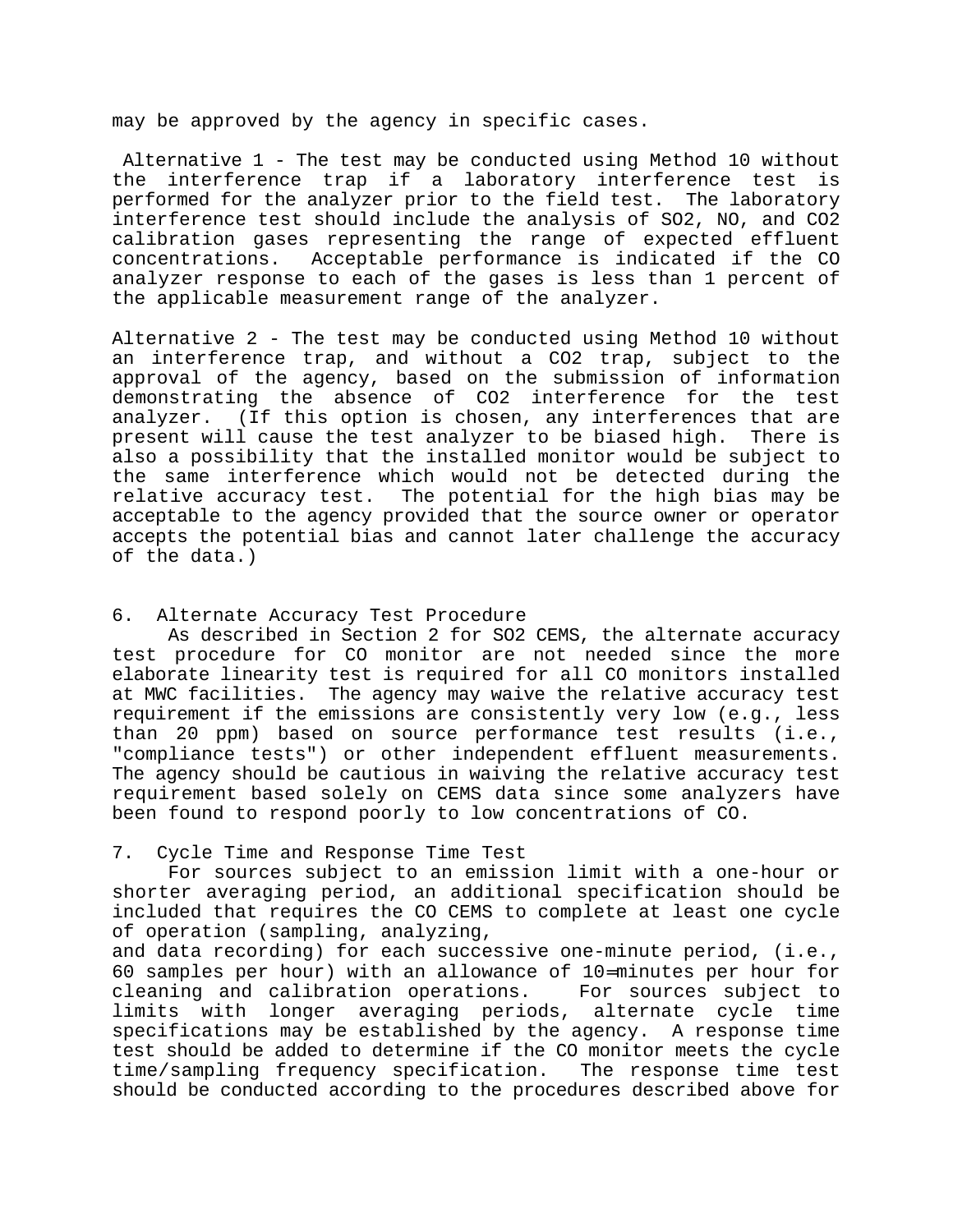may be approved by the agency in specific cases.

 Alternative 1 - The test may be conducted using Method 10 without the interference trap if a laboratory interference test is performed for the analyzer prior to the field test. The laboratory interference test should include the analysis of SO2, NO, and CO2 calibration gases representing the range of expected effluent concentrations. Acceptable performance is indicated if the CO analyzer response to each of the gases is less than 1 percent of the applicable measurement range of the analyzer.

Alternative 2 - The test may be conducted using Method 10 without an interference trap, and without a CO2 trap, subject to the approval of the agency, based on the submission of information demonstrating the absence of CO2 interference for the test analyzer. (If this option is chosen, any interferences that are present will cause the test analyzer to be biased high. There is also a possibility that the installed monitor would be subject to the same interference which would not be detected during the relative accuracy test. The potential for the high bias may be acceptable to the agency provided that the source owner or operator accepts the potential bias and cannot later challenge the accuracy of the data.)

#### 6. Alternate Accuracy Test Procedure

As described in Section 2 for SO2 CEMS, the alternate accuracy test procedure for CO monitor are not needed since the more elaborate linearity test is required for all CO monitors installed at MWC facilities. The agency may waive the relative accuracy test requirement if the emissions are consistently very low (e.g., less than 20 ppm) based on source performance test results (i.e., "compliance tests") or other independent effluent measurements. The agency should be cautious in waiving the relative accuracy test requirement based solely on CEMS data since some analyzers have been found to respond poorly to low concentrations of CO.

#### 7. Cycle Time and Response Time Test

For sources subject to an emission limit with a one-hour or shorter averaging period, an additional specification should be included that requires the CO CEMS to complete at least one cycle of operation (sampling, analyzing,

and data recording) for each successive one-minute period, (i.e., 60 samples per hour) with an allowance of 10=minutes per hour for cleaning and calibration operations. For sources subject to limits with longer averaging periods, alternate cycle time specifications may be established by the agency. A response time test should be added to determine if the CO monitor meets the cycle time/sampling frequency specification. The response time test should be conducted according to the procedures described above for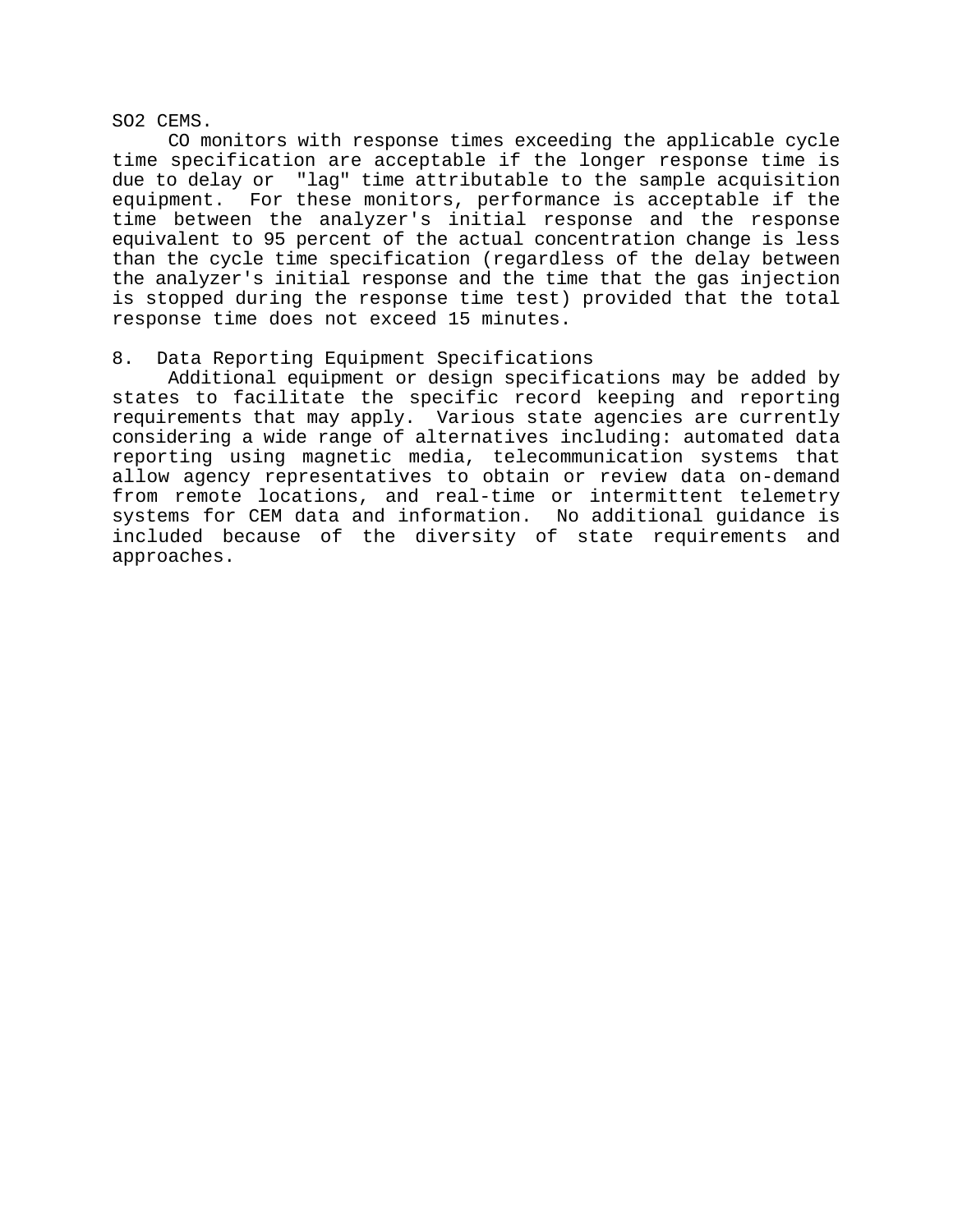SO2 CEMS.

CO monitors with response times exceeding the applicable cycle time specification are acceptable if the longer response time is due to delay or "lag" time attributable to the sample acquisition equipment. For these monitors, performance is acceptable if the time between the analyzer's initial response and the response equivalent to 95 percent of the actual concentration change is less than the cycle time specification (regardless of the delay between the analyzer's initial response and the time that the gas injection is stopped during the response time test) provided that the total response time does not exceed 15 minutes.

## 8. Data Reporting Equipment Specifications

Additional equipment or design specifications may be added by states to facilitate the specific record keeping and reporting requirements that may apply. Various state agencies are currently considering a wide range of alternatives including: automated data reporting using magnetic media, telecommunication systems that allow agency representatives to obtain or review data on-demand from remote locations, and real-time or intermittent telemetry systems for CEM data and information. No additional guidance is included because of the diversity of state requirements and approaches.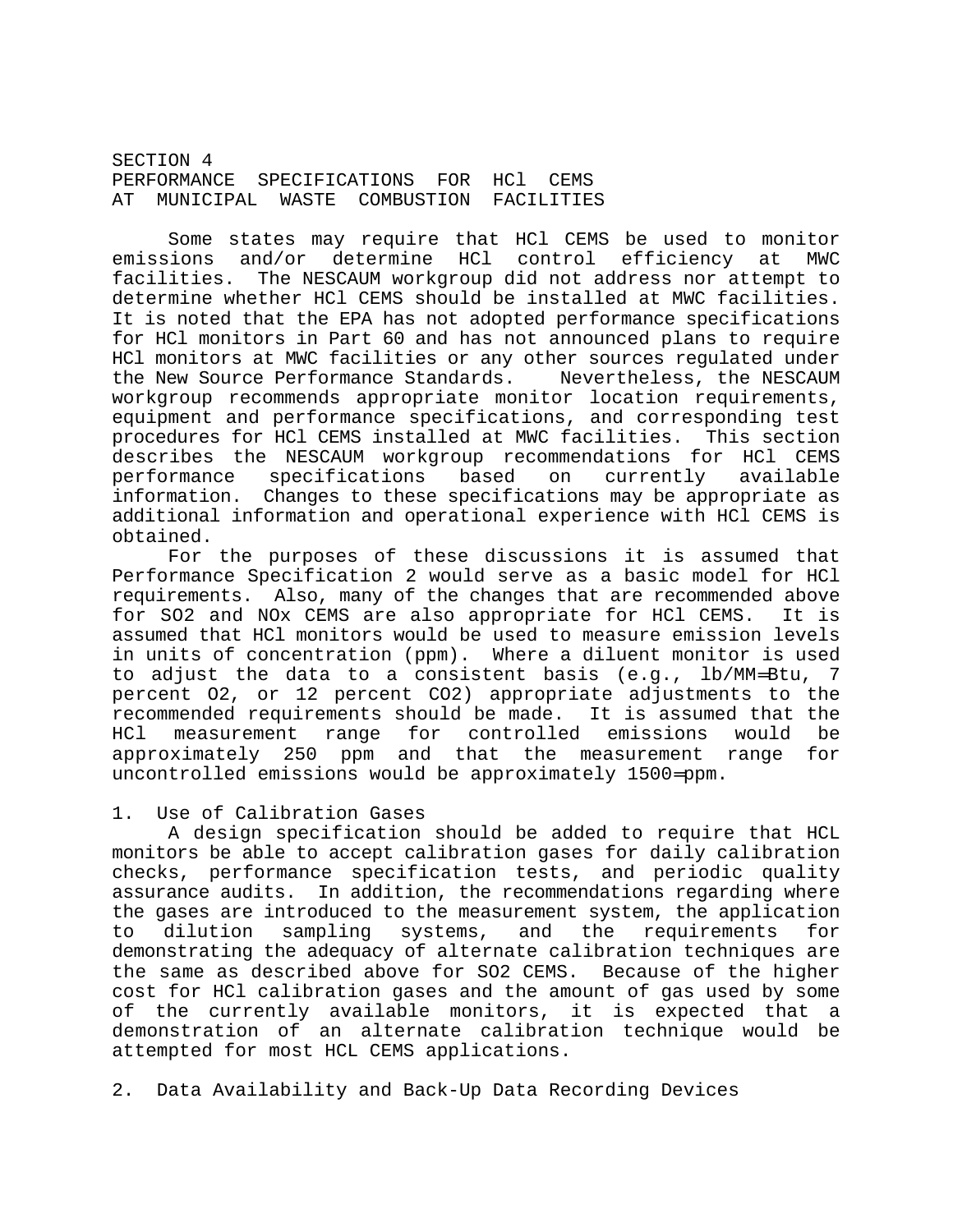SECTION 4 PERFORMANCE SPECIFICATIONS FOR HCl CEMS AT MUNICIPAL WASTE COMBUSTION FACILITIES

Some states may require that HCl CEMS be used to monitor emissions and/or determine HCl control efficiency at MWC facilities. The NESCAUM workgroup did not address nor attempt to determine whether HCl CEMS should be installed at MWC facilities. It is noted that the EPA has not adopted performance specifications for HCl monitors in Part 60 and has not announced plans to require HCl monitors at MWC facilities or any other sources regulated under the New Source Performance Standards. Nevertheless, the NESCAUM workgroup recommends appropriate monitor location requirements, equipment and performance specifications, and corresponding test procedures for HCl CEMS installed at MWC facilities. This section describes the NESCAUM workgroup recommendations for HCl CEMS performance specifications based on currently available information. Changes to these specifications may be appropriate as additional information and operational experience with HCl CEMS is obtained.

For the purposes of these discussions it is assumed that Performance Specification 2 would serve as a basic model for HCl requirements. Also, many of the changes that are recommended above for SO2 and NOx CEMS are also appropriate for HCl CEMS. It is assumed that HCl monitors would be used to measure emission levels in units of concentration (ppm). Where a diluent monitor is used to adjust the data to a consistent basis (e.g., lb/MM=Btu, 7 percent O2, or 12 percent CO2) appropriate adjustments to the recommended requirements should be made. It is assumed that the HCl measurement range for controlled emissions would be approximately 250 ppm and that the measurement range for uncontrolled emissions would be approximately 1500=ppm.

#### 1. Use of Calibration Gases

A design specification should be added to require that HCL monitors be able to accept calibration gases for daily calibration checks, performance specification tests, and periodic quality assurance audits. In addition, the recommendations regarding where the gases are introduced to the measurement system, the application to dilution sampling systems, and the requirements for demonstrating the adequacy of alternate calibration techniques are the same as described above for SO2 CEMS. Because of the higher cost for HCl calibration gases and the amount of gas used by some of the currently available monitors, it is expected that a demonstration of an alternate calibration technique would be attempted for most HCL CEMS applications.

2. Data Availability and Back-Up Data Recording Devices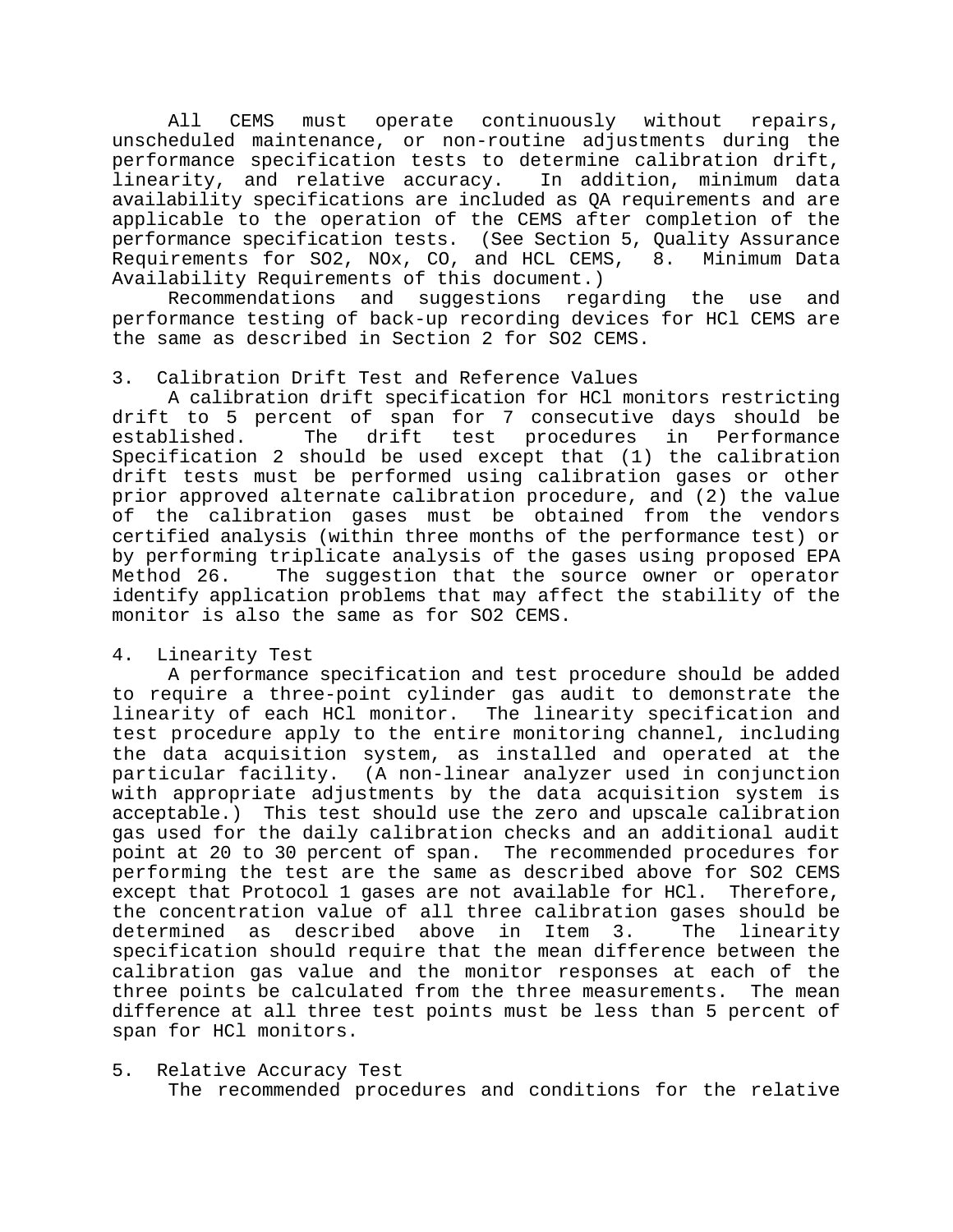All CEMS must operate continuously without repairs, unscheduled maintenance, or non-routine adjustments during the performance specification tests to determine calibration drift, linearity, and relative accuracy. In addition, minimum data availability specifications are included as QA requirements and are applicable to the operation of the CEMS after completion of the performance specification tests. (See Section 5, Quality Assurance Requirements for SO2, NOx, CO, and HCL CEMS, 8. Minimum Data Availability Requirements of this document.)

Recommendations and suggestions regarding the use and performance testing of back-up recording devices for HCl CEMS are the same as described in Section 2 for SO2 CEMS.

## 3. Calibration Drift Test and Reference Values

A calibration drift specification for HCl monitors restricting drift to 5 percent of span for 7 consecutive days should be established. The drift test procedures in Performance Specification 2 should be used except that (1) the calibration drift tests must be performed using calibration gases or other prior approved alternate calibration procedure, and (2) the value of the calibration gases must be obtained from the vendors certified analysis (within three months of the performance test) or by performing triplicate analysis of the gases using proposed EPA Method 26. The suggestion that the source owner or operator identify application problems that may affect the stability of the monitor is also the same as for SO2 CEMS.

#### 4. Linearity Test

A performance specification and test procedure should be added to require a three-point cylinder gas audit to demonstrate the linearity of each HCl monitor. The linearity specification and test procedure apply to the entire monitoring channel, including the data acquisition system, as installed and operated at the particular facility. (A non-linear analyzer used in conjunction with appropriate adjustments by the data acquisition system is acceptable.) This test should use the zero and upscale calibration gas used for the daily calibration checks and an additional audit point at 20 to 30 percent of span. The recommended procedures for performing the test are the same as described above for SO2 CEMS except that Protocol 1 gases are not available for HCl. Therefore, the concentration value of all three calibration gases should be determined as described above in Item 3. The linearity specification should require that the mean difference between the calibration gas value and the monitor responses at each of the three points be calculated from the three measurements. The mean difference at all three test points must be less than 5 percent of span for HCl monitors.

5. Relative Accuracy Test The recommended procedures and conditions for the relative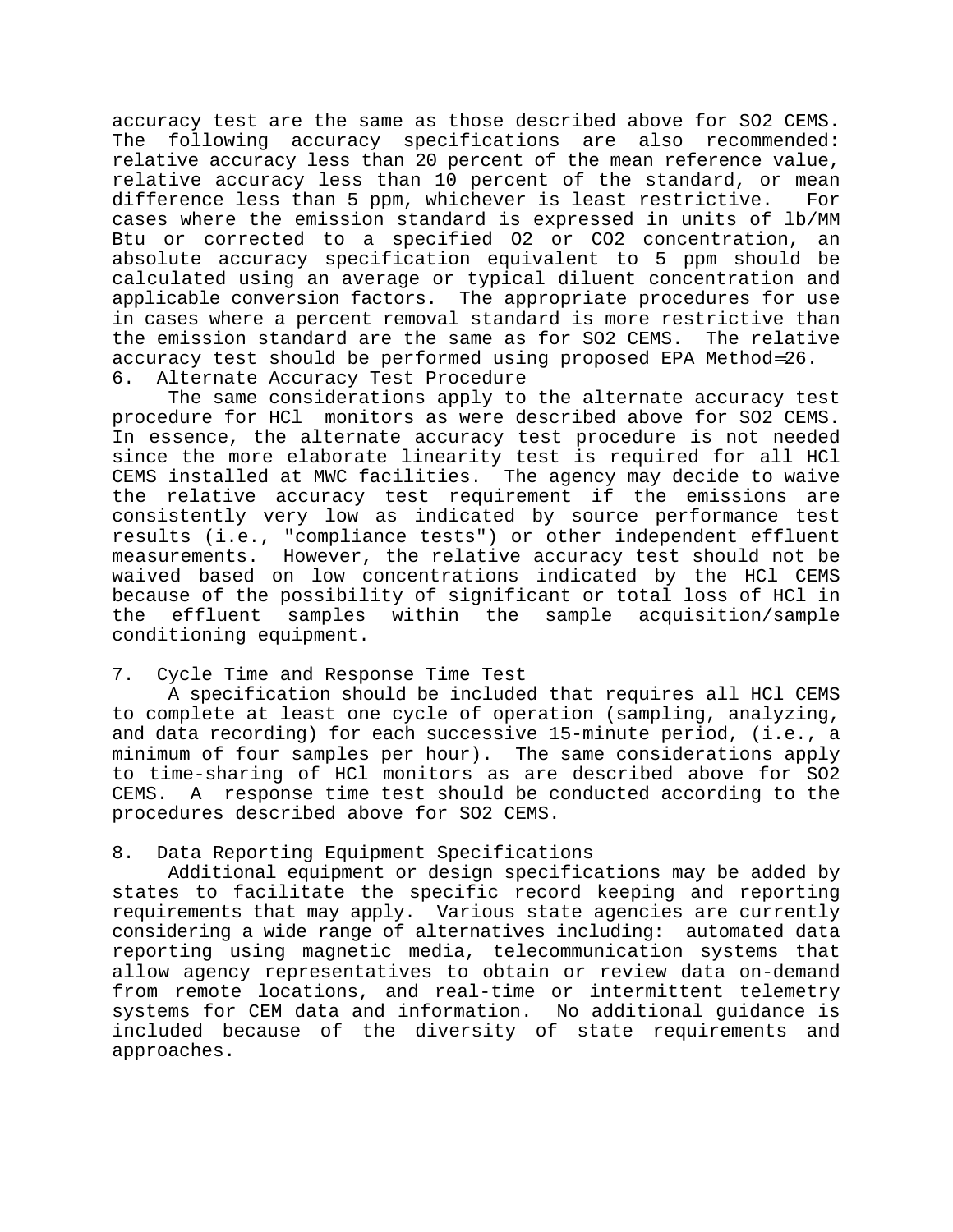accuracy test are the same as those described above for SO2 CEMS. The following accuracy specifications are also recommended: relative accuracy less than 20 percent of the mean reference value, relative accuracy less than 10 percent of the standard, or mean difference less than 5 ppm, whichever is least restrictive. For cases where the emission standard is expressed in units of lb/MM Btu or corrected to a specified O2 or CO2 concentration, an absolute accuracy specification equivalent to 5 ppm should be calculated using an average or typical diluent concentration and applicable conversion factors. The appropriate procedures for use in cases where a percent removal standard is more restrictive than the emission standard are the same as for SO2 CEMS. The relative accuracy test should be performed using proposed EPA Method=26. 6. Alternate Accuracy Test Procedure

The same considerations apply to the alternate accuracy test procedure for HCl monitors as were described above for SO2 CEMS. In essence, the alternate accuracy test procedure is not needed since the more elaborate linearity test is required for all HCl CEMS installed at MWC facilities. The agency may decide to waive the relative accuracy test requirement if the emissions are consistently very low as indicated by source performance test results (i.e., "compliance tests") or other independent effluent measurements. However, the relative accuracy test should not be waived based on low concentrations indicated by the HCl CEMS because of the possibility of significant or total loss of HCl in the effluent samples within the sample acquisition/sample conditioning equipment.

#### 7. Cycle Time and Response Time Test

A specification should be included that requires all HCl CEMS to complete at least one cycle of operation (sampling, analyzing, and data recording) for each successive 15-minute period, (i.e., a minimum of four samples per hour). The same considerations apply to time-sharing of HCl monitors as are described above for SO2 CEMS. A response time test should be conducted according to the procedures described above for SO2 CEMS.

# 8. Data Reporting Equipment Specifications

Additional equipment or design specifications may be added by states to facilitate the specific record keeping and reporting requirements that may apply. Various state agencies are currently considering a wide range of alternatives including: automated data reporting using magnetic media, telecommunication systems that allow agency representatives to obtain or review data on-demand from remote locations, and real-time or intermittent telemetry systems for CEM data and information. No additional guidance is included because of the diversity of state requirements and approaches.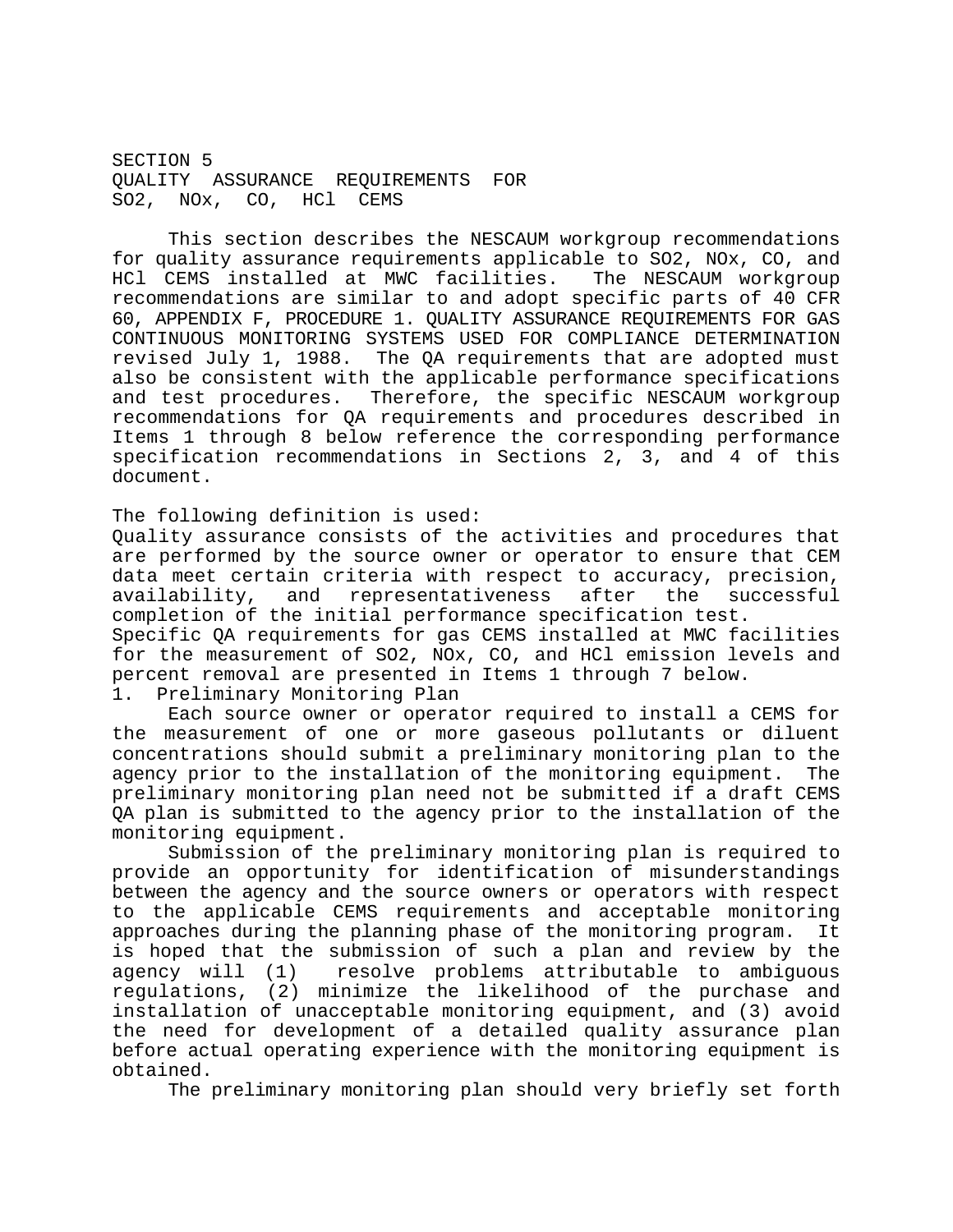SECTION 5 QUALITY ASSURANCE REQUIREMENTS FOR SO2, NOx, CO, HCl CEMS

This section describes the NESCAUM workgroup recommendations for quality assurance requirements applicable to SO2, NOx, CO, and HCl CEMS installed at MWC facilities. The NESCAUM workgroup recommendations are similar to and adopt specific parts of 40 CFR 60, APPENDIX F, PROCEDURE 1. QUALITY ASSURANCE REQUIREMENTS FOR GAS CONTINUOUS MONITORING SYSTEMS USED FOR COMPLIANCE DETERMINATION revised July 1, 1988. The QA requirements that are adopted must also be consistent with the applicable performance specifications and test procedures. Therefore, the specific NESCAUM workgroup recommendations for QA requirements and procedures described in Items 1 through 8 below reference the corresponding performance specification recommendations in Sections 2, 3, and 4 of this document.

The following definition is used:

Quality assurance consists of the activities and procedures that are performed by the source owner or operator to ensure that CEM data meet certain criteria with respect to accuracy, precision, availability, and representativeness after the successful completion of the initial performance specification test. Specific QA requirements for gas CEMS installed at MWC facilities for the measurement of SO2, NOx, CO, and HCl emission levels and percent removal are presented in Items 1 through 7 below.

1. Preliminary Monitoring Plan

Each source owner or operator required to install a CEMS for the measurement of one or more gaseous pollutants or diluent concentrations should submit a preliminary monitoring plan to the agency prior to the installation of the monitoring equipment. The preliminary monitoring plan need not be submitted if a draft CEMS QA plan is submitted to the agency prior to the installation of the monitoring equipment.

Submission of the preliminary monitoring plan is required to provide an opportunity for identification of misunderstandings between the agency and the source owners or operators with respect to the applicable CEMS requirements and acceptable monitoring approaches during the planning phase of the monitoring program. It is hoped that the submission of such a plan and review by the agency will (1) resolve problems attributable to ambiguous regulations, (2) minimize the likelihood of the purchase and installation of unacceptable monitoring equipment, and (3) avoid the need for development of a detailed quality assurance plan before actual operating experience with the monitoring equipment is obtained.

The preliminary monitoring plan should very briefly set forth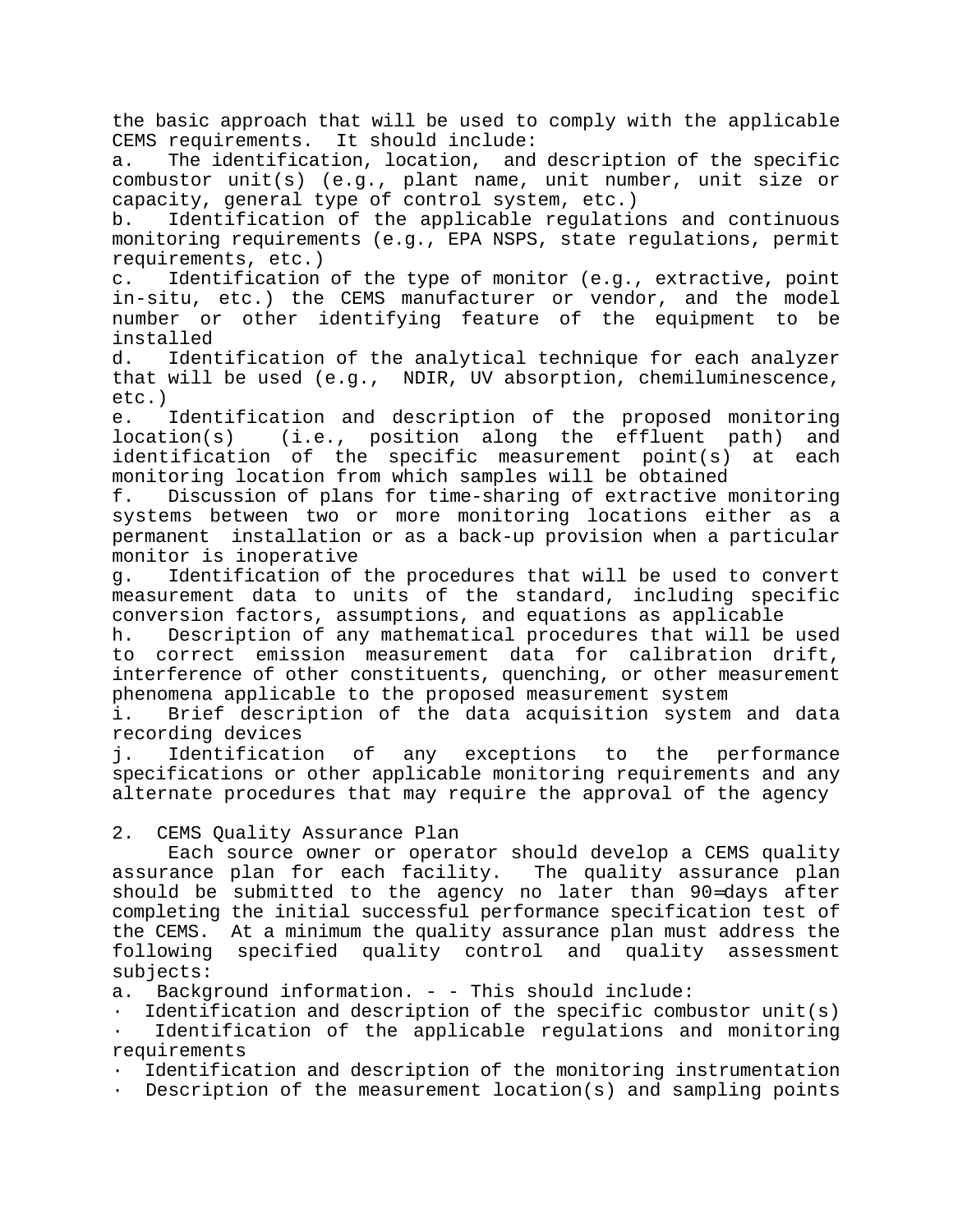the basic approach that will be used to comply with the applicable CEMS requirements. It should include:

a. The identification, location, and description of the specific combustor unit(s) (e.g., plant name, unit number, unit size or capacity, general type of control system, etc.)

b. Identification of the applicable regulations and continuous monitoring requirements (e.g., EPA NSPS, state regulations, permit requirements, etc.)

c. Identification of the type of monitor (e.g., extractive, point in-situ, etc.) the CEMS manufacturer or vendor, and the model number or other identifying feature of the equipment to be installed

d. Identification of the analytical technique for each analyzer that will be used (e.g., NDIR, UV absorption, chemiluminescence, etc.)

e. Identification and description of the proposed monitoring location(s) (i.e., position along the effluent path) and identification of the specific measurement point(s) at each monitoring location from which samples will be obtained

f. Discussion of plans for time-sharing of extractive monitoring systems between two or more monitoring locations either as a permanent installation or as a back-up provision when a particular monitor is inoperative

g. Identification of the procedures that will be used to convert measurement data to units of the standard, including specific conversion factors, assumptions, and equations as applicable

h. Description of any mathematical procedures that will be used to correct emission measurement data for calibration drift, interference of other constituents, quenching, or other measurement phenomena applicable to the proposed measurement system

i. Brief description of the data acquisition system and data recording devices

j. Identification of any exceptions to the performance specifications or other applicable monitoring requirements and any alternate procedures that may require the approval of the agency

#### 2. CEMS Quality Assurance Plan

Each source owner or operator should develop a CEMS quality assurance plan for each facility. The quality assurance plan should be submitted to the agency no later than 90=days after completing the initial successful performance specification test of the CEMS. At a minimum the quality assurance plan must address the following specified quality control and quality assessment subjects:

a. Background information. - - This should include:

Identification and description of the specific combustor unit(s)

Identification of the applicable regulations and monitoring requirements

· Identification and description of the monitoring instrumentation

· Description of the measurement location(s) and sampling points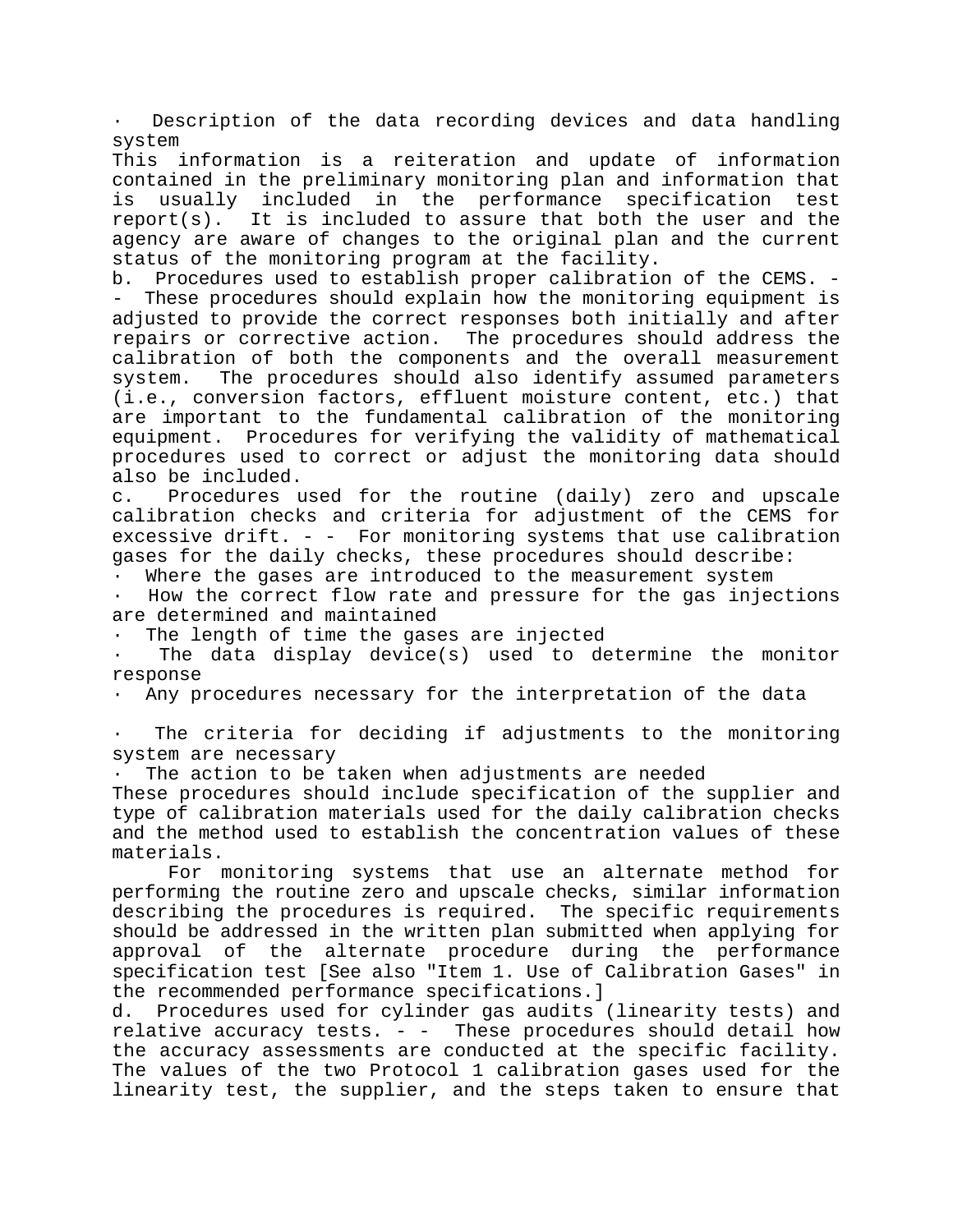Description of the data recording devices and data handling system

This information is a reiteration and update of information contained in the preliminary monitoring plan and information that is usually included in the performance specification test report(s). It is included to assure that both the user and the agency are aware of changes to the original plan and the current status of the monitoring program at the facility.

b. Procedures used to establish proper calibration of the CEMS. - - These procedures should explain how the monitoring equipment is adjusted to provide the correct responses both initially and after repairs or corrective action. The procedures should address the calibration of both the components and the overall measurement system. The procedures should also identify assumed parameters (i.e., conversion factors, effluent moisture content, etc.) that are important to the fundamental calibration of the monitoring equipment. Procedures for verifying the validity of mathematical procedures used to correct or adjust the monitoring data should also be included.

c. Procedures used for the routine (daily) zero and upscale calibration checks and criteria for adjustment of the CEMS for excessive drift. - - For monitoring systems that use calibration gases for the daily checks, these procedures should describe:

· Where the gases are introduced to the measurement system

How the correct flow rate and pressure for the gas injections are determined and maintained

The length of time the gases are injected

The data display device(s) used to determine the monitor response

· Any procedures necessary for the interpretation of the data

The criteria for deciding if adjustments to the monitoring system are necessary

· The action to be taken when adjustments are needed

These procedures should include specification of the supplier and type of calibration materials used for the daily calibration checks and the method used to establish the concentration values of these materials.

For monitoring systems that use an alternate method for performing the routine zero and upscale checks, similar information describing the procedures is required. The specific requirements should be addressed in the written plan submitted when applying for approval of the alternate procedure during the performance specification test [See also "Item 1. Use of Calibration Gases" in the recommended performance specifications.]

d. Procedures used for cylinder gas audits (linearity tests) and relative accuracy tests.  $-$  - These procedures should detail how the accuracy assessments are conducted at the specific facility. The values of the two Protocol 1 calibration gases used for the linearity test, the supplier, and the steps taken to ensure that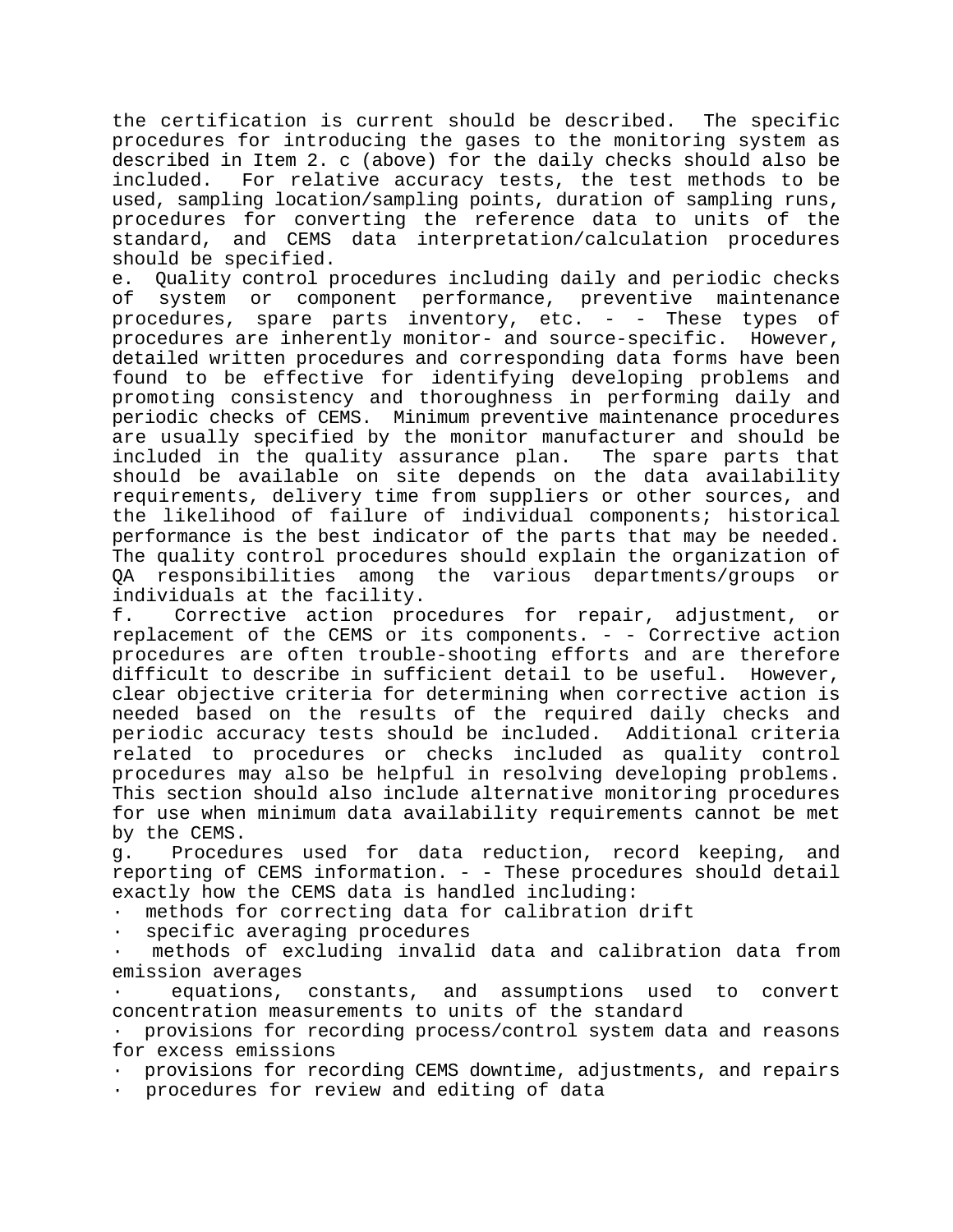the certification is current should be described. The specific procedures for introducing the gases to the monitoring system as described in Item 2. c (above) for the daily checks should also be included. For relative accuracy tests, the test methods to be used, sampling location/sampling points, duration of sampling runs, procedures for converting the reference data to units of the standard, and CEMS data interpretation/calculation procedures should be specified.

e. Quality control procedures including daily and periodic checks of system or component performance, preventive maintenance procedures, spare parts inventory, etc. - - These types of procedures are inherently monitor- and source-specific. However, detailed written procedures and corresponding data forms have been found to be effective for identifying developing problems and promoting consistency and thoroughness in performing daily and periodic checks of CEMS. Minimum preventive maintenance procedures are usually specified by the monitor manufacturer and should be included in the quality assurance plan. The spare parts that should be available on site depends on the data availability requirements, delivery time from suppliers or other sources, and the likelihood of failure of individual components; historical performance is the best indicator of the parts that may be needed. The quality control procedures should explain the organization of QA responsibilities among the various departments/groups or individuals at the facility.

f. Corrective action procedures for repair, adjustment, or replacement of the CEMS or its components. - - Corrective action procedures are often trouble-shooting efforts and are therefore difficult to describe in sufficient detail to be useful. However, clear objective criteria for determining when corrective action is needed based on the results of the required daily checks and periodic accuracy tests should be included. Additional criteria related to procedures or checks included as quality control procedures may also be helpful in resolving developing problems. This section should also include alternative monitoring procedures for use when minimum data availability requirements cannot be met by the CEMS.

g. Procedures used for data reduction, record keeping, and reporting of CEMS information. - - These procedures should detail exactly how the CEMS data is handled including:

methods for correcting data for calibration drift

specific averaging procedures

methods of excluding invalid data and calibration data from emission averages

equations, constants, and assumptions used to convert concentration measurements to units of the standard

provisions for recording process/control system data and reasons for excess emissions

· provisions for recording CEMS downtime, adjustments, and repairs

procedures for review and editing of data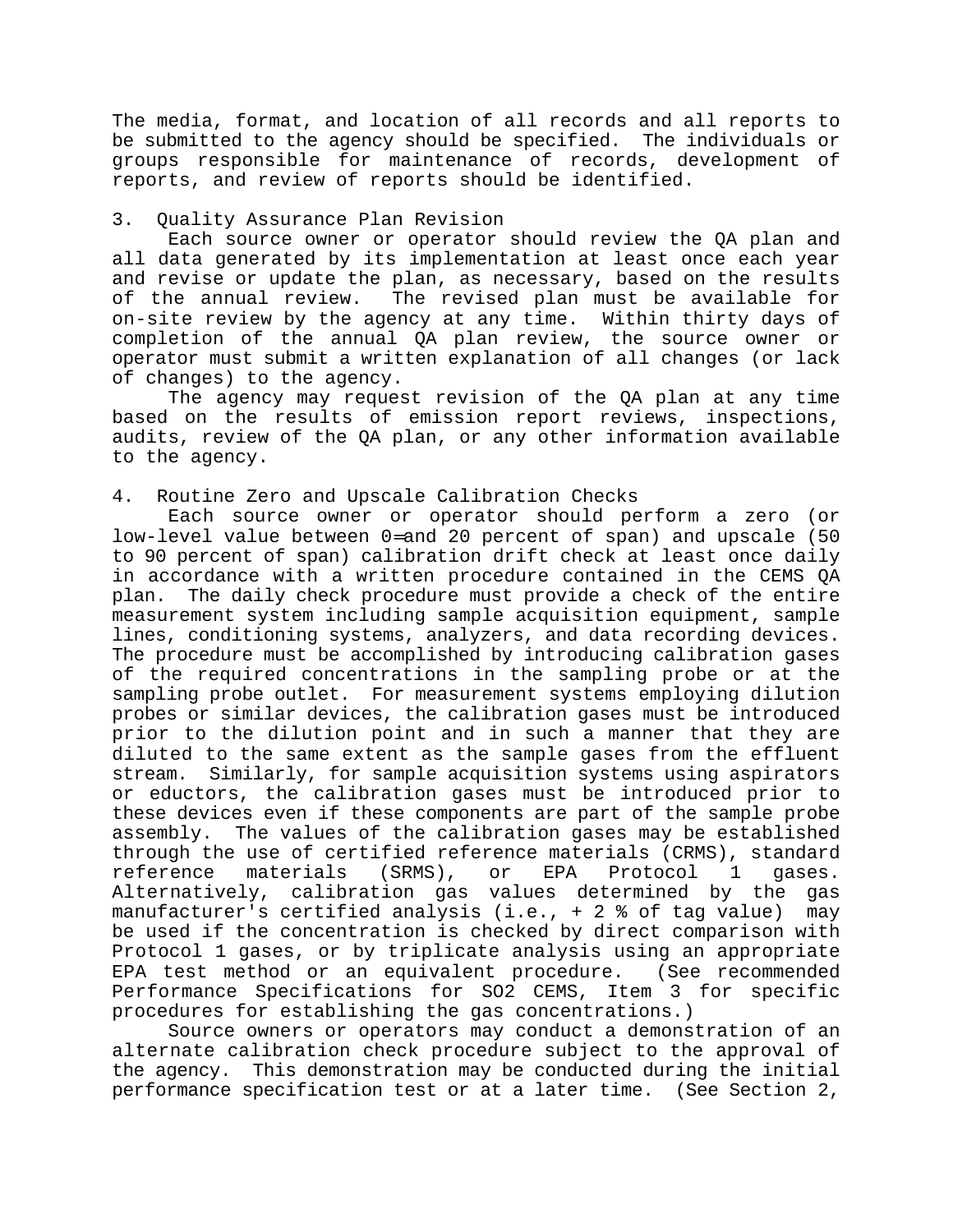The media, format, and location of all records and all reports to be submitted to the agency should be specified. The individuals or groups responsible for maintenance of records, development of reports, and review of reports should be identified.

# 3. Quality Assurance Plan Revision

Each source owner or operator should review the QA plan and all data generated by its implementation at least once each year and revise or update the plan, as necessary, based on the results of the annual review. The revised plan must be available for on-site review by the agency at any time. Within thirty days of completion of the annual QA plan review, the source owner or operator must submit a written explanation of all changes (or lack of changes) to the agency.

The agency may request revision of the QA plan at any time based on the results of emission report reviews, inspections, audits, review of the QA plan, or any other information available to the agency.

## 4. Routine Zero and Upscale Calibration Checks

Each source owner or operator should perform a zero (or low-level value between 0=and 20 percent of span) and upscale (50 to 90 percent of span) calibration drift check at least once daily in accordance with a written procedure contained in the CEMS QA plan. The daily check procedure must provide a check of the entire measurement system including sample acquisition equipment, sample lines, conditioning systems, analyzers, and data recording devices. The procedure must be accomplished by introducing calibration gases of the required concentrations in the sampling probe or at the sampling probe outlet. For measurement systems employing dilution probes or similar devices, the calibration gases must be introduced prior to the dilution point and in such a manner that they are diluted to the same extent as the sample gases from the effluent stream. Similarly, for sample acquisition systems using aspirators or eductors, the calibration gases must be introduced prior to these devices even if these components are part of the sample probe assembly. The values of the calibration gases may be established through the use of certified reference materials (CRMS), standard reference materials (SRMS), or EPA Protocol 1 gases. Alternatively, calibration gas values determined by the gas manufacturer's certified analysis (i.e., + 2 % of tag value) may be used if the concentration is checked by direct comparison with Protocol 1 gases, or by triplicate analysis using an appropriate EPA test method or an equivalent procedure. (See recommended Performance Specifications for SO2 CEMS, Item 3 for specific procedures for establishing the gas concentrations.)

Source owners or operators may conduct a demonstration of an alternate calibration check procedure subject to the approval of the agency. This demonstration may be conducted during the initial performance specification test or at a later time. (See Section 2,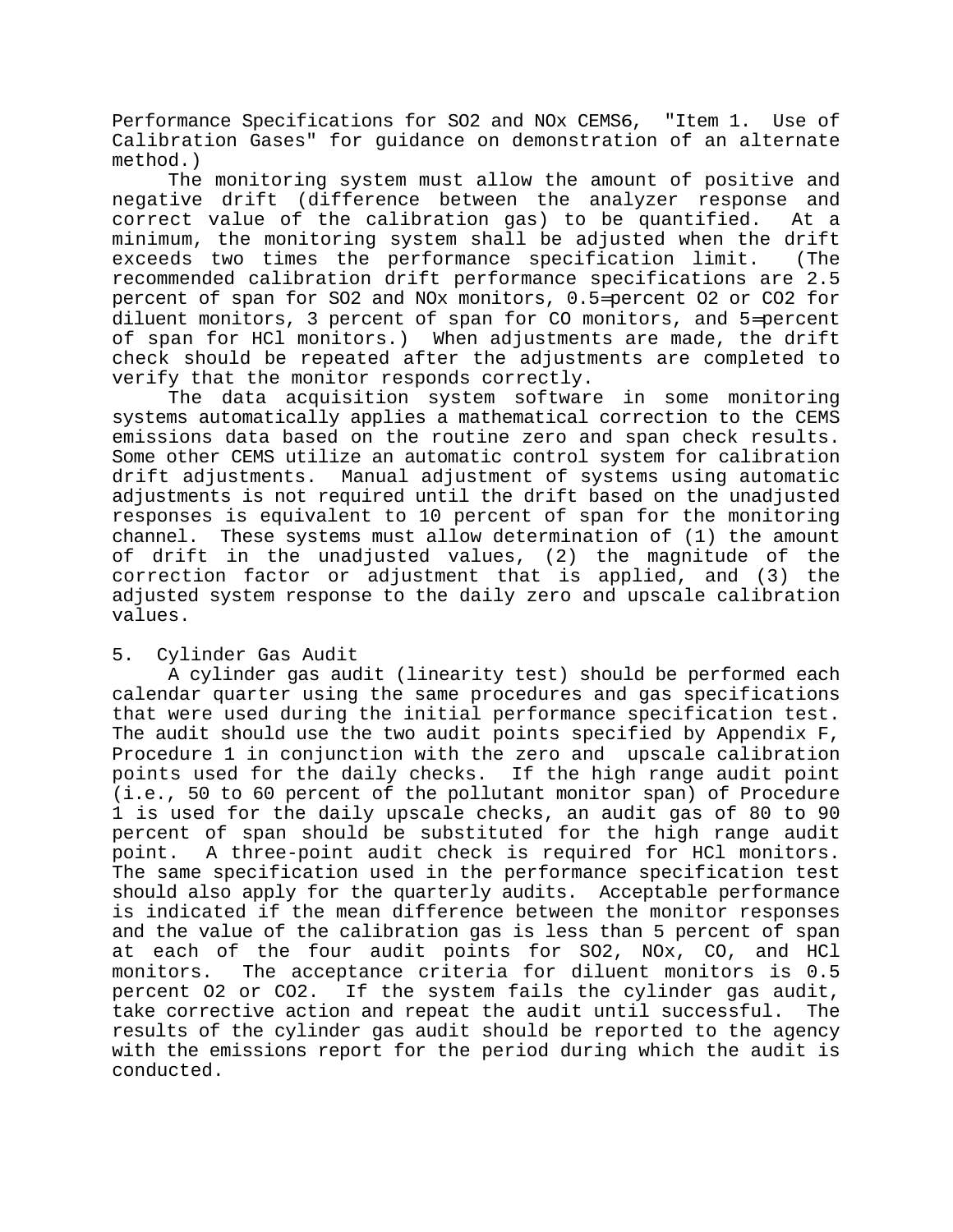Performance Specifications for SO2 and NOx CEMS6, "Item 1. Use of Calibration Gases" for guidance on demonstration of an alternate method.)

The monitoring system must allow the amount of positive and negative drift (difference between the analyzer response and correct value of the calibration gas) to be quantified. At a minimum, the monitoring system shall be adjusted when the drift exceeds two times the performance specification limit. (The recommended calibration drift performance specifications are 2.5 percent of span for SO2 and NOx monitors, 0.5=percent O2 or CO2 for diluent monitors, 3 percent of span for CO monitors, and 5=percent of span for HCl monitors.) When adjustments are made, the drift check should be repeated after the adjustments are completed to verify that the monitor responds correctly.

The data acquisition system software in some monitoring systems automatically applies a mathematical correction to the CEMS emissions data based on the routine zero and span check results. Some other CEMS utilize an automatic control system for calibration drift adjustments. Manual adjustment of systems using automatic adjustments is not required until the drift based on the unadjusted responses is equivalent to 10 percent of span for the monitoring channel. These systems must allow determination of (1) the amount of drift in the unadjusted values, (2) the magnitude of the correction factor or adjustment that is applied, and (3) the adjusted system response to the daily zero and upscale calibration values.

# 5. Cylinder Gas Audit

A cylinder gas audit (linearity test) should be performed each calendar quarter using the same procedures and gas specifications that were used during the initial performance specification test. The audit should use the two audit points specified by Appendix  $F$ , Procedure 1 in conjunction with the zero and upscale calibration points used for the daily checks. If the high range audit point (i.e., 50 to 60 percent of the pollutant monitor span) of Procedure 1 is used for the daily upscale checks, an audit gas of 80 to 90 percent of span should be substituted for the high range audit point. A three-point audit check is required for HCl monitors. The same specification used in the performance specification test should also apply for the quarterly audits. Acceptable performance is indicated if the mean difference between the monitor responses and the value of the calibration gas is less than 5 percent of span at each of the four audit points for SO2, NOx, CO, and HCl monitors. The acceptance criteria for diluent monitors is 0.5 percent O2 or CO2. If the system fails the cylinder gas audit, take corrective action and repeat the audit until successful. The results of the cylinder gas audit should be reported to the agency with the emissions report for the period during which the audit is conducted.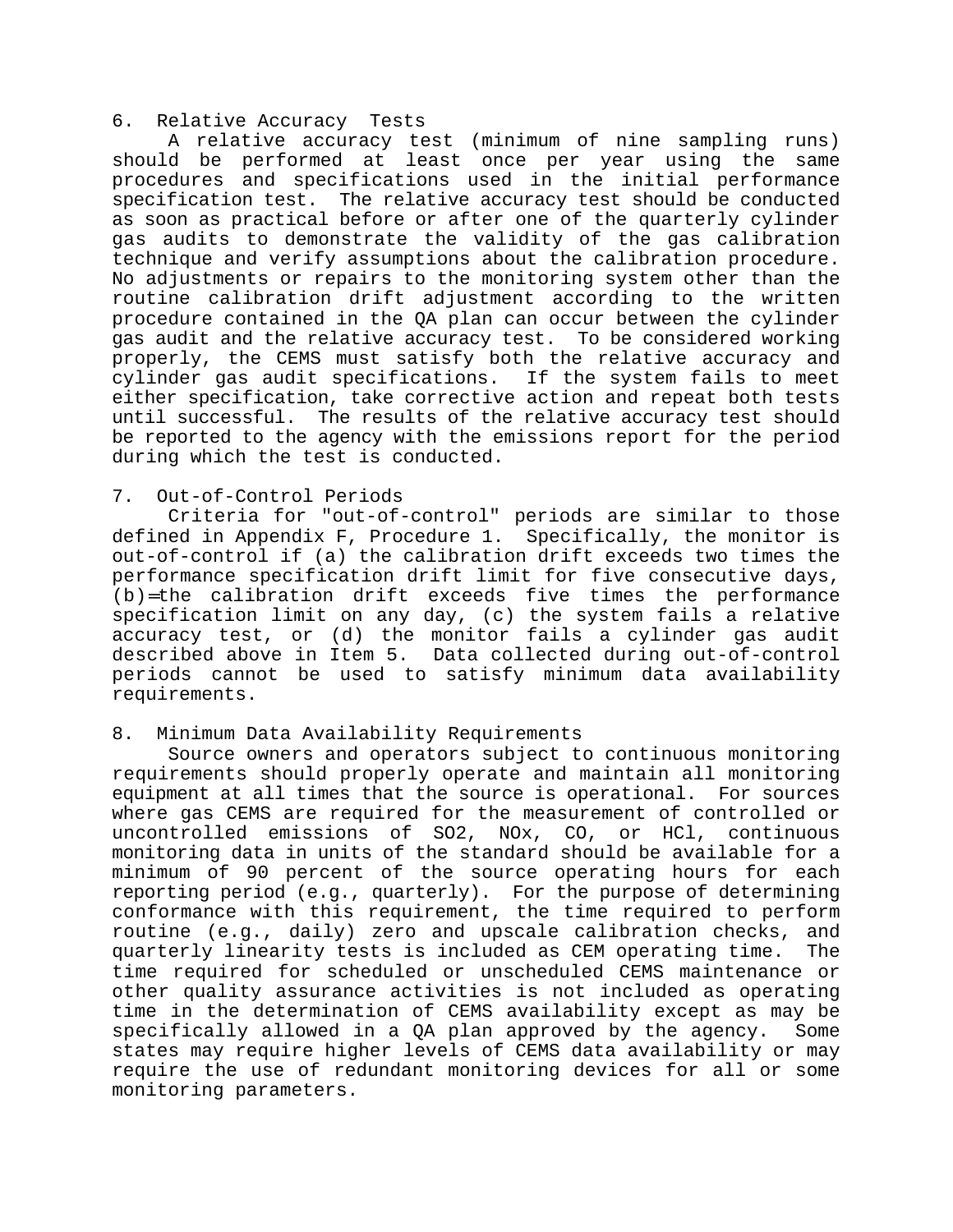#### 6. Relative Accuracy Tests

A relative accuracy test (minimum of nine sampling runs) should be performed at least once per year using the same procedures and specifications used in the initial performance specification test. The relative accuracy test should be conducted as soon as practical before or after one of the quarterly cylinder gas audits to demonstrate the validity of the gas calibration technique and verify assumptions about the calibration procedure. No adjustments or repairs to the monitoring system other than the routine calibration drift adjustment according to the written procedure contained in the QA plan can occur between the cylinder gas audit and the relative accuracy test. To be considered working properly, the CEMS must satisfy both the relative accuracy and cylinder gas audit specifications. If the system fails to meet either specification, take corrective action and repeat both tests until successful. The results of the relative accuracy test should be reported to the agency with the emissions report for the period during which the test is conducted.

## 7. Out-of-Control Periods

Criteria for "out-of-control" periods are similar to those defined in Appendix F, Procedure 1. Specifically, the monitor is out-of-control if (a) the calibration drift exceeds two times the performance specification drift limit for five consecutive days, (b)=the calibration drift exceeds five times the performance specification limit on any day, (c) the system fails a relative accuracy test, or (d) the monitor fails a cylinder gas audit described above in Item 5. Data collected during out-of-control periods cannot be used to satisfy minimum data availability requirements.

# 8. Minimum Data Availability Requirements

Source owners and operators subject to continuous monitoring requirements should properly operate and maintain all monitoring equipment at all times that the source is operational. For sources where gas CEMS are required for the measurement of controlled or uncontrolled emissions of SO2, NOx, CO, or HCl, continuous monitoring data in units of the standard should be available for a minimum of 90 percent of the source operating hours for each reporting period (e.g., quarterly). For the purpose of determining conformance with this requirement, the time required to perform routine (e.g., daily) zero and upscale calibration checks, and quarterly linearity tests is included as CEM operating time. The time required for scheduled or unscheduled CEMS maintenance or other quality assurance activities is not included as operating time in the determination of CEMS availability except as may be specifically allowed in a QA plan approved by the agency. Some states may require higher levels of CEMS data availability or may require the use of redundant monitoring devices for all or some monitoring parameters.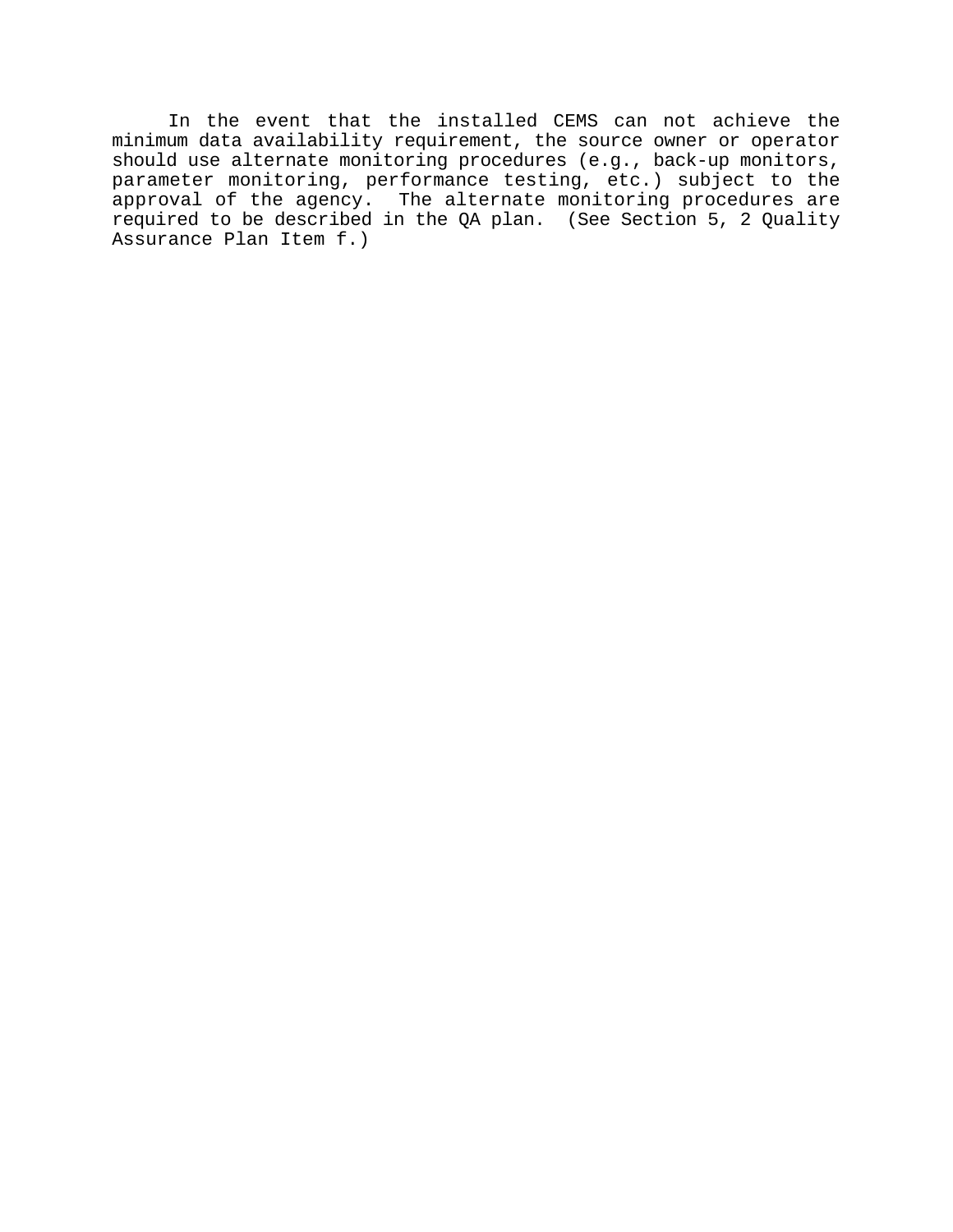In the event that the installed CEMS can not achieve the minimum data availability requirement, the source owner or operator should use alternate monitoring procedures (e.g., back-up monitors, parameter monitoring, performance testing, etc.) subject to the approval of the agency. The alternate monitoring procedures are required to be described in the QA plan. (See Section 5, 2 Quality Assurance Plan Item f.)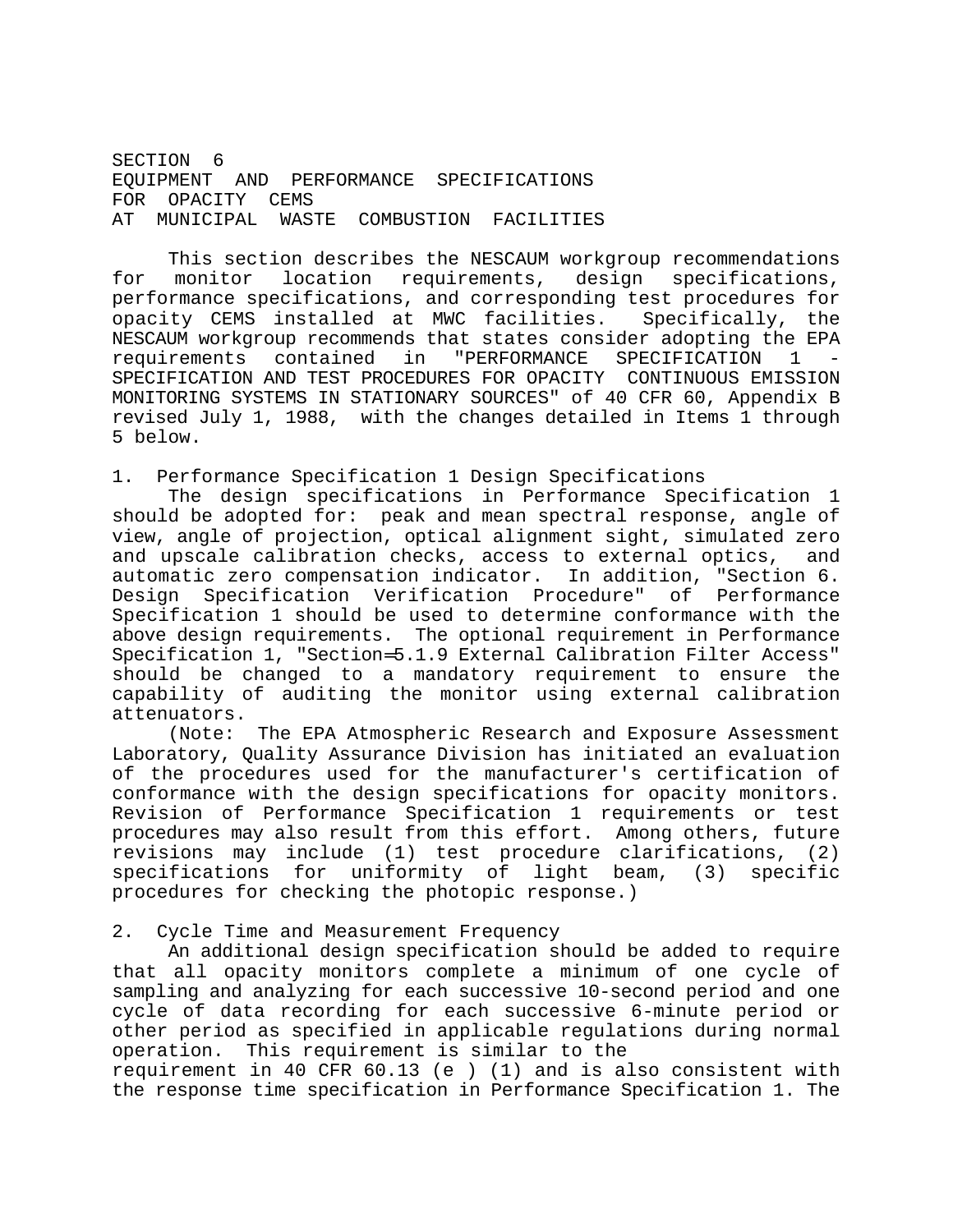SECTION<sub>6</sub> EQUIPMENT AND PERFORMANCE SPECIFICATIONS FOR OPACITY CEMS AT MUNICIPAL WASTE COMBUSTION FACILITIES

This section describes the NESCAUM workgroup recommendations for monitor location requirements, design specifications, performance specifications, and corresponding test procedures for opacity CEMS installed at MWC facilities. Specifically, the NESCAUM workgroup recommends that states consider adopting the EPA requirements contained in "PERFORMANCE SPECIFICATION 1 SPECIFICATION AND TEST PROCEDURES FOR OPACITY CONTINUOUS EMISSION MONITORING SYSTEMS IN STATIONARY SOURCES" of 40 CFR 60, Appendix B revised July 1, 1988, with the changes detailed in Items 1 through 5 below.

1. Performance Specification 1 Design Specifications

The design specifications in Performance Specification 1 should be adopted for: peak and mean spectral response, angle of view, angle of projection, optical alignment sight, simulated zero and upscale calibration checks, access to external optics, and automatic zero compensation indicator. In addition, "Section 6. Design Specification Verification Procedure" of Performance Specification 1 should be used to determine conformance with the above design requirements. The optional requirement in Performance Specification 1, "Section=5.1.9 External Calibration Filter Access" should be changed to a mandatory requirement to ensure the capability of auditing the monitor using external calibration attenuators.

(Note: The EPA Atmospheric Research and Exposure Assessment Laboratory, Quality Assurance Division has initiated an evaluation of the procedures used for the manufacturer's certification of conformance with the design specifications for opacity monitors. Revision of Performance Specification 1 requirements or test procedures may also result from this effort. Among others, future revisions may include (1) test procedure clarifications, (2) specifications for uniformity of light beam, (3) specific procedures for checking the photopic response.)

2. Cycle Time and Measurement Frequency

An additional design specification should be added to require that all opacity monitors complete a minimum of one cycle of sampling and analyzing for each successive 10-second period and one cycle of data recording for each successive 6-minute period or other period as specified in applicable regulations during normal operation. This requirement is similar to the

requirement in 40 CFR 60.13 (e ) (1) and is also consistent with the response time specification in Performance Specification 1. The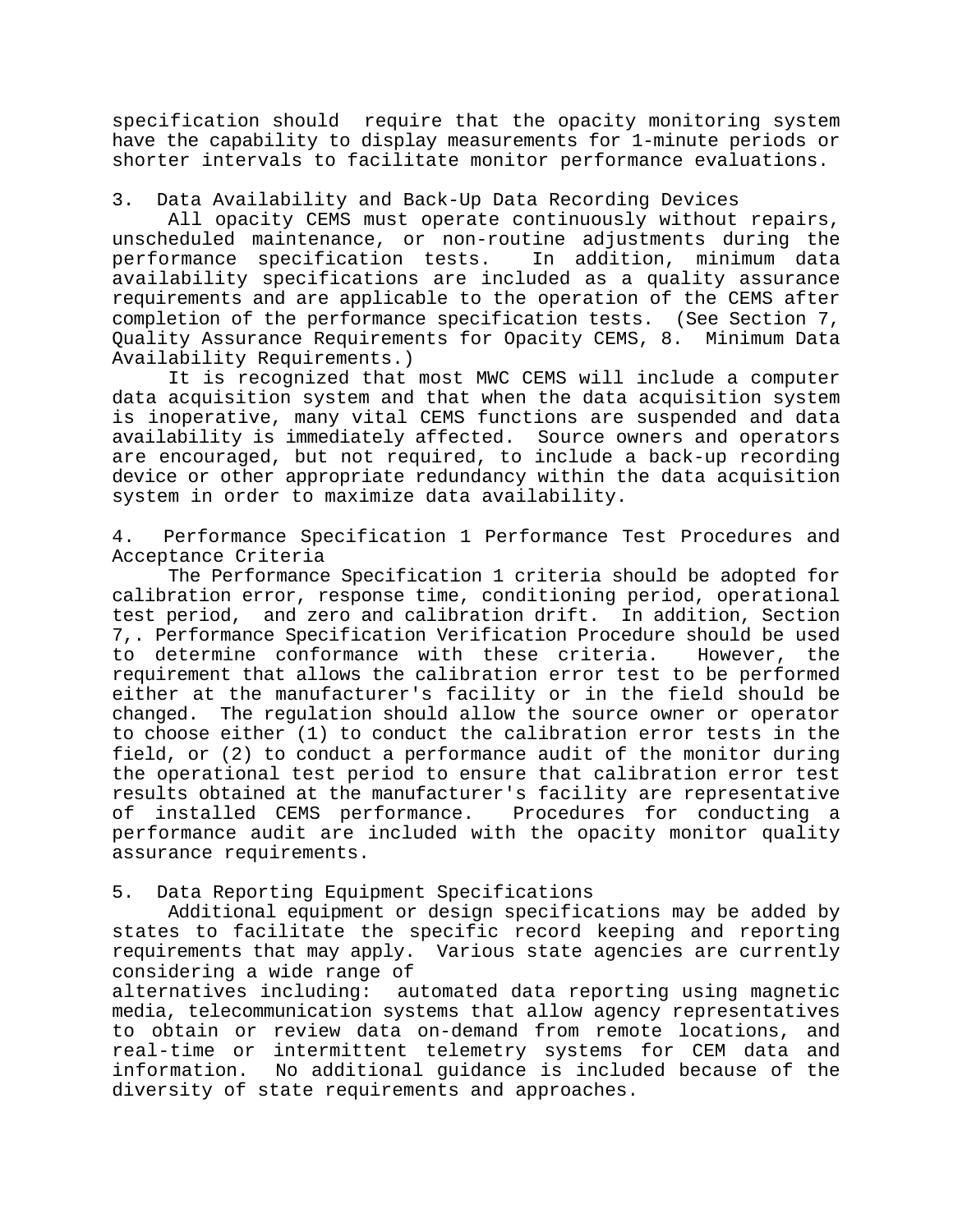specification should require that the opacity monitoring system have the capability to display measurements for 1-minute periods or shorter intervals to facilitate monitor performance evaluations.

# 3. Data Availability and Back-Up Data Recording Devices

All opacity CEMS must operate continuously without repairs, unscheduled maintenance, or non-routine adjustments during the performance specification tests. In addition, minimum data availability specifications are included as a quality assurance requirements and are applicable to the operation of the CEMS after completion of the performance specification tests. (See Section 7, Quality Assurance Requirements for Opacity CEMS, 8. Minimum Data Availability Requirements.)

It is recognized that most MWC CEMS will include a computer data acquisition system and that when the data acquisition system is inoperative, many vital CEMS functions are suspended and data availability is immediately affected. Source owners and operators are encouraged, but not required, to include a back-up recording device or other appropriate redundancy within the data acquisition system in order to maximize data availability.

4. Performance Specification 1 Performance Test Procedures and Acceptance Criteria

The Performance Specification 1 criteria should be adopted for calibration error, response time, conditioning period, operational test period, and zero and calibration drift. In addition, Section 7,. Performance Specification Verification Procedure should be used to determine conformance with these criteria. However, the requirement that allows the calibration error test to be performed either at the manufacturer's facility or in the field should be changed. The regulation should allow the source owner or operator to choose either (1) to conduct the calibration error tests in the field, or (2) to conduct a performance audit of the monitor during the operational test period to ensure that calibration error test results obtained at the manufacturer's facility are representative of installed CEMS performance. Procedures for conducting a performance audit are included with the opacity monitor quality assurance requirements.

# 5. Data Reporting Equipment Specifications

Additional equipment or design specifications may be added by states to facilitate the specific record keeping and reporting requirements that may apply. Various state agencies are currently considering a wide range of

alternatives including: automated data reporting using magnetic media, telecommunication systems that allow agency representatives to obtain or review data on-demand from remote locations, and real-time or intermittent telemetry systems for CEM data and information. No additional guidance is included because of the diversity of state requirements and approaches.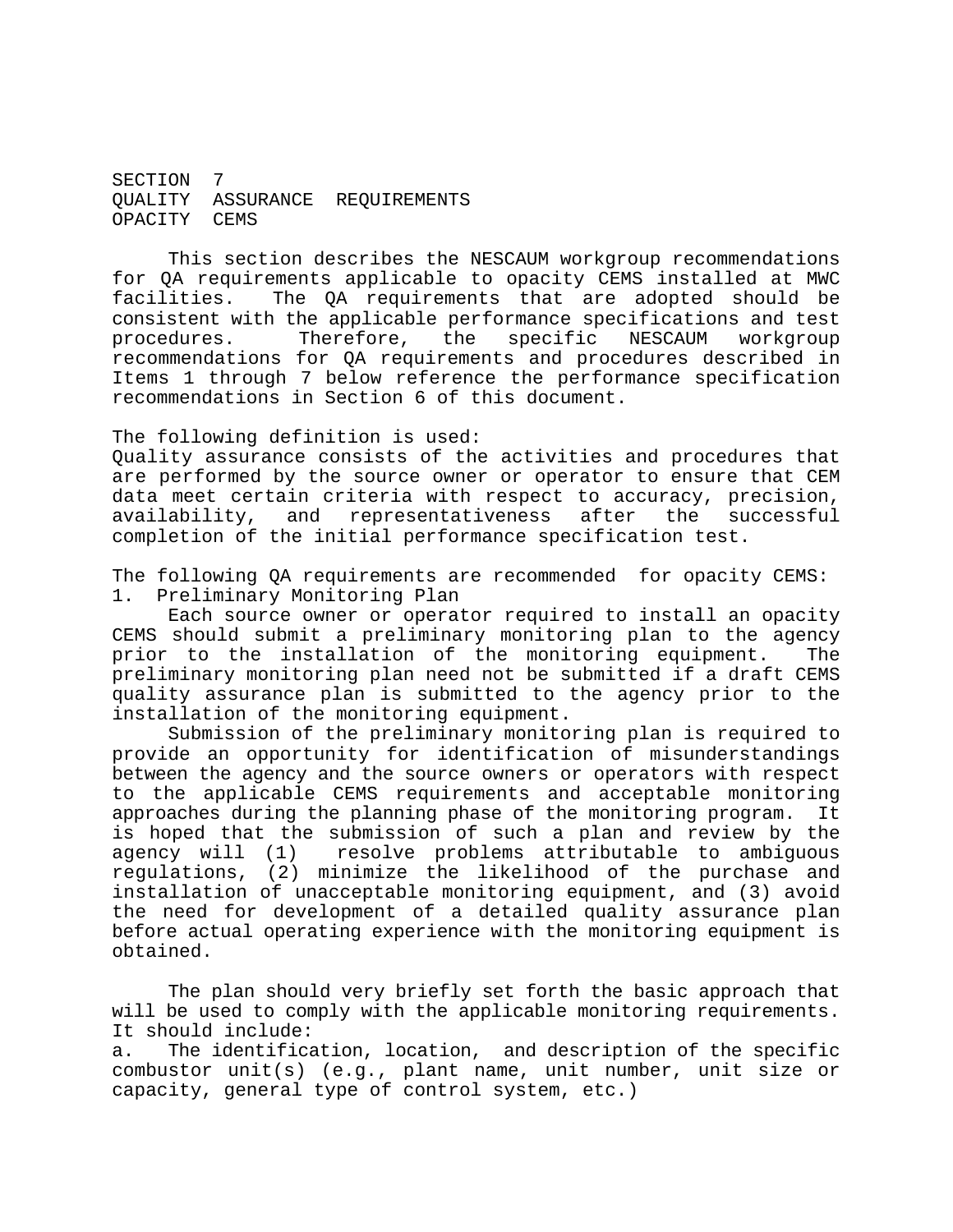SECTION 7 QUALITY ASSURANCE REQUIREMENTS OPACITY CEMS

This section describes the NESCAUM workgroup recommendations for QA requirements applicable to opacity CEMS installed at MWC facilities. The QA requirements that are adopted should be consistent with the applicable performance specifications and test procedures. Therefore, the specific NESCAUM workgroup recommendations for QA requirements and procedures described in Items 1 through 7 below reference the performance specification recommendations in Section 6 of this document.

The following definition is used:

Quality assurance consists of the activities and procedures that are performed by the source owner or operator to ensure that CEM data meet certain criteria with respect to accuracy, precision, availability, and representativeness after the successful completion of the initial performance specification test.

The following QA requirements are recommended for opacity CEMS: 1. Preliminary Monitoring Plan

Each source owner or operator required to install an opacity CEMS should submit a preliminary monitoring plan to the agency prior to the installation of the monitoring equipment. The preliminary monitoring plan need not be submitted if a draft CEMS quality assurance plan is submitted to the agency prior to the installation of the monitoring equipment.

Submission of the preliminary monitoring plan is required to provide an opportunity for identification of misunderstandings between the agency and the source owners or operators with respect to the applicable CEMS requirements and acceptable monitoring approaches during the planning phase of the monitoring program. It is hoped that the submission of such a plan and review by the agency will (1) resolve problems attributable to ambiguous regulations, (2) minimize the likelihood of the purchase and installation of unacceptable monitoring equipment, and (3) avoid the need for development of a detailed quality assurance plan before actual operating experience with the monitoring equipment is obtained.

The plan should very briefly set forth the basic approach that will be used to comply with the applicable monitoring requirements. It should include:

a. The identification, location, and description of the specific combustor unit(s) (e.g., plant name, unit number, unit size or capacity, general type of control system, etc.)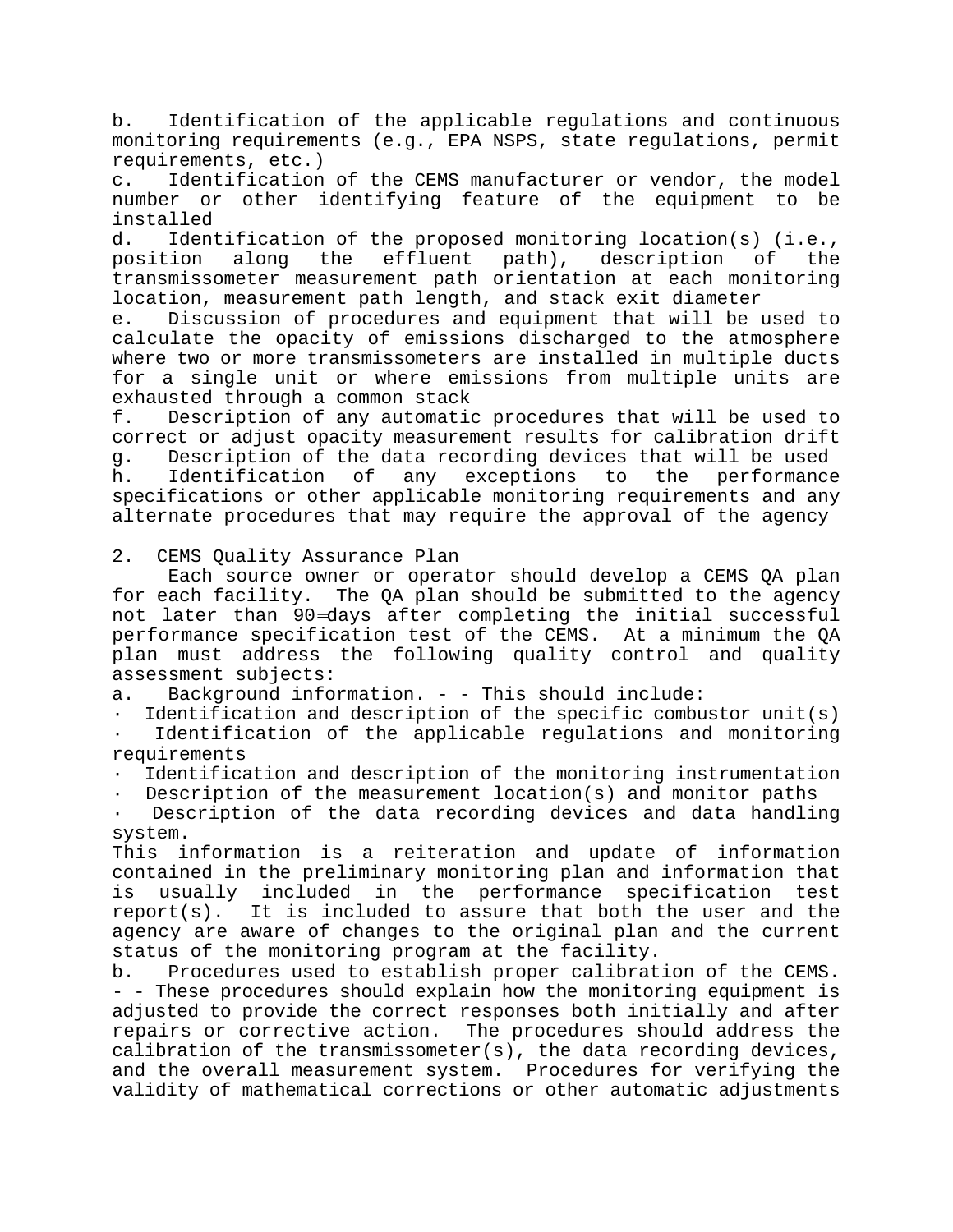b. Identification of the applicable regulations and continuous monitoring requirements (e.g., EPA NSPS, state regulations, permit requirements, etc.)

c. Identification of the CEMS manufacturer or vendor, the model number or other identifying feature of the equipment to be installed

d. Identification of the proposed monitoring location(s) (i.e., position along the effluent path), description of the transmissometer measurement path orientation at each monitoring location, measurement path length, and stack exit diameter

e. Discussion of procedures and equipment that will be used to calculate the opacity of emissions discharged to the atmosphere where two or more transmissometers are installed in multiple ducts for a single unit or where emissions from multiple units are exhausted through a common stack

f. Description of any automatic procedures that will be used to correct or adjust opacity measurement results for calibration drift g. Description of the data recording devices that will be used h. Identification of any exceptions to the performance specifications or other applicable monitoring requirements and any alternate procedures that may require the approval of the agency

2. CEMS Quality Assurance Plan

Each source owner or operator should develop a CEMS QA plan for each facility. The QA plan should be submitted to the agency not later than 90=days after completing the initial successful performance specification test of the CEMS. At a minimum the QA plan must address the following quality control and quality assessment subjects:

a. Background information. - - This should include:

Identification and description of the specific combustor unit(s)

Identification of the applicable regulations and monitoring requirements

Identification and description of the monitoring instrumentation

Description of the measurement location(s) and monitor paths

Description of the data recording devices and data handling system.

This information is a reiteration and update of information contained in the preliminary monitoring plan and information that is usually included in the performance specification test report(s). It is included to assure that both the user and the agency are aware of changes to the original plan and the current status of the monitoring program at the facility.

b. Procedures used to establish proper calibration of the CEMS. - - These procedures should explain how the monitoring equipment is adjusted to provide the correct responses both initially and after repairs or corrective action. The procedures should address the calibration of the transmissometer(s), the data recording devices, and the overall measurement system. Procedures for verifying the validity of mathematical corrections or other automatic adjustments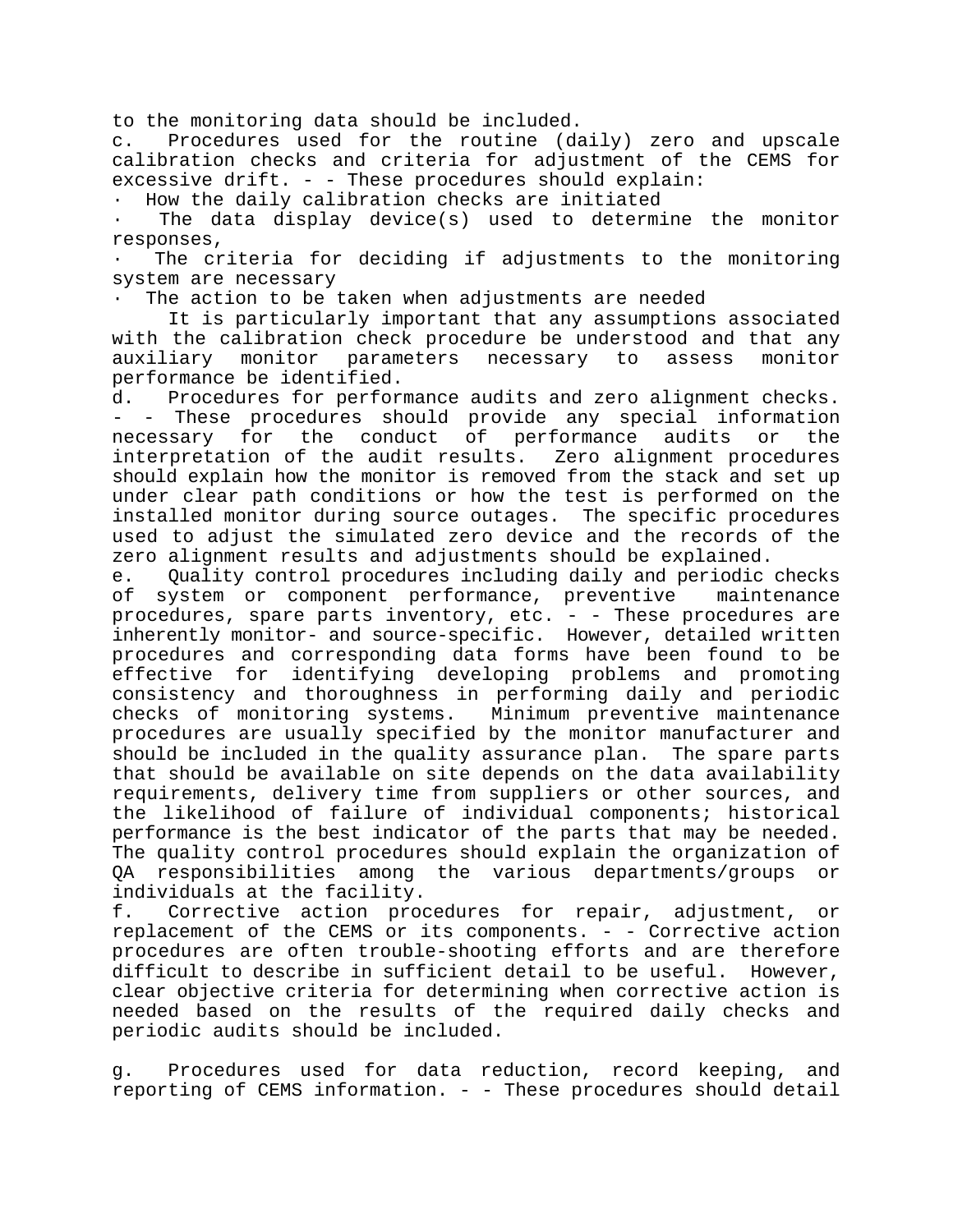to the monitoring data should be included.

c. Procedures used for the routine (daily) zero and upscale calibration checks and criteria for adjustment of the CEMS for excessive drift. - - These procedures should explain:

How the daily calibration checks are initiated

The data display device(s) used to determine the monitor responses,

The criteria for deciding if adjustments to the monitoring system are necessary

The action to be taken when adjustments are needed

It is particularly important that any assumptions associated with the calibration check procedure be understood and that any auxiliary monitor parameters necessary to assess monitor performance be identified.

d. Procedures for performance audits and zero alignment checks. - These procedures should provide any special information necessary for the conduct of performance audits or the interpretation of the audit results. Zero alignment procedures should explain how the monitor is removed from the stack and set up under clear path conditions or how the test is performed on the installed monitor during source outages. The specific procedures used to adjust the simulated zero device and the records of the zero alignment results and adjustments should be explained.

e. Quality control procedures including daily and periodic checks of system or component performance, preventive maintenance procedures, spare parts inventory, etc. - - These procedures are inherently monitor- and source-specific. However, detailed written procedures and corresponding data forms have been found to be effective for identifying developing problems and promoting consistency and thoroughness in performing daily and periodic checks of monitoring systems. Minimum preventive maintenance procedures are usually specified by the monitor manufacturer and should be included in the quality assurance plan. The spare parts that should be available on site depends on the data availability requirements, delivery time from suppliers or other sources, and the likelihood of failure of individual components; historical performance is the best indicator of the parts that may be needed. The quality control procedures should explain the organization of QA responsibilities among the various departments/groups or individuals at the facility.

f. Corrective action procedures for repair, adjustment, or replacement of the CEMS or its components. - - Corrective action procedures are often trouble-shooting efforts and are therefore difficult to describe in sufficient detail to be useful. However, clear objective criteria for determining when corrective action is needed based on the results of the required daily checks and periodic audits should be included.

g. Procedures used for data reduction, record keeping, and reporting of CEMS information. - - These procedures should detail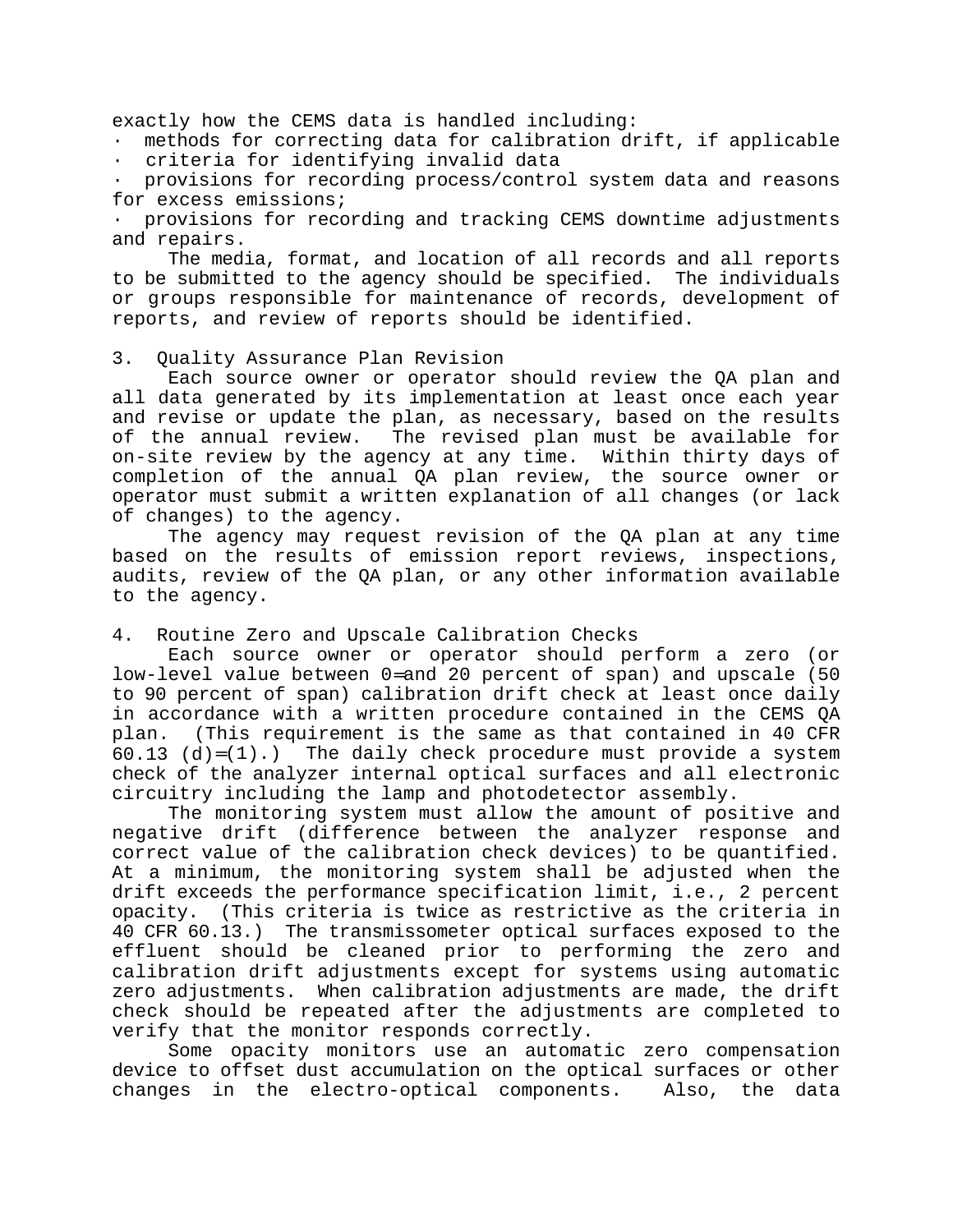exactly how the CEMS data is handled including:

· methods for correcting data for calibration drift, if applicable · criteria for identifying invalid data

provisions for recording process/control system data and reasons for excess emissions;

provisions for recording and tracking CEMS downtime adjustments and repairs.

The media, format, and location of all records and all reports to be submitted to the agency should be specified. The individuals or groups responsible for maintenance of records, development of reports, and review of reports should be identified.

3. Quality Assurance Plan Revision

Each source owner or operator should review the QA plan and all data generated by its implementation at least once each year and revise or update the plan, as necessary, based on the results of the annual review. The revised plan must be available for on-site review by the agency at any time. Within thirty days of completion of the annual QA plan review, the source owner or operator must submit a written explanation of all changes (or lack of changes) to the agency.

The agency may request revision of the QA plan at any time based on the results of emission report reviews, inspections, audits, review of the QA plan, or any other information available to the agency.

#### 4. Routine Zero and Upscale Calibration Checks

Each source owner or operator should perform a zero (or low-level value between 0=and 20 percent of span) and upscale (50 to 90 percent of span) calibration drift check at least once daily in accordance with a written procedure contained in the CEMS QA plan. (This requirement is the same as that contained in 40 CFR 60.13  $(d)=(1)$ .) The daily check procedure must provide a system check of the analyzer internal optical surfaces and all electronic circuitry including the lamp and photodetector assembly.

The monitoring system must allow the amount of positive and negative drift (difference between the analyzer response and correct value of the calibration check devices) to be quantified. At a minimum, the monitoring system shall be adjusted when the drift exceeds the performance specification limit, i.e., 2 percent opacity. (This criteria is twice as restrictive as the criteria in 40 CFR 60.13.) The transmissometer optical surfaces exposed to the effluent should be cleaned prior to performing the zero and calibration drift adjustments except for systems using automatic zero adjustments. When calibration adjustments are made, the drift check should be repeated after the adjustments are completed to verify that the monitor responds correctly.

Some opacity monitors use an automatic zero compensation device to offset dust accumulation on the optical surfaces or other changes in the electro-optical components. Also, the data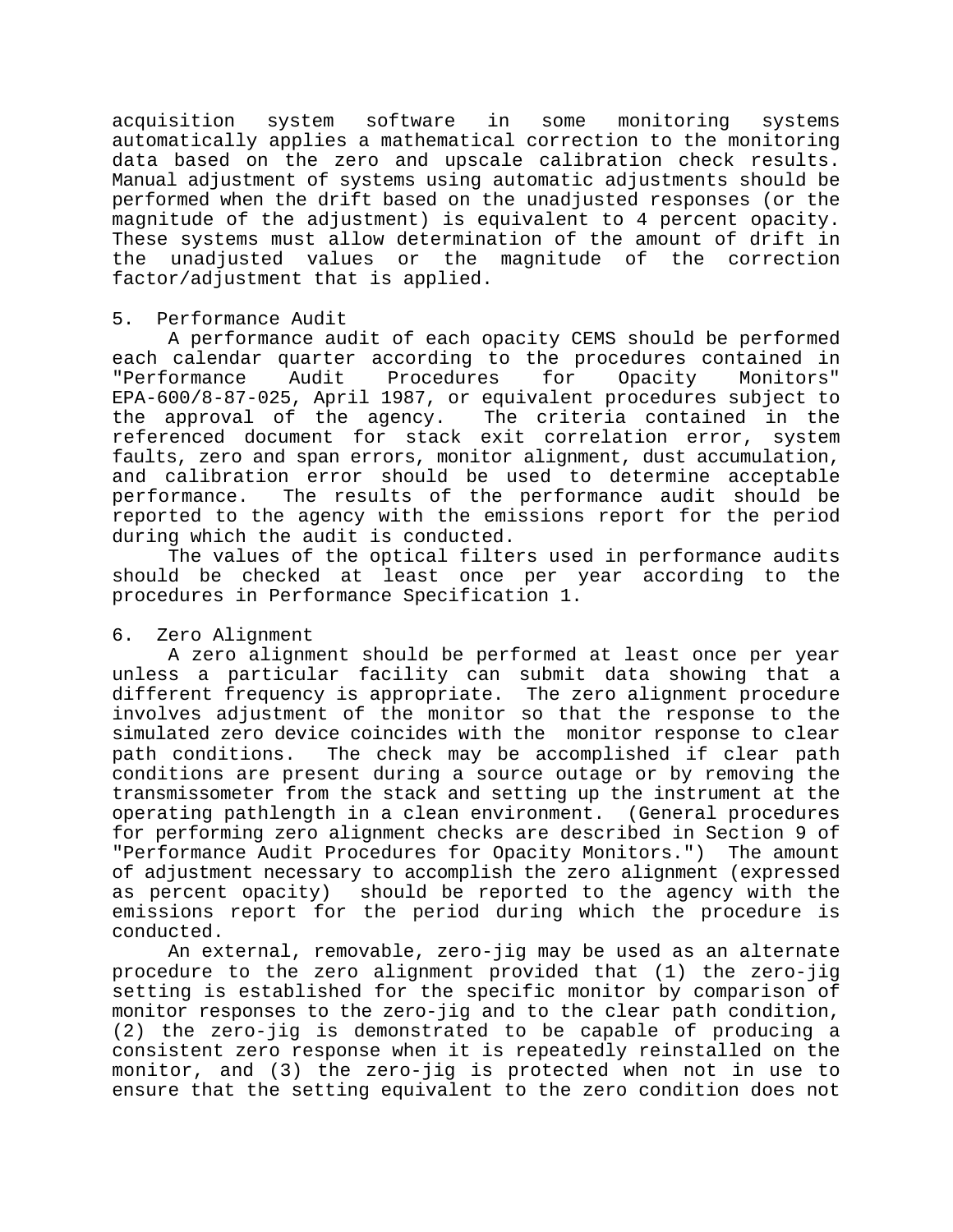acquisition system software in some monitoring systems automatically applies a mathematical correction to the monitoring data based on the zero and upscale calibration check results. Manual adjustment of systems using automatic adjustments should be performed when the drift based on the unadjusted responses (or the magnitude of the adjustment) is equivalent to 4 percent opacity. These systems must allow determination of the amount of drift in the unadjusted values or the magnitude of the correction factor/adjustment that is applied.

#### 5. Performance Audit

A performance audit of each opacity CEMS should be performed each calendar quarter according to the procedures contained in "Performance Audit Procedures for Opacity Monitors" EPA-600/8-87-025, April 1987, or equivalent procedures subject to the approval of the agency. The criteria contained in the referenced document for stack exit correlation error, system faults, zero and span errors, monitor alignment, dust accumulation, and calibration error should be used to determine acceptable performance. The results of the performance audit should be reported to the agency with the emissions report for the period during which the audit is conducted.

The values of the optical filters used in performance audits should be checked at least once per year according to the procedures in Performance Specification 1.

#### 6. Zero Alignment

A zero alignment should be performed at least once per year unless a particular facility can submit data showing that a different frequency is appropriate. The zero alignment procedure involves adjustment of the monitor so that the response to the simulated zero device coincides with the monitor response to clear path conditions. The check may be accomplished if clear path conditions are present during a source outage or by removing the transmissometer from the stack and setting up the instrument at the operating pathlength in a clean environment. (General procedures for performing zero alignment checks are described in Section 9 of "Performance Audit Procedures for Opacity Monitors.") The amount of adjustment necessary to accomplish the zero alignment (expressed as percent opacity) should be reported to the agency with the emissions report for the period during which the procedure is conducted.

An external, removable, zero-jig may be used as an alternate procedure to the zero alignment provided that (1) the zero-jig setting is established for the specific monitor by comparison of monitor responses to the zero-jig and to the clear path condition, (2) the zero-jig is demonstrated to be capable of producing a consistent zero response when it is repeatedly reinstalled on the monitor, and (3) the zero-jig is protected when not in use to ensure that the setting equivalent to the zero condition does not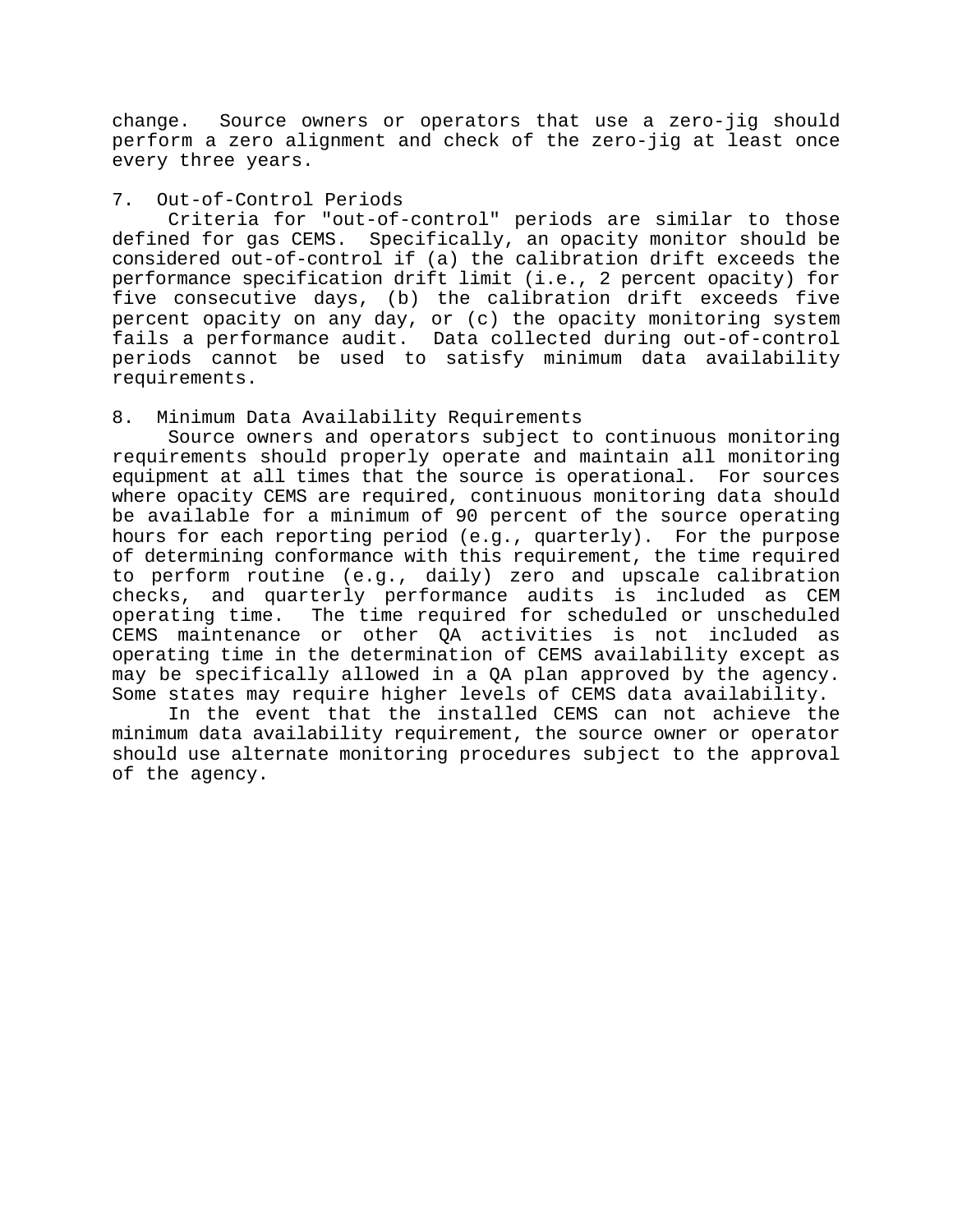change. Source owners or operators that use a zero-jig should perform a zero alignment and check of the zero-jig at least once every three years.

#### 7. Out-of-Control Periods

Criteria for "out-of-control" periods are similar to those defined for gas CEMS. Specifically, an opacity monitor should be considered out-of-control if (a) the calibration drift exceeds the performance specification drift limit (i.e., 2 percent opacity) for five consecutive days, (b) the calibration drift exceeds five percent opacity on any day, or (c) the opacity monitoring system fails a performance audit. Data collected during out-of-control periods cannot be used to satisfy minimum data availability requirements.

## 8. Minimum Data Availability Requirements

Source owners and operators subject to continuous monitoring requirements should properly operate and maintain all monitoring equipment at all times that the source is operational. For sources where opacity CEMS are required, continuous monitoring data should be available for a minimum of 90 percent of the source operating hours for each reporting period (e.g., quarterly). For the purpose of determining conformance with this requirement, the time required to perform routine (e.g., daily) zero and upscale calibration checks, and quarterly performance audits is included as CEM operating time. The time required for scheduled or unscheduled CEMS maintenance or other QA activities is not included as operating time in the determination of CEMS availability except as may be specifically allowed in a QA plan approved by the agency. Some states may require higher levels of CEMS data availability.

In the event that the installed CEMS can not achieve the minimum data availability requirement, the source owner or operator should use alternate monitoring procedures subject to the approval of the agency.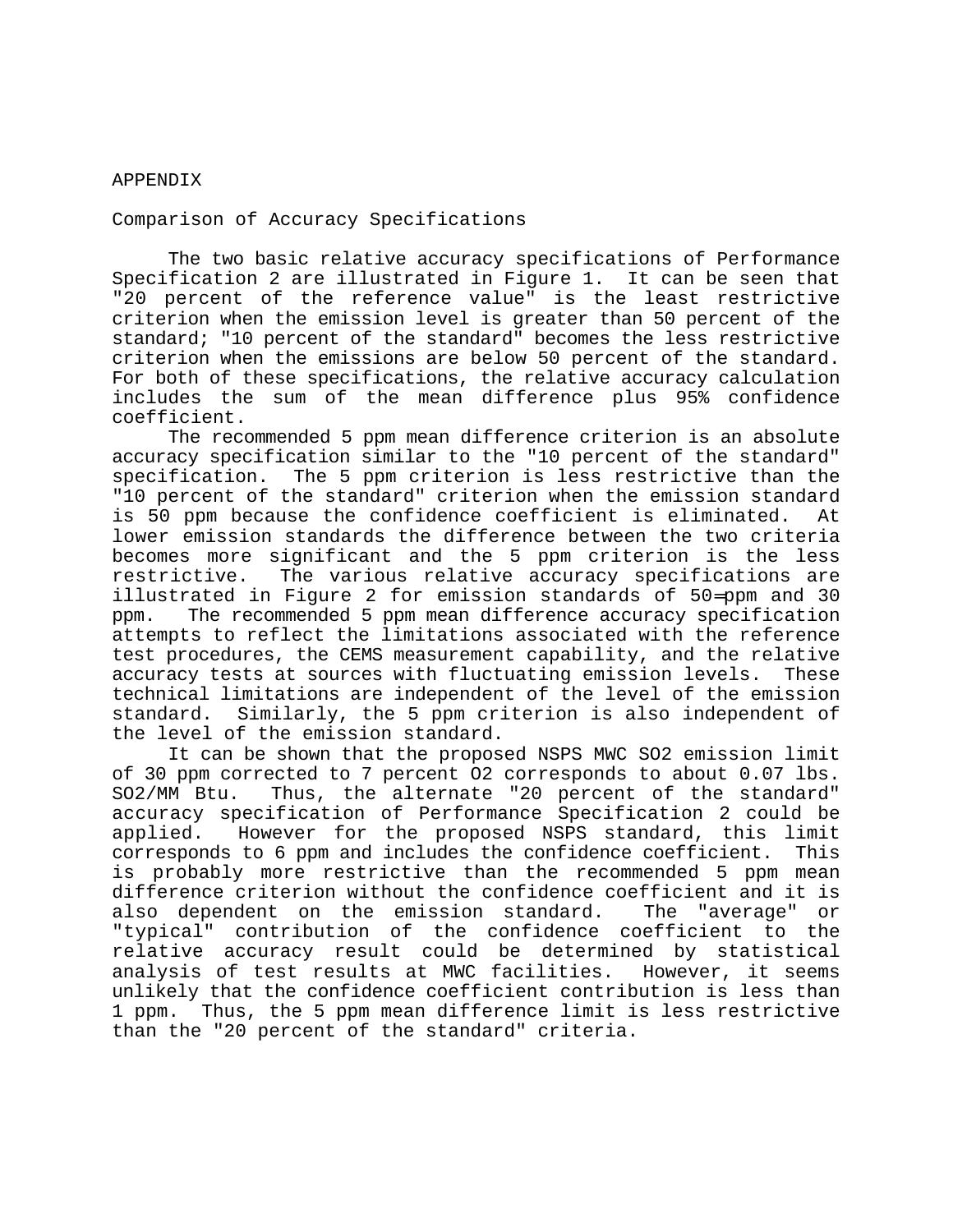#### APPENDIX

Comparison of Accuracy Specifications

The two basic relative accuracy specifications of Performance Specification 2 are illustrated in Figure 1. It can be seen that "20 percent of the reference value" is the least restrictive criterion when the emission level is greater than 50 percent of the standard; "10 percent of the standard" becomes the less restrictive criterion when the emissions are below 50 percent of the standard. For both of these specifications, the relative accuracy calculation includes the sum of the mean difference plus 95% confidence coefficient.

The recommended 5 ppm mean difference criterion is an absolute accuracy specification similar to the "10 percent of the standard" specification. The 5 ppm criterion is less restrictive than the "10 percent of the standard" criterion when the emission standard is 50 ppm because the confidence coefficient is eliminated. At lower emission standards the difference between the two criteria becomes more significant and the 5 ppm criterion is the less restrictive. The various relative accuracy specifications are illustrated in Figure 2 for emission standards of 50=ppm and 30 ppm. The recommended 5 ppm mean difference accuracy specification attempts to reflect the limitations associated with the reference test procedures, the CEMS measurement capability, and the relative accuracy tests at sources with fluctuating emission levels. These technical limitations are independent of the level of the emission standard. Similarly, the 5 ppm criterion is also independent of the level of the emission standard.

It can be shown that the proposed NSPS MWC SO2 emission limit of 30 ppm corrected to 7 percent O2 corresponds to about 0.07 lbs. SO2/MM Btu. Thus, the alternate "20 percent of the standard" accuracy specification of Performance Specification 2 could be applied. However for the proposed NSPS standard, this limit corresponds to 6 ppm and includes the confidence coefficient. This is probably more restrictive than the recommended 5 ppm mean difference criterion without the confidence coefficient and it is also dependent on the emission standard. The "average" or "typical" contribution of the confidence coefficient to the relative accuracy result could be determined by statistical analysis of test results at MWC facilities. However, it seems unlikely that the confidence coefficient contribution is less than 1 ppm. Thus, the 5 ppm mean difference limit is less restrictive than the "20 percent of the standard" criteria.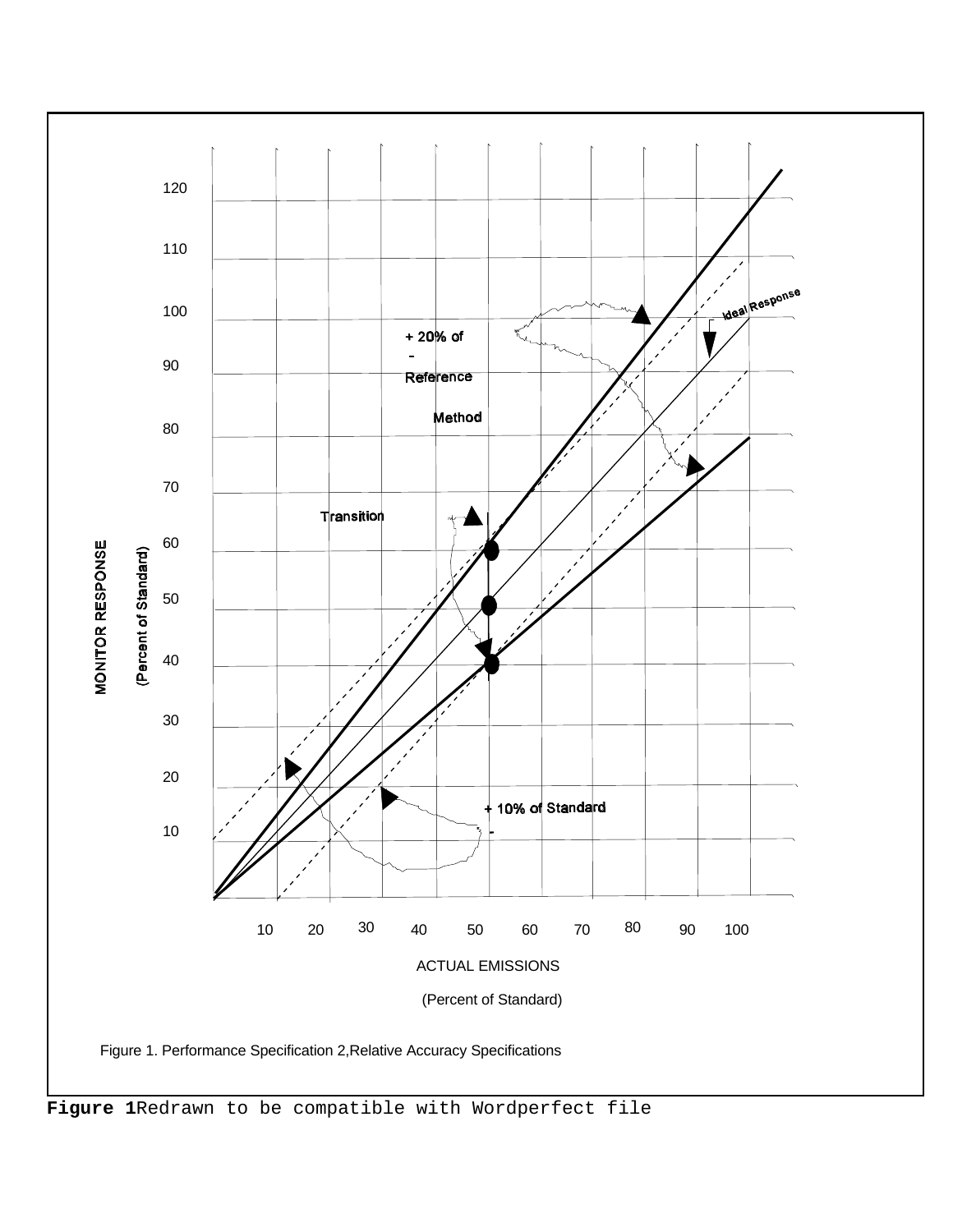

**Figure 1**Redrawn to be compatible with Wordperfect file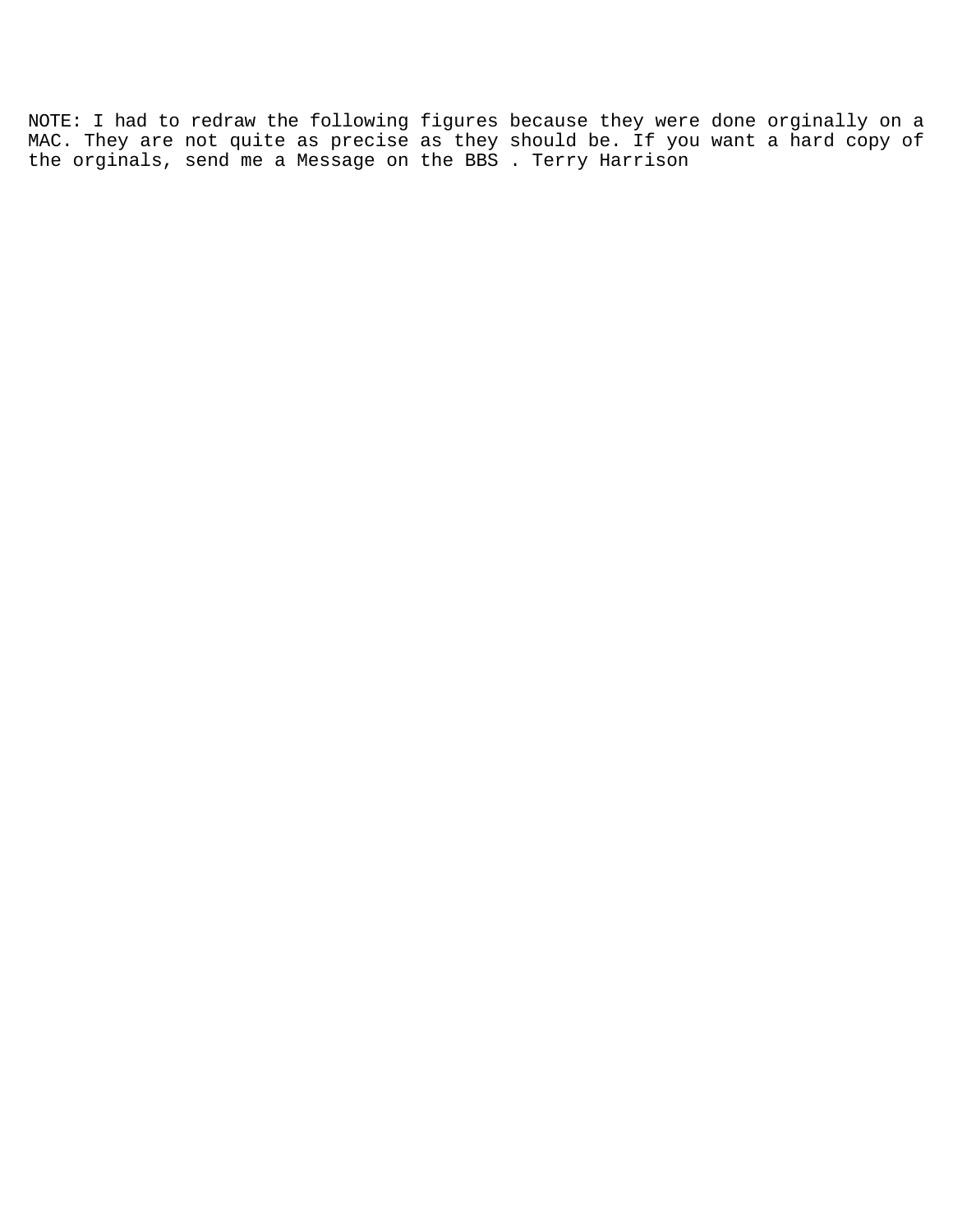NOTE: I had to redraw the following figures because they were done orginally on a MAC. They are not quite as precise as they should be. If you want a hard copy of the orginals, send me a Message on the BBS . Terry Harrison